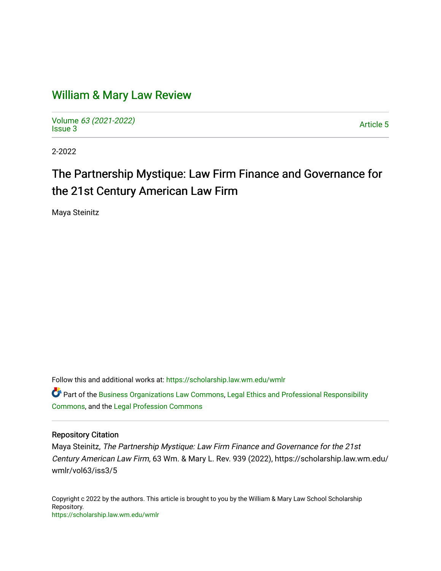# [William & Mary Law Review](https://scholarship.law.wm.edu/wmlr)

Volume [63 \(2021-2022\)](https://scholarship.law.wm.edu/wmlr/vol63)  volume os (2027-2022)<br>[Issue 3](https://scholarship.law.wm.edu/wmlr/vol63/iss3) Article 5

2-2022

# The Partnership Mystique: Law Firm Finance and Governance for the 21st Century American Law Firm

Maya Steinitz

Follow this and additional works at: [https://scholarship.law.wm.edu/wmlr](https://scholarship.law.wm.edu/wmlr?utm_source=scholarship.law.wm.edu%2Fwmlr%2Fvol63%2Fiss3%2F5&utm_medium=PDF&utm_campaign=PDFCoverPages)

Part of the [Business Organizations Law Commons](http://network.bepress.com/hgg/discipline/900?utm_source=scholarship.law.wm.edu%2Fwmlr%2Fvol63%2Fiss3%2F5&utm_medium=PDF&utm_campaign=PDFCoverPages), [Legal Ethics and Professional Responsibility](http://network.bepress.com/hgg/discipline/895?utm_source=scholarship.law.wm.edu%2Fwmlr%2Fvol63%2Fiss3%2F5&utm_medium=PDF&utm_campaign=PDFCoverPages) [Commons](http://network.bepress.com/hgg/discipline/895?utm_source=scholarship.law.wm.edu%2Fwmlr%2Fvol63%2Fiss3%2F5&utm_medium=PDF&utm_campaign=PDFCoverPages), and the [Legal Profession Commons](http://network.bepress.com/hgg/discipline/1075?utm_source=scholarship.law.wm.edu%2Fwmlr%2Fvol63%2Fiss3%2F5&utm_medium=PDF&utm_campaign=PDFCoverPages)

# Repository Citation

Maya Steinitz, The Partnership Mystique: Law Firm Finance and Governance for the 21st Century American Law Firm, 63 Wm. & Mary L. Rev. 939 (2022), https://scholarship.law.wm.edu/ wmlr/vol63/iss3/5

Copyright c 2022 by the authors. This article is brought to you by the William & Mary Law School Scholarship Repository. <https://scholarship.law.wm.edu/wmlr>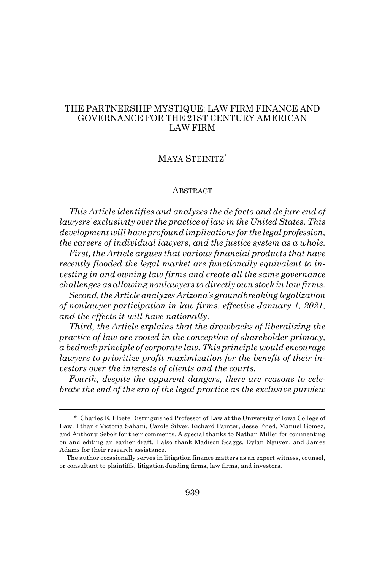# THE PARTNERSHIP MYSTIQUE: LAW FIRM FINANCE AND GOVERNANCE FOR THE 21ST CENTURY AMERICAN LAW FIRM

# MAYA STEINITZ\*

#### ABSTRACT

*This Article identifies and analyzes the de facto and de jure end of lawyers' exclusivity over the practice of law in the United States. This development will have profound implications for the legal profession, the careers of individual lawyers, and the justice system as a whole.*

*First, the Article argues that various financial products that have recently flooded the legal market are functionally equivalent to investing in and owning law firms and create all the same governance challenges as allowing nonlawyers to directly own stock in law firms.*

*Second, the Article analyzes Arizona's groundbreaking legalization of nonlawyer participation in law firms, effective January 1, 2021, and the effects it will have nationally.*

*Third, the Article explains that the drawbacks of liberalizing the practice of law are rooted in the conception of shareholder primacy, a bedrock principle of corporate law. This principle would encourage lawyers to prioritize profit maximization for the benefit of their investors over the interests of clients and the courts.*

*Fourth, despite the apparent dangers, there are reasons to celebrate the end of the era of the legal practice as the exclusive purview*

<sup>\*</sup> Charles E. Floete Distinguished Professor of Law at the University of Iowa College of Law. I thank Victoria Sahani, Carole Silver, Richard Painter, Jesse Fried, Manuel Gomez, and Anthony Sebok for their comments. A special thanks to Nathan Miller for commenting on and editing an earlier draft. I also thank Madison Scaggs, Dylan Nguyen, and James Adams for their research assistance.

The author occasionally serves in litigation finance matters as an expert witness, counsel, or consultant to plaintiffs, litigation-funding firms, law firms, and investors.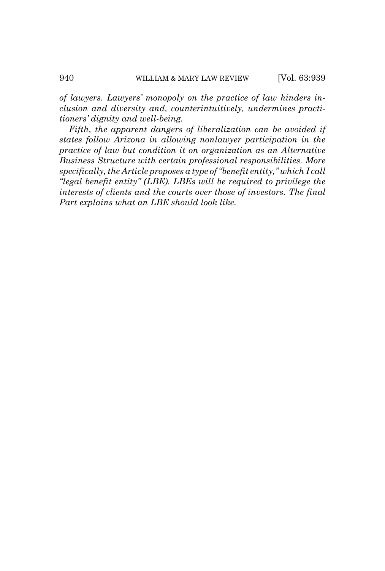*of lawyers. Lawyers' monopoly on the practice of law hinders inclusion and diversity and, counterintuitively, undermines practitioners' dignity and well-being.*

*Fifth, the apparent dangers of liberalization can be avoided if states follow Arizona in allowing nonlawyer participation in the practice of law but condition it on organization as an Alternative Business Structure with certain professional responsibilities. More specifically, the Article proposes a type of "benefit entity," which I call "legal benefit entity" (LBE). LBEs will be required to privilege the interests of clients and the courts over those of investors. The final Part explains what an LBE should look like.*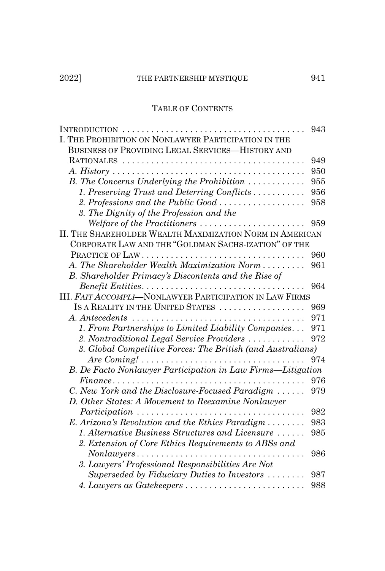# TABLE OF CONTENTS

| I. THE PROHIBITION ON NONLAWYER PARTICIPATION IN THE                                                 |     |  |
|------------------------------------------------------------------------------------------------------|-----|--|
| BUSINESS OF PROVIDING LEGAL SERVICES-HISTORY AND                                                     |     |  |
|                                                                                                      | 949 |  |
|                                                                                                      | 950 |  |
| B. The Concerns Underlying the Prohibition $\ldots \ldots \ldots$                                    | 955 |  |
| 1. Preserving Trust and Deterring Conflicts                                                          | 956 |  |
| 2. Professions and the Public Good $\ldots \ldots \ldots \ldots \ldots$                              | 958 |  |
| 3. The Dignity of the Profession and the                                                             |     |  |
| Welfare of the Practitioners                                                                         | 959 |  |
| II. THE SHAREHOLDER WEALTH MAXIMIZATION NORM IN AMERICAN                                             |     |  |
| CORPORATE LAW AND THE "GOLDMAN SACHS-IZATION" OF THE                                                 |     |  |
|                                                                                                      | 960 |  |
| A. The Shareholder Wealth Maximization Norm                                                          | 961 |  |
| B. Shareholder Primacy's Discontents and the Rise of                                                 |     |  |
|                                                                                                      | 964 |  |
| III. FAIT ACCOMPLI-NONLAWYER PARTICIPATION IN LAW FIRMS                                              |     |  |
| IS A REALITY IN THE UNITED STATES                                                                    | 969 |  |
|                                                                                                      | 971 |  |
| 1. From Partnerships to Limited Liability Companies                                                  | 971 |  |
| 2. Nontraditional Legal Service Providers                                                            | 972 |  |
| 3. Global Competitive Forces: The British (and Australians)                                          |     |  |
| Are Coming! $\ldots \ldots \ldots \ldots \ldots \ldots \ldots \ldots \ldots \ldots \ldots$           | 974 |  |
| B. De Facto Nonlawyer Participation in Law Firms-Litigation                                          |     |  |
| $Finance \ldots \ldots \ldots \ldots \ldots \ldots \ldots \ldots \ldots \ldots \ldots \ldots \ldots$ | 976 |  |
| C. New York and the Disclosure-Focused Paradigm                                                      | 979 |  |
| D. Other States: A Movement to Reexamine Nonlawyer                                                   |     |  |
| $Partition \dots \dots \dots \dots \dots \dots \dots \dots \dots \dots \dots \dots \dots \dots$      | 982 |  |
| E. Arizona's Revolution and the Ethics Paradigm $\dots \dots$                                        | 983 |  |
| 1. Alternative Business Structures and Licensure                                                     | 985 |  |
| 2. Extension of Core Ethics Requirements to ABSs and                                                 |     |  |
| $Nonlawyers \dots \dots \dots \dots \dots \dots \dots \dots \dots \dots$                             | 986 |  |
| 3. Lawyers' Professional Responsibilities Are Not                                                    |     |  |
| Superseded by Fiduciary Duties to Investors $\dots \dots$                                            | 987 |  |
| 4. Lawyers as Gatekeepers                                                                            | 988 |  |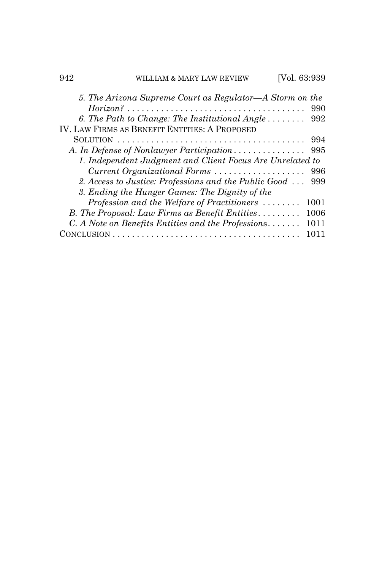| 942 | 'ILLIAM & MARY LAW REVIEW                                      | Vol. 63:939 |
|-----|----------------------------------------------------------------|-------------|
|     | 5. The Arizona Supreme Court as Regulator—A Storm on the       |             |
|     |                                                                | 990         |
|     | 6. The Path to Change: The Institutional Angle $\dots \dots$   | 992         |
|     | IV. LAW FIRMS AS BENEFIT ENTITIES: A PROPOSED                  |             |
|     |                                                                | 994         |
|     | A. In Defense of Nonlawyer Participation                       | 995         |
|     | 1. Independent Judgment and Client Focus Are Unrelated to      |             |
|     | Current Organizational Forms                                   | 996         |
|     | 2. Access to Justice: Professions and the Public Good          | 999         |
|     | 3. Ending the Hunger Games: The Dignity of the                 |             |
|     | Profession and the Welfare of Practitioners                    | 1001        |
|     | B. The Proposal: Law Firms as Benefit Entities                 | 1006        |
|     | $C. A Note on Benefits Entities and the Professions. \ldots$ . | 1011        |
|     |                                                                | 1011        |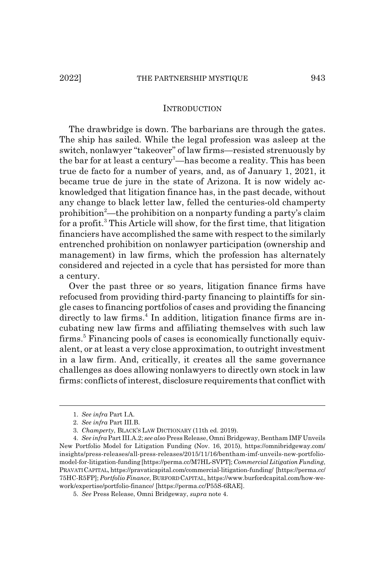#### **INTRODUCTION**

The drawbridge is down. The barbarians are through the gates. The ship has sailed. While the legal profession was asleep at the switch, nonlawyer "takeover" of law firms—resisted strenuously by the bar for at least a century<sup>1</sup>—has become a reality. This has been true de facto for a number of years, and, as of January 1, 2021, it became true de jure in the state of Arizona. It is now widely acknowledged that litigation finance has, in the past decade, without any change to black letter law, felled the centuries-old champerty prohibition<sup>2</sup>—the prohibition on a nonparty funding a party's claim for a profit.<sup>3</sup> This Article will show, for the first time, that litigation financiers have accomplished the same with respect to the similarly entrenched prohibition on nonlawyer participation (ownership and management) in law firms, which the profession has alternately considered and rejected in a cycle that has persisted for more than a century.

Over the past three or so years, litigation finance firms have refocused from providing third-party financing to plaintiffs for single cases to financing portfolios of cases and providing the financing directly to law firms.<sup>4</sup> In addition, litigation finance firms are incubating new law firms and affiliating themselves with such law firms.<sup>5</sup> Financing pools of cases is economically functionally equivalent, or at least a very close approximation, to outright investment in a law firm. And, critically, it creates all the same governance challenges as does allowing nonlawyers to directly own stock in law firms: conflicts of interest, disclosure requirements that conflict with

<sup>1.</sup> *See infra* Part I.A.

<sup>2.</sup> *See infra* Part III.B.

<sup>3.</sup> *Champerty*, BLACK'S LAW DICTIONARY (11th ed. 2019).

<sup>4.</sup> *See infra* Part III.A.2; *see also* Press Release, Omni Bridgeway, Bentham IMF Unveils New Portfolio Model for Litigation Funding (Nov. 16, 2015), https://omnibridgeway.com/ insights/press-releases/all-press-releases/2015/11/16/bentham-imf-unveils-new-portfoliomodel-for-litigation-funding [https://perma.cc/M7HL-SVPT]; *Commercial Litigation Funding*, PRAVATI CAPITAL, https://pravaticapital.com/commercial-litigation-funding/ [https://perma.cc/ 75HC-R5FP]; *Portfolio Finance*, BURFORD CAPITAL, https://www.burfordcapital.com/how-wework/expertise/portfolio-finance/ [https://perma.cc/P55S-6RAE].

<sup>5.</sup> *See* Press Release, Omni Bridgeway, *supra* note 4.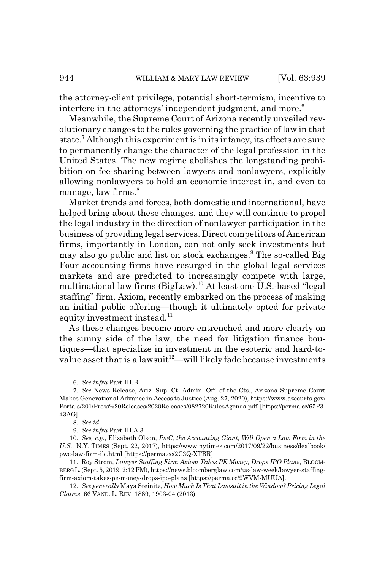the attorney-client privilege, potential short-termism, incentive to interfere in the attorneys' independent judgment, and more.<sup>6</sup>

Meanwhile, the Supreme Court of Arizona recently unveiled revolutionary changes to the rules governing the practice of law in that state.<sup>7</sup> Although this experiment is in its infancy, its effects are sure to permanently change the character of the legal profession in the United States. The new regime abolishes the longstanding prohibition on fee-sharing between lawyers and nonlawyers, explicitly allowing nonlawyers to hold an economic interest in, and even to manage, law firms. $8<sup>8</sup>$ 

Market trends and forces, both domestic and international, have helped bring about these changes, and they will continue to propel the legal industry in the direction of nonlawyer participation in the business of providing legal services. Direct competitors of American firms, importantly in London, can not only seek investments but may also go public and list on stock exchanges.<sup>9</sup> The so-called Big Four accounting firms have resurged in the global legal services markets and are predicted to increasingly compete with large, multinational law firms (BigLaw).10 At least one U.S.-based "legal staffing" firm, Axiom, recently embarked on the process of making an initial public offering—though it ultimately opted for private equity investment instead.<sup>11</sup>

As these changes become more entrenched and more clearly on the sunny side of the law, the need for litigation finance boutiques—that specialize in investment in the esoteric and hard-tovalue asset that is a lawsuit<sup>12</sup>—will likely fade because investments

<sup>6.</sup> *See infra* Part III.B.

<sup>7.</sup> *See* News Release, Ariz. Sup. Ct. Admin. Off. of the Cts., Arizona Supreme Court Makes Generational Advance in Access to Justice (Aug. 27, 2020), https://www.azcourts.gov/ Portals/201/Press%20Releases/2020Releases/082720RulesAgenda.pdf [https://perma.cc/65P3- 43AG].

<sup>8.</sup> *See id.*

<sup>9.</sup> *See infra* Part III.A.3.

<sup>10.</sup> *See, e.g.*, Elizabeth Olson, *PwC, the Accounting Giant, Will Open a Law Firm in the U.S.*, N.Y. TIMES (Sept. 22, 2017), https://www.nytimes.com/2017/09/22/business/dealbook/ pwc-law-firm-ilc.html [https://perma.cc/2C3Q-XTBR].

<sup>11.</sup> Roy Strom, *Lawyer Staffing Firm Axiom Takes PE Money, Drops IPO Plans*, BLOOM-BERG L.(Sept. 5, 2019, 2:12 PM), https://news.bloomberglaw.com/us-law-week/lawyer-staffingfirm-axiom-takes-pe-money-drops-ipo-plans [https://perma.cc/9WVM-MUUA].

<sup>12.</sup> *See generally* Maya Steinitz, *How Much Is That Lawsuit in the Window? Pricing Legal Claims*, 66 VAND. L. REV. 1889, 1903-04 (2013).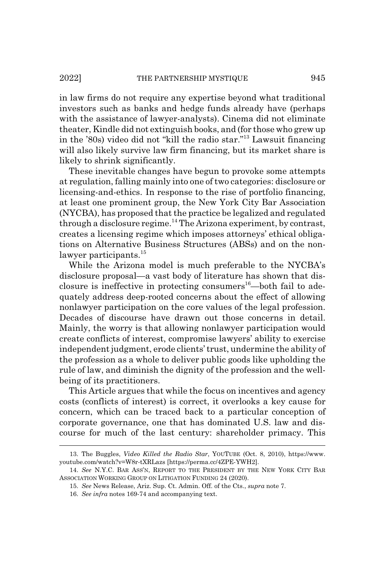in law firms do not require any expertise beyond what traditional investors such as banks and hedge funds already have (perhaps with the assistance of lawyer-analysts). Cinema did not eliminate theater, Kindle did not extinguish books, and (for those who grew up in the '80s) video did not "kill the radio star."13 Lawsuit financing will also likely survive law firm financing, but its market share is likely to shrink significantly.

These inevitable changes have begun to provoke some attempts at regulation, falling mainly into one of two categories: disclosure or licensing-and-ethics. In response to the rise of portfolio financing, at least one prominent group, the New York City Bar Association (NYCBA), has proposed that the practice be legalized and regulated through a disclosure regime.<sup>14</sup> The Arizona experiment, by contrast, creates a licensing regime which imposes attorneys' ethical obligations on Alternative Business Structures (ABSs) and on the nonlawyer participants.<sup>15</sup>

While the Arizona model is much preferable to the NYCBA's disclosure proposal—a vast body of literature has shown that disclosure is ineffective in protecting consumers<sup>16</sup>—both fail to adequately address deep-rooted concerns about the effect of allowing nonlawyer participation on the core values of the legal profession. Decades of discourse have drawn out those concerns in detail. Mainly, the worry is that allowing nonlawyer participation would create conflicts of interest, compromise lawyers' ability to exercise independent judgment, erode clients' trust, undermine the ability of the profession as a whole to deliver public goods like upholding the rule of law, and diminish the dignity of the profession and the wellbeing of its practitioners.

This Article argues that while the focus on incentives and agency costs (conflicts of interest) is correct, it overlooks a key cause for concern, which can be traced back to a particular conception of corporate governance, one that has dominated U.S. law and discourse for much of the last century: shareholder primacy. This

<sup>13.</sup> The Buggles, *Video Killed the Radio Star*, YOUTUBE (Oct. 8, 2010), https://www. youtube.com/watch?v=W8r-tXRLazs [https://perma.cc/4ZPE-YWH2].

<sup>14.</sup> *See* N.Y.C. BAR ASS'N, REPORT TO THE PRESIDENT BY THE NEW YORK CITY BAR ASSOCIATION WORKING GROUP ON LITIGATION FUNDING 24 (2020).

<sup>15.</sup> *See* News Release, Ariz. Sup. Ct. Admin. Off. of the Cts., *supra* note 7.

<sup>16.</sup> *See infra* notes 169-74 and accompanying text.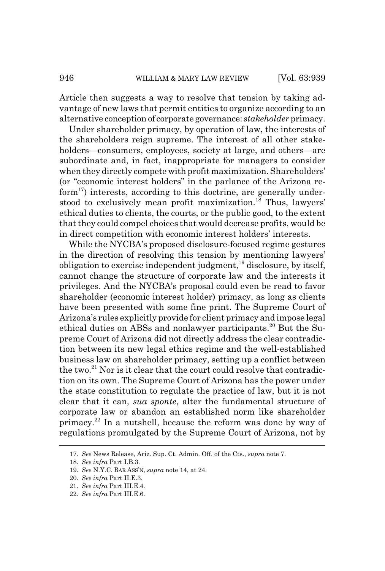Article then suggests a way to resolve that tension by taking advantage of new laws that permit entities to organize according to an alternative conception of corporate governance: *stakeholder* primacy.

Under shareholder primacy, by operation of law, the interests of the shareholders reign supreme. The interest of all other stakeholders—consumers, employees, society at large, and others—are subordinate and, in fact, inappropriate for managers to consider when they directly compete with profit maximization. Shareholders' (or "economic interest holders" in the parlance of the Arizona reform<sup>17</sup>) interests, according to this doctrine, are generally understood to exclusively mean profit maximization.<sup>18</sup> Thus, lawyers' ethical duties to clients, the courts, or the public good, to the extent that they could compel choices that would decrease profits, would be in direct competition with economic interest holders' interests.

While the NYCBA's proposed disclosure-focused regime gestures in the direction of resolving this tension by mentioning lawyers' obligation to exercise independent judgment, $^{19}$  disclosure, by itself, cannot change the structure of corporate law and the interests it privileges. And the NYCBA's proposal could even be read to favor shareholder (economic interest holder) primacy, as long as clients have been presented with some fine print. The Supreme Court of Arizona's rules explicitly provide for client primacy and impose legal ethical duties on ABSs and nonlawyer participants.<sup>20</sup> But the Supreme Court of Arizona did not directly address the clear contradiction between its new legal ethics regime and the well-established business law on shareholder primacy, setting up a conflict between the two.<sup>21</sup> Nor is it clear that the court could resolve that contradiction on its own. The Supreme Court of Arizona has the power under the state constitution to regulate the practice of law, but it is not clear that it can, *sua sponte*, alter the fundamental structure of corporate law or abandon an established norm like shareholder primacy.22 In a nutshell, because the reform was done by way of regulations promulgated by the Supreme Court of Arizona, not by

<sup>17.</sup> *See* News Release, Ariz. Sup. Ct. Admin. Off. of the Cts., *supra* note 7.

<sup>18.</sup> *See infra* Part I.B.3.

<sup>19.</sup> *See* N.Y.C. BAR ASS'N, *supra* note 14, at 24.

<sup>20.</sup> *See infra* Part II.E.3.

<sup>21.</sup> *See infra* Part III.E.4.

<sup>22.</sup> *See infra* Part III.E.6.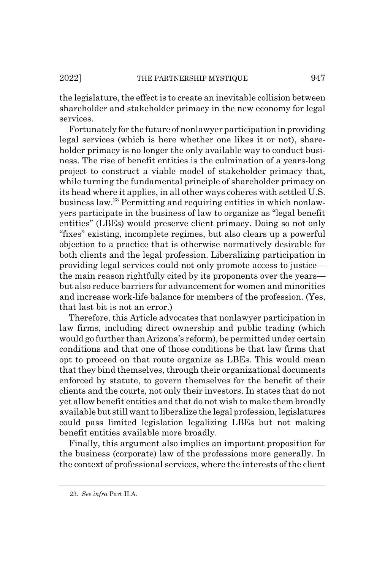the legislature, the effect is to create an inevitable collision between shareholder and stakeholder primacy in the new economy for legal services.

Fortunately for the future of nonlawyer participation in providing legal services (which is here whether one likes it or not), shareholder primacy is no longer the only available way to conduct business. The rise of benefit entities is the culmination of a years-long project to construct a viable model of stakeholder primacy that, while turning the fundamental principle of shareholder primacy on its head where it applies, in all other ways coheres with settled U.S. business law.23 Permitting and requiring entities in which nonlawyers participate in the business of law to organize as "legal benefit entities" (LBEs) would preserve client primacy. Doing so not only "fixes" existing, incomplete regimes, but also clears up a powerful objection to a practice that is otherwise normatively desirable for both clients and the legal profession. Liberalizing participation in providing legal services could not only promote access to justice the main reason rightfully cited by its proponents over the years but also reduce barriers for advancement for women and minorities and increase work-life balance for members of the profession. (Yes, that last bit is not an error.)

Therefore, this Article advocates that nonlawyer participation in law firms, including direct ownership and public trading (which would go further than Arizona's reform), be permitted under certain conditions and that one of those conditions be that law firms that opt to proceed on that route organize as LBEs. This would mean that they bind themselves, through their organizational documents enforced by statute, to govern themselves for the benefit of their clients and the courts, not only their investors. In states that do not yet allow benefit entities and that do not wish to make them broadly available but still want to liberalize the legal profession, legislatures could pass limited legislation legalizing LBEs but not making benefit entities available more broadly.

Finally, this argument also implies an important proposition for the business (corporate) law of the professions more generally. In the context of professional services, where the interests of the client

<sup>23.</sup> *See infra* Part II.A.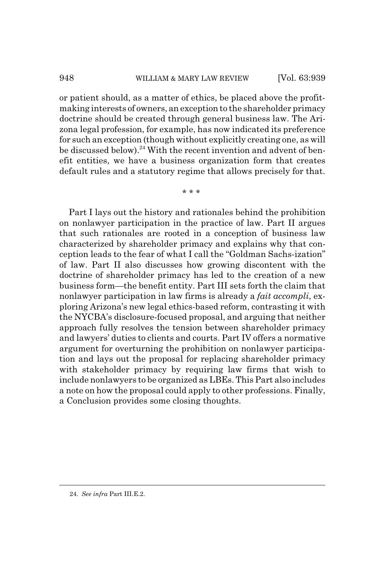or patient should, as a matter of ethics, be placed above the profitmaking interests of owners, an exception to the shareholder primacy doctrine should be created through general business law. The Arizona legal profession, for example, has now indicated its preference for such an exception (though without explicitly creating one, as will be discussed below).<sup>24</sup> With the recent invention and advent of benefit entities, we have a business organization form that creates default rules and a statutory regime that allows precisely for that.

\* \* \*

Part I lays out the history and rationales behind the prohibition on nonlawyer participation in the practice of law. Part II argues that such rationales are rooted in a conception of business law characterized by shareholder primacy and explains why that conception leads to the fear of what I call the "Goldman Sachs-ization" of law. Part II also discusses how growing discontent with the doctrine of shareholder primacy has led to the creation of a new business form—the benefit entity. Part III sets forth the claim that nonlawyer participation in law firms is already a *fait accompli*, exploring Arizona's new legal ethics-based reform, contrasting it with the NYCBA's disclosure-focused proposal, and arguing that neither approach fully resolves the tension between shareholder primacy and lawyers' duties to clients and courts. Part IV offers a normative argument for overturning the prohibition on nonlawyer participation and lays out the proposal for replacing shareholder primacy with stakeholder primacy by requiring law firms that wish to include nonlawyers to be organized as LBEs. This Part also includes a note on how the proposal could apply to other professions. Finally, a Conclusion provides some closing thoughts.

<sup>24.</sup> *See infra* Part III.E.2.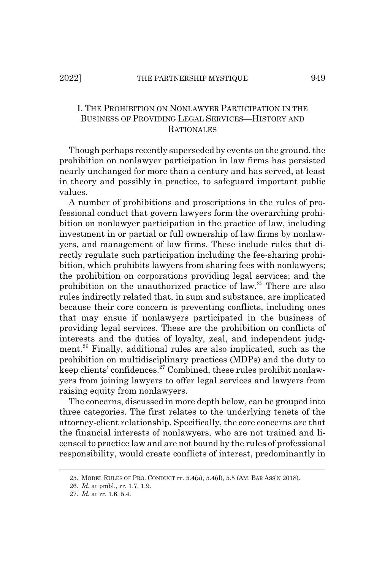# I. THE PROHIBITION ON NONLAWYER PARTICIPATION IN THE BUSINESS OF PROVIDING LEGAL SERVICES—HISTORY AND **RATIONALES**

Though perhaps recently superseded by events on the ground, the prohibition on nonlawyer participation in law firms has persisted nearly unchanged for more than a century and has served, at least in theory and possibly in practice, to safeguard important public values.

A number of prohibitions and proscriptions in the rules of professional conduct that govern lawyers form the overarching prohibition on nonlawyer participation in the practice of law, including investment in or partial or full ownership of law firms by nonlawyers, and management of law firms. These include rules that directly regulate such participation including the fee-sharing prohibition, which prohibits lawyers from sharing fees with nonlawyers; the prohibition on corporations providing legal services; and the prohibition on the unauthorized practice of law.25 There are also rules indirectly related that, in sum and substance, are implicated because their core concern is preventing conflicts, including ones that may ensue if nonlawyers participated in the business of providing legal services. These are the prohibition on conflicts of interests and the duties of loyalty, zeal, and independent judgment.<sup>26</sup> Finally, additional rules are also implicated, such as the prohibition on multidisciplinary practices (MDPs) and the duty to keep clients' confidences.<sup> $27$ </sup> Combined, these rules prohibit nonlawyers from joining lawyers to offer legal services and lawyers from raising equity from nonlawyers.

The concerns, discussed in more depth below, can be grouped into three categories. The first relates to the underlying tenets of the attorney-client relationship. Specifically, the core concerns are that the financial interests of nonlawyers, who are not trained and licensed to practice law and are not bound by the rules of professional responsibility, would create conflicts of interest, predominantly in

<sup>25.</sup> MODEL RULES OF PRO. CONDUCT rr. 5.4(a), 5.4(d), 5.5 (AM. BAR ASS'N 2018).

<sup>26.</sup> *Id.* at pmbl., rr. 1.7, 1.9.

<sup>27.</sup> *Id.* at rr. 1.6, 5.4.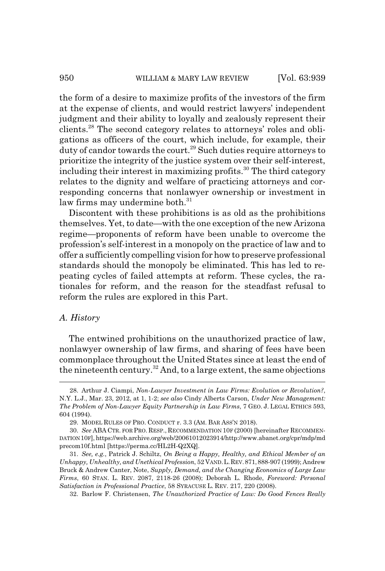the form of a desire to maximize profits of the investors of the firm at the expense of clients, and would restrict lawyers' independent judgment and their ability to loyally and zealously represent their clients.28 The second category relates to attorneys' roles and obligations as officers of the court, which include, for example, their duty of candor towards the court.<sup>29</sup> Such duties require attorneys to prioritize the integrity of the justice system over their self-interest, including their interest in maximizing profits.<sup>30</sup> The third category relates to the dignity and welfare of practicing attorneys and corresponding concerns that nonlawyer ownership or investment in law firms may undermine both. $31$ 

Discontent with these prohibitions is as old as the prohibitions themselves. Yet, to date—with the one exception of the new Arizona regime—proponents of reform have been unable to overcome the profession's self-interest in a monopoly on the practice of law and to offer a sufficiently compelling vision for how to preserve professional standards should the monopoly be eliminated. This has led to repeating cycles of failed attempts at reform. These cycles, the rationales for reform, and the reason for the steadfast refusal to reform the rules are explored in this Part.

#### *A. History*

The entwined prohibitions on the unauthorized practice of law, nonlawyer ownership of law firms, and sharing of fees have been commonplace throughout the United States since at least the end of the nineteenth century.<sup>32</sup> And, to a large extent, the same objections

32. Barlow F. Christensen, *The Unauthorized Practice of Law: Do Good Fences Really*

<sup>28.</sup> Arthur J. Ciampi, *Non-Lawyer Investment in Law Firms: Evolution or Revolution?*, N.Y. L.J., Mar. 23, 2012, at 1, 1-2; *see also* Cindy Alberts Carson, *Under New Management: The Problem of Non-Lawyer Equity Partnership in Law Firms*, 7 GEO. J. LEGAL ETHICS 593, 604 (1994).

<sup>29.</sup> MODEL RULES OF PRO. CONDUCT r. 3.3 (AM. BAR ASS'N 2018).

<sup>30.</sup> *See* ABA CTR. FOR PRO. RESP., RECOMMENDATION 10F (2000) [hereinafter RECOMMEN-DATION 10F], https://web.archive.org/web/20061012023914/http://www.abanet.org/cpr/mdp/md precom10f.html [https://perma.cc/HL2H-Q2XQ].

<sup>31.</sup> *See, e.g.*, Patrick J. Schiltz, *On Being a Happy, Healthy, and Ethical Member of an Unhappy, Unhealthy, and Unethical Profession*, 52 VAND.L.REV.871,888-907 (1999); Andrew Bruck & Andrew Canter, Note, *Supply, Demand, and the Changing Economics of Large Law Firms*, 60 STAN. L. REV. 2087, 2118-26 (2008); Deborah L. Rhode, *Foreword: Personal Satisfaction in Professional Practice*, 58 SYRACUSE L. REV. 217, 220 (2008).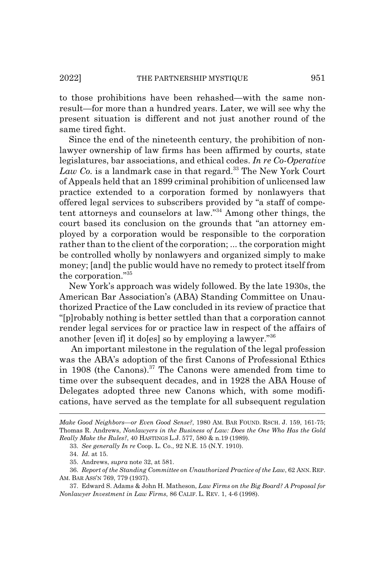to those prohibitions have been rehashed—with the same nonresult—for more than a hundred years. Later, we will see why the present situation is different and not just another round of the same tired fight.

Since the end of the nineteenth century, the prohibition of nonlawyer ownership of law firms has been affirmed by courts, state legislatures, bar associations, and ethical codes. *In re Co-Operative* Law Co. is a landmark case in that regard.<sup>33</sup> The New York Court of Appeals held that an 1899 criminal prohibition of unlicensed law practice extended to a corporation formed by nonlawyers that offered legal services to subscribers provided by "a staff of competent attorneys and counselors at law."34 Among other things, the court based its conclusion on the grounds that "an attorney employed by a corporation would be responsible to the corporation rather than to the client of the corporation; ... the corporation might be controlled wholly by nonlawyers and organized simply to make money; [and] the public would have no remedy to protect itself from the corporation."35

New York's approach was widely followed. By the late 1930s, the American Bar Association's (ABA) Standing Committee on Unauthorized Practice of the Law concluded in its review of practice that "[p]robably nothing is better settled than that a corporation cannot render legal services for or practice law in respect of the affairs of another [even if] it do[es] so by employing a lawyer."36

 An important milestone in the regulation of the legal profession was the ABA's adoption of the first Canons of Professional Ethics in 1908 (the Canons). $37$  The Canons were amended from time to time over the subsequent decades, and in 1928 the ABA House of Delegates adopted three new Canons which, with some modifications, have served as the template for all subsequent regulation

*Make Good Neighbors—or Even Good Sense?*, 1980 AM. BAR FOUND. RSCH. J. 159, 161-75; Thomas R. Andrews, *Nonlawyers in the Business of Law: Does the One Who Has the Gold Really Make the Rules?*, 40 HASTINGS L.J. 577, 580 & n.19 (1989).

<sup>33.</sup> *See generally In re* Coop. L. Co., 92 N.E. 15 (N.Y. 1910).

<sup>34.</sup> *Id.* at 15.

<sup>35.</sup> Andrews, *supra* note 32, at 581.

<sup>36.</sup> *Report of the Standing Committee on Unauthorized Practice of the Law*, 62 ANN. REP. AM. BAR ASS'N 769, 779 (1937).

<sup>37.</sup> Edward S. Adams & John H. Matheson, *Law Firms on the Big Board? A Proposal for Nonlawyer Investment in Law Firms*, 86 CALIF. L. REV. 1, 4-6 (1998).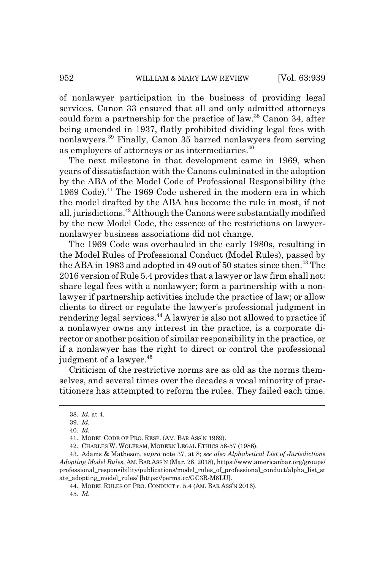of nonlawyer participation in the business of providing legal services. Canon 33 ensured that all and only admitted attorneys could form a partnership for the practice of law.<sup>38</sup> Canon 34, after being amended in 1937, flatly prohibited dividing legal fees with nonlawyers.<sup>39</sup> Finally, Canon 35 barred nonlawyers from serving as employers of attorneys or as intermediaries.<sup>40</sup>

The next milestone in that development came in 1969, when years of dissatisfaction with the Canons culminated in the adoption by the ABA of the Model Code of Professional Responsibility (the 1969 Code).<sup>41</sup> The 1969 Code ushered in the modern era in which the model drafted by the ABA has become the rule in most, if not all, jurisdictions.<sup>42</sup> Although the Canons were substantially modified by the new Model Code, the essence of the restrictions on lawyernonlawyer business associations did not change.

The 1969 Code was overhauled in the early 1980s, resulting in the Model Rules of Professional Conduct (Model Rules), passed by the ABA in 1983 and adopted in 49 out of 50 states since then.<sup>43</sup> The 2016 version of Rule 5.4 provides that a lawyer or law firm shall not: share legal fees with a nonlawyer; form a partnership with a nonlawyer if partnership activities include the practice of law; or allow clients to direct or regulate the lawyer's professional judgment in rendering legal services.<sup>44</sup> A lawyer is also not allowed to practice if a nonlawyer owns any interest in the practice, is a corporate director or another position of similar responsibility in the practice, or if a nonlawyer has the right to direct or control the professional judgment of a lawyer.<sup>45</sup>

Criticism of the restrictive norms are as old as the norms themselves, and several times over the decades a vocal minority of practitioners has attempted to reform the rules. They failed each time.

44. MODEL RULES OF PRO. CONDUCT r. 5.4 (AM. BAR ASS'N 2016).

<sup>38.</sup> *Id.* at 4.

<sup>39.</sup> *Id.*

<sup>40.</sup> *Id.*

<sup>41.</sup> MODEL CODE OF PRO. RESP. (AM. BAR ASS'N 1969).

<sup>42.</sup> CHARLES W. WOLFRAM, MODERN LEGAL ETHICS 56-57 (1986).

<sup>43.</sup> Adams & Matheson, *supra* note 37, at 8; *see also Alphabetical List of Jurisdictions Adopting Model Rules*, AM. BAR ASS'N (Mar. 28, 2018), https://www.americanbar.org/groups/ professional\_responsibility/publications/model\_rules\_of\_professional\_conduct/alpha\_list\_st ate\_adopting\_model\_rules/ [https://perma.cc/GC3R-M8LU].

<sup>45.</sup> *Id.*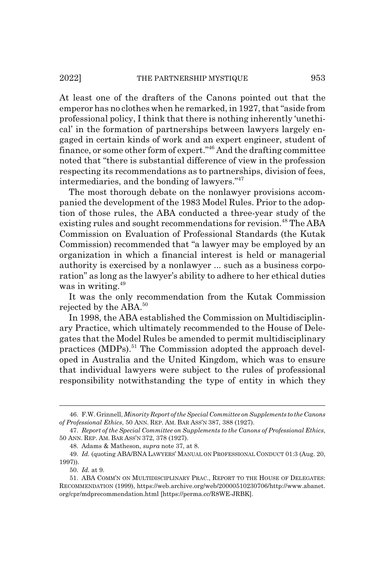At least one of the drafters of the Canons pointed out that the emperor has no clothes when he remarked, in 1927, that "aside from professional policy, I think that there is nothing inherently 'unethical' in the formation of partnerships between lawyers largely engaged in certain kinds of work and an expert engineer, student of finance, or some other form of expert."46 And the drafting committee noted that "there is substantial difference of view in the profession respecting its recommendations as to partnerships, division of fees, intermediaries, and the bonding of lawyers."47

The most thorough debate on the nonlawyer provisions accompanied the development of the 1983 Model Rules. Prior to the adoption of those rules, the ABA conducted a three-year study of the existing rules and sought recommendations for revision.<sup>48</sup> The ABA Commission on Evaluation of Professional Standards (the Kutak Commission) recommended that "a lawyer may be employed by an organization in which a financial interest is held or managerial authority is exercised by a nonlawyer ... such as a business corporation" as long as the lawyer's ability to adhere to her ethical duties was in writing.<sup>49</sup>

It was the only recommendation from the Kutak Commission rejected by the ABA.<sup>50</sup>

In 1998, the ABA established the Commission on Multidisciplinary Practice, which ultimately recommended to the House of Delegates that the Model Rules be amended to permit multidisciplinary practices (MDPs).<sup>51</sup> The Commission adopted the approach developed in Australia and the United Kingdom, which was to ensure that individual lawyers were subject to the rules of professional responsibility notwithstanding the type of entity in which they

<sup>46.</sup> F.W. Grinnell, *Minority Report of the Special Committee on Supplements to the Canons of Professional Ethics*, 50 ANN. REP. AM. BAR ASS'N 387, 388 (1927).

<sup>47.</sup> *Report of the Special Committee on Supplements to the Canons of Professional Ethics*, 50 ANN. REP. AM. BAR ASS'N 372, 378 (1927).

<sup>48.</sup> Adams & Matheson, *supra* note 37, at 8.

<sup>49.</sup> *Id.* (quoting ABA/BNA LAWYERS' MANUAL ON PROFESSIONAL CONDUCT 01:3 (Aug. 20, 1997)).

<sup>50.</sup> *Id.* at 9.

<sup>51.</sup> ABA COMM'N ON MULTIDISCIPLINARY PRAC., REPORT TO THE HOUSE OF DELEGATES: RECOMMENDATION (1999), https://web.archive.org/web/20000510230706/http://www.abanet. org/cpr/mdprecommendation.html [https://perma.cc/R8WE-JRBK].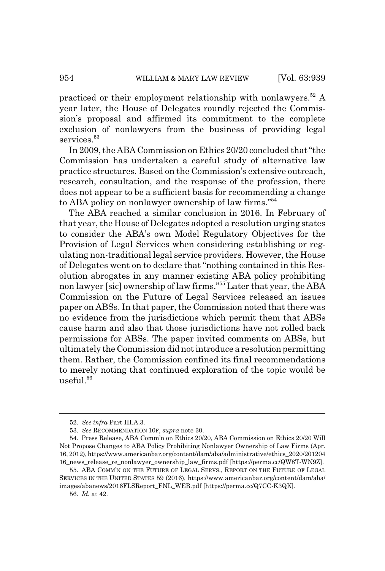practiced or their employment relationship with nonlawyers.<sup>52</sup> A year later, the House of Delegates roundly rejected the Commission's proposal and affirmed its commitment to the complete exclusion of nonlawyers from the business of providing legal services.<sup>53</sup>

In 2009, the ABA Commission on Ethics 20/20 concluded that "the Commission has undertaken a careful study of alternative law practice structures. Based on the Commission's extensive outreach, research, consultation, and the response of the profession, there does not appear to be a sufficient basis for recommending a change to ABA policy on nonlawyer ownership of law firms."54

The ABA reached a similar conclusion in 2016. In February of that year, the House of Delegates adopted a resolution urging states to consider the ABA's own Model Regulatory Objectives for the Provision of Legal Services when considering establishing or regulating non-traditional legal service providers. However, the House of Delegates went on to declare that "nothing contained in this Resolution abrogates in any manner existing ABA policy prohibiting non lawyer [sic] ownership of law firms."55 Later that year, the ABA Commission on the Future of Legal Services released an issues paper on ABSs. In that paper, the Commission noted that there was no evidence from the jurisdictions which permit them that ABSs cause harm and also that those jurisdictions have not rolled back permissions for ABSs. The paper invited comments on ABSs, but ultimately the Commission did not introduce a resolution permitting them. Rather, the Commission confined its final recommendations to merely noting that continued exploration of the topic would be useful. $56$ 

<sup>52.</sup> *See infra* Part III.A.3.

<sup>53.</sup> *See* RECOMMENDATION 10F, *supra* note 30.

<sup>54.</sup> Press Release, ABA Comm'n on Ethics 20/20, ABA Commission on Ethics 20/20 Will Not Propose Changes to ABA Policy Prohibiting Nonlawyer Ownership of Law Firms (Apr. 16, 2012), https://www.americanbar.org/content/dam/aba/administrative/ethics\_2020/201204 16\_news\_release\_re\_nonlawyer\_ownership\_law\_firms.pdf [https://perma.cc/QW8T-WN9Z].

<sup>55.</sup> ABA COMM'N ON THE FUTURE OF LEGAL SERVS., REPORT ON THE FUTURE OF LEGAL SERVICES IN THE UNITED STATES 59 (2016), https://www.americanbar.org/content/dam/aba/ images/abanews/2016FLSReport\_FNL\_WEB.pdf [https://perma.cc/Q7CC-K3QK].

<sup>56.</sup> *Id.* at 42.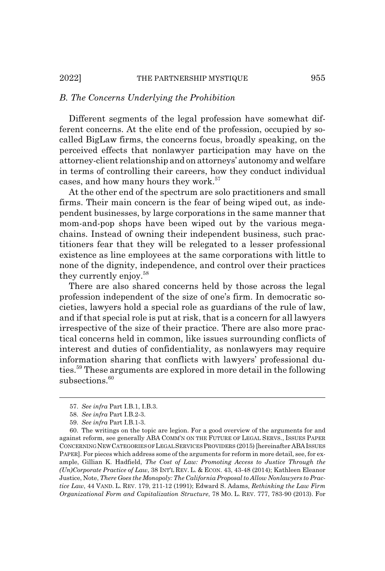#### *B. The Concerns Underlying the Prohibition*

Different segments of the legal profession have somewhat different concerns. At the elite end of the profession, occupied by socalled BigLaw firms, the concerns focus, broadly speaking, on the perceived effects that nonlawyer participation may have on the attorney-client relationship and on attorneys' autonomy and welfare in terms of controlling their careers, how they conduct individual cases, and how many hours they work.<sup>57</sup>

At the other end of the spectrum are solo practitioners and small firms. Their main concern is the fear of being wiped out, as independent businesses, by large corporations in the same manner that mom-and-pop shops have been wiped out by the various megachains. Instead of owning their independent business, such practitioners fear that they will be relegated to a lesser professional existence as line employees at the same corporations with little to none of the dignity, independence, and control over their practices they currently enjoy.<sup>58</sup>

There are also shared concerns held by those across the legal profession independent of the size of one's firm. In democratic societies, lawyers hold a special role as guardians of the rule of law, and if that special role is put at risk, that is a concern for all lawyers irrespective of the size of their practice. There are also more practical concerns held in common, like issues surrounding conflicts of interest and duties of confidentiality, as nonlawyers may require information sharing that conflicts with lawyers' professional duties.59 These arguments are explored in more detail in the following subsections.<sup>60</sup>

<sup>57.</sup> *See infra* Part I.B.1, I.B.3.

<sup>58.</sup> *See infra* Part I.B.2-3.

<sup>59.</sup> *See infra* Part I.B.1-3.

<sup>60.</sup> The writings on the topic are legion. For a good overview of the arguments for and against reform, see generally ABA COMM'N ON THE FUTURE OF LEGAL SERVS., ISSUES PAPER CONCERNING NEWCATEGORIES OF LEGAL SERVICES PROVIDERS (2015) [hereinafter ABAISSUES PAPER]. For pieces which address some of the arguments for reform in more detail, see, for example, Gillian K. Hadfield, *The Cost of Law: Promoting Access to Justice Through the (Un)Corporate Practice of Law*, 38 INT'L REV. L. & ECON. 43, 43-48 (2014); Kathleen Eleanor Justice, Note, *There Goes the Monopoly: The California Proposal to Allow Nonlawyers to Practice Law*, 44 VAND. L. REV. 179, 211-12 (1991); Edward S. Adams, *Rethinking the Law Firm Organizational Form and Capitalization Structure*, 78 MO. L. REV. 777, 783-90 (2013). For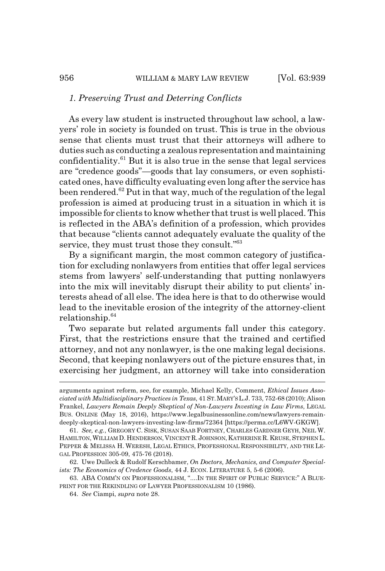### *1. Preserving Trust and Deterring Conflicts*

As every law student is instructed throughout law school, a lawyers' role in society is founded on trust. This is true in the obvious sense that clients must trust that their attorneys will adhere to duties such as conducting a zealous representation and maintaining confidentiality. $61$  But it is also true in the sense that legal services are "credence goods"—goods that lay consumers, or even sophisticated ones, have difficulty evaluating even long after the service has been rendered.<sup>62</sup> Put in that way, much of the regulation of the legal profession is aimed at producing trust in a situation in which it is impossible for clients to know whether that trust is well placed. This is reflected in the ABA's definition of a profession, which provides that because "clients cannot adequately evaluate the quality of the service, they must trust those they consult."63

By a significant margin, the most common category of justification for excluding nonlawyers from entities that offer legal services stems from lawyers' self-understanding that putting nonlawyers into the mix will inevitably disrupt their ability to put clients' interests ahead of all else. The idea here is that to do otherwise would lead to the inevitable erosion of the integrity of the attorney-client relationship.64

Two separate but related arguments fall under this category. First, that the restrictions ensure that the trained and certified attorney, and not any nonlawyer, is the one making legal decisions. Second, that keeping nonlawyers out of the picture ensures that, in exercising her judgment, an attorney will take into consideration

arguments against reform, see, for example, Michael Kelly, Comment, *Ethical Issues Associated with Multidisciplinary Practices in Texas*, 41 ST.MARY'SL.J. 733, 752-68 (2010); Alison Frankel, *Lawyers Remain Deeply Skeptical of Non-Lawyers Investing in Law Firms*, LEGAL BUS. ONLINE (May 18, 2016), https://www.legalbusinessonline.com/news/lawyers-remaindeeply-skeptical-non-lawyers-investing-law-firms/72364 [https://perma.cc/L6WV-GKGW].

<sup>61.</sup> *See, e.g.*, GREGORY C. SISK, SUSAN SAAB FORTNEY, CHARLES GARDNER GEYH, NEIL W. HAMILTON, WILLIAM D. HENDERSON, VINCENT R. JOHNSON, KATHERINE R. KRUSE, STEPHEN L. PEPPER & MELISSA H. WERESH, LEGAL ETHICS, PROFESSIONAL RESPONSIBILITY, AND THE LE-GAL PROFESSION 305-09, 475-76 (2018).

<sup>62.</sup> Uwe Dulleck & Rudolf Kerschbamer, *On Doctors, Mechanics, and Computer Specialists: The Economics of Credence Goods*, 44 J. ECON. LITERATURE 5, 5-6 (2006).

<sup>63.</sup> ABA COMM'N ON PROFESSIONALISM, "....IN THE SPIRIT OF PUBLIC SERVICE:" A BLUE-PRINT FOR THE REKINDLING OF LAWYER PROFESSIONALISM 10 (1986).

<sup>64.</sup> *See* Ciampi, *supra* note 28.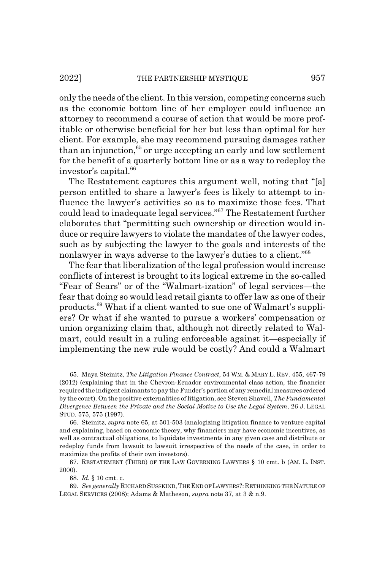only the needs of the client. In this version, competing concerns such as the economic bottom line of her employer could influence an attorney to recommend a course of action that would be more profitable or otherwise beneficial for her but less than optimal for her client. For example, she may recommend pursuing damages rather than an injunction,<sup>65</sup> or urge accepting an early and low settlement for the benefit of a quarterly bottom line or as a way to redeploy the investor's capital.<sup>66</sup>

The Restatement captures this argument well, noting that "[a] person entitled to share a lawyer's fees is likely to attempt to influence the lawyer's activities so as to maximize those fees. That could lead to inadequate legal services."67 The Restatement further elaborates that "permitting such ownership or direction would induce or require lawyers to violate the mandates of the lawyer codes, such as by subjecting the lawyer to the goals and interests of the nonlawyer in ways adverse to the lawyer's duties to a client."68

The fear that liberalization of the legal profession would increase conflicts of interest is brought to its logical extreme in the so-called "Fear of Sears" or of the "Walmart-ization" of legal services—the fear that doing so would lead retail giants to offer law as one of their products.69 What if a client wanted to sue one of Walmart's suppliers? Or what if she wanted to pursue a workers' compensation or union organizing claim that, although not directly related to Walmart, could result in a ruling enforceable against it—especially if implementing the new rule would be costly? And could a Walmart

<sup>65.</sup> Maya Steinitz, *The Litigation Finance Contract*, 54 WM.&MARY L. REV. 455, 467-79 (2012) (explaining that in the Chevron-Ecuador environmental class action, the financier required the indigent claimants to pay the Funder's portion of any remedial measures ordered by the court). On the positive externalities of litigation, see Steven Shavell, *The Fundamental Divergence Between the Private and the Social Motive to Use the Legal System*, 26 J. LEGAL STUD. 575, 575 (1997).

<sup>66.</sup> Steinitz, *supra* note 65, at 501-503 (analogizing litigation finance to venture capital and explaining, based on economic theory, why financiers may have economic incentives, as well as contractual obligations, to liquidate investments in any given case and distribute or redeploy funds from lawsuit to lawsuit irrespective of the needs of the case, in order to maximize the profits of their own investors).

<sup>67.</sup> RESTATEMENT (THIRD) OF THE LAW GOVERNING LAWYERS § 10 cmt. b (AM. L. INST. 2000).

<sup>68.</sup> *Id.* § 10 cmt. c.

<sup>69.</sup> *See generally* RICHARD SUSSKIND,THE END OF LAWYERS?: RETHINKING THE NATURE OF LEGAL SERVICES (2008); Adams & Matheson, *supra* note 37, at 3 & n.9.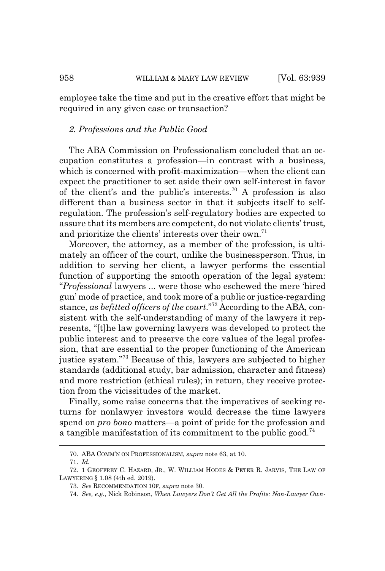employee take the time and put in the creative effort that might be required in any given case or transaction?

#### *2. Professions and the Public Good*

The ABA Commission on Professionalism concluded that an occupation constitutes a profession—in contrast with a business, which is concerned with profit-maximization—when the client can expect the practitioner to set aside their own self-interest in favor of the client's and the public's interests.<sup>70</sup> A profession is also different than a business sector in that it subjects itself to selfregulation. The profession's self-regulatory bodies are expected to assure that its members are competent, do not violate clients' trust, and prioritize the clients' interests over their own.<sup>71</sup>

Moreover, the attorney, as a member of the profession, is ultimately an officer of the court, unlike the businessperson. Thus, in addition to serving her client, a lawyer performs the essential function of supporting the smooth operation of the legal system: "*Professional* lawyers ... were those who eschewed the mere 'hired gun' mode of practice, and took more of a public or justice-regarding stance, *as befitted officers of the court*."<sup>72</sup> According to the ABA, consistent with the self-understanding of many of the lawyers it represents, "[t]he law governing lawyers was developed to protect the public interest and to preserve the core values of the legal profession, that are essential to the proper functioning of the American justice system."73 Because of this, lawyers are subjected to higher standards (additional study, bar admission, character and fitness) and more restriction (ethical rules); in return, they receive protection from the vicissitudes of the market.

Finally, some raise concerns that the imperatives of seeking returns for nonlawyer investors would decrease the time lawyers spend on *pro bono* matters—a point of pride for the profession and a tangible manifestation of its commitment to the public good.<sup>74</sup>

<sup>70.</sup> ABA COMM'N ON PROFESSIONALISM, *supra* note 63, at 10.

<sup>71.</sup> *Id.*

<sup>72. 1</sup> GEOFFREY C. HAZARD, JR., W. WILLIAM HODES & PETER R. JARVIS, THE LAW OF LAWYERING § 1.08 (4th ed. 2019).

<sup>73.</sup> *See* RECOMMENDATION 10F, *supra* note 30.

<sup>74.</sup> *See, e.g.*, Nick Robinson, *When Lawyers Don't Get All the Profits: Non-Lawyer Own-*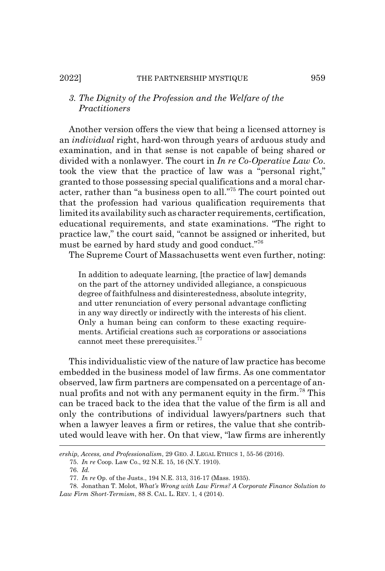#### 2022] THE PARTNERSHIP MYSTIQUE 959

# *3. The Dignity of the Profession and the Welfare of the Practitioners*

Another version offers the view that being a licensed attorney is an *individual* right, hard-won through years of arduous study and examination, and in that sense is not capable of being shared or divided with a nonlawyer. The court in *In re Co-Operative Law Co*. took the view that the practice of law was a "personal right," granted to those possessing special qualifications and a moral character, rather than "a business open to all."75 The court pointed out that the profession had various qualification requirements that limited its availability such as character requirements, certification, educational requirements, and state examinations. "The right to practice law," the court said, "cannot be assigned or inherited, but must be earned by hard study and good conduct."76

The Supreme Court of Massachusetts went even further, noting:

In addition to adequate learning, [the practice of law] demands on the part of the attorney undivided allegiance, a conspicuous degree of faithfulness and disinterestedness, absolute integrity, and utter renunciation of every personal advantage conflicting in any way directly or indirectly with the interests of his client. Only a human being can conform to these exacting requirements. Artificial creations such as corporations or associations cannot meet these prerequisites.<sup>77</sup>

This individualistic view of the nature of law practice has become embedded in the business model of law firms. As one commentator observed, law firm partners are compensated on a percentage of annual profits and not with any permanent equity in the firm.78 This can be traced back to the idea that the value of the firm is all and only the contributions of individual lawyers/partners such that when a lawyer leaves a firm or retires, the value that she contributed would leave with her. On that view, "law firms are inherently

*ership, Access, and Professionalism*, 29 GEO. J. LEGAL ETHICS 1, 55-56 (2016).

<sup>75.</sup> *In re* Coop. Law Co., 92 N.E. 15, 16 (N.Y. 1910).

<sup>76.</sup> *Id.*

<sup>77.</sup> *In re* Op. of the Justs., 194 N.E. 313, 316-17 (Mass. 1935).

<sup>78.</sup> Jonathan T. Molot, *What's Wrong with Law Firms? A Corporate Finance Solution to Law Firm Short-Termism*, 88 S. CAL. L. REV. 1, 4 (2014).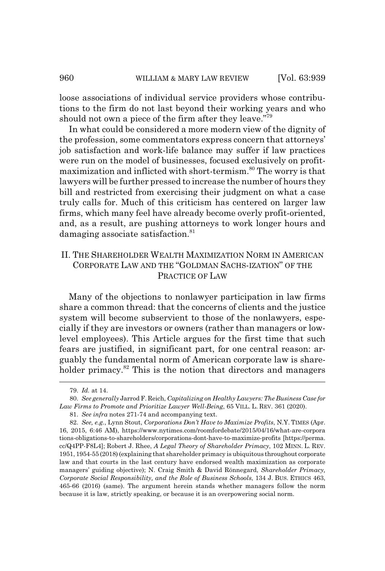loose associations of individual service providers whose contributions to the firm do not last beyond their working years and who should not own a piece of the firm after they leave."79

In what could be considered a more modern view of the dignity of the profession, some commentators express concern that attorneys' job satisfaction and work-life balance may suffer if law practices were run on the model of businesses, focused exclusively on profitmaximization and inflicted with short-termism.80 The worry is that lawyers will be further pressed to increase the number of hours they bill and restricted from exercising their judgment on what a case truly calls for. Much of this criticism has centered on larger law firms, which many feel have already become overly profit-oriented, and, as a result, are pushing attorneys to work longer hours and damaging associate satisfaction.<sup>81</sup>

# II. THE SHAREHOLDER WEALTH MAXIMIZATION NORM IN AMERICAN CORPORATE LAW AND THE "GOLDMAN SACHS-IZATION" OF THE PRACTICE OF LAW

Many of the objections to nonlawyer participation in law firms share a common thread: that the concerns of clients and the justice system will become subservient to those of the nonlawyers, especially if they are investors or owners (rather than managers or lowlevel employees). This Article argues for the first time that such fears are justified, in significant part, for one central reason: arguably the fundamental norm of American corporate law is shareholder primacy.<sup>82</sup> This is the notion that directors and managers

<sup>79.</sup> *Id.* at 14.

<sup>80.</sup> *See generally* Jarrod F. Reich, *Capitalizing on Healthy Lawyers: The Business Case for Law Firms to Promote and Prioritize Lawyer Well-Being*, 65 VILL. L. REV. 361 (2020).

<sup>81.</sup> *See infra* notes 271-74 and accompanying text.

<sup>82.</sup> *See, e.g.*, Lynn Stout, *Corporations Don't Have to Maximize Profits*, N.Y. TIMES (Apr. 16, 2015, 6:46 AM), https://www.nytimes.com/roomfordebate/2015/04/16/what-are-corpora tions-obligations-to-shareholders/corporations-dont-have-to-maximize-profits [https://perma. cc/Q4PP-F8L4]; Robert J. Rhee, *A Legal Theory of Shareholder Primacy*, 102 MINN. L. REV. 1951, 1954-55 (2018) (explaining that shareholder primacy is ubiquitous throughout corporate law and that courts in the last century have endorsed wealth maximization as corporate managers' guiding objective); N. Craig Smith & David Rönnegard, *Shareholder Primacy, Corporate Social Responsibility, and the Role of Business Schools*, 134 J. BUS. ETHICS 463, 465-66 (2016) (same). The argument herein stands whether managers follow the norm because it is law, strictly speaking, or because it is an overpowering social norm.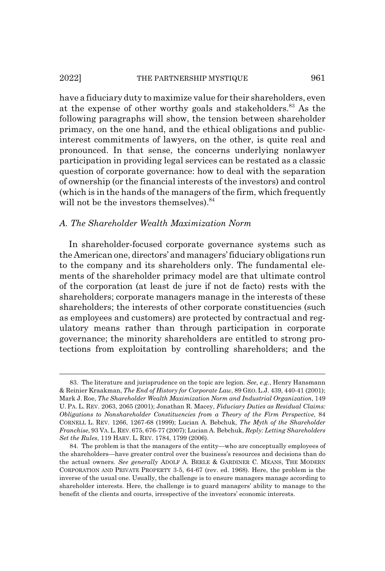#### 2022] THE PARTNERSHIP MYSTIQUE 961

have a fiduciary duty to maximize value for their shareholders, even at the expense of other worthy goals and stakeholders.<sup>83</sup> As the following paragraphs will show, the tension between shareholder primacy, on the one hand, and the ethical obligations and publicinterest commitments of lawyers, on the other, is quite real and pronounced. In that sense, the concerns underlying nonlawyer participation in providing legal services can be restated as a classic question of corporate governance: how to deal with the separation of ownership (or the financial interests of the investors) and control (which is in the hands of the managers of the firm, which frequently will not be the investors themselves). $84$ 

# *A. The Shareholder Wealth Maximization Norm*

In shareholder-focused corporate governance systems such as the American one, directors' and managers' fiduciary obligations run to the company and its shareholders only. The fundamental elements of the shareholder primacy model are that ultimate control of the corporation (at least de jure if not de facto) rests with the shareholders; corporate managers manage in the interests of these shareholders; the interests of other corporate constituencies (such as employees and customers) are protected by contractual and regulatory means rather than through participation in corporate governance; the minority shareholders are entitled to strong protections from exploitation by controlling shareholders; and the

<sup>83.</sup> The literature and jurisprudence on the topic are legion. *See, e.g.*, Henry Hansmann & Reinier Kraakman, *The End of History for Corporate Law*, 89 GEO. L.J. 439, 440-41 (2001); Mark J. Roe, *The Shareholder Wealth Maximization Norm and Industrial Organization*, 149 U. PA. L. REV. 2063, 2065 (2001); Jonathan R. Macey, *Fiduciary Duties as Residual Claims: Obligations to Nonshareholder Constituencies from a Theory of the Firm Perspective*, 84 CORNELL L. REV. 1266, 1267-68 (1999); Lucian A. Bebchuk, *The Myth of the Shareholder Franchise*, 93 VA. L.REV.675, 676-77 (2007); Lucian A. Bebchuk, *Reply: Letting Shareholders Set the Rules*, 119 HARV. L. REV. 1784, 1799 (2006).

<sup>84.</sup> The problem is that the managers of the entity—who are conceptually employees of the shareholders—have greater control over the business's resources and decisions than do the actual owners. *See generally* ADOLF A. BERLE & GARDINER C. MEANS, THE MODERN CORPORATION AND PRIVATE PROPERTY 3-5, 64-67 (rev. ed. 1968). Here, the problem is the inverse of the usual one. Usually, the challenge is to ensure managers manage according to shareholder interests. Here, the challenge is to guard managers' ability to manage to the benefit of the clients and courts, irrespective of the investors' economic interests.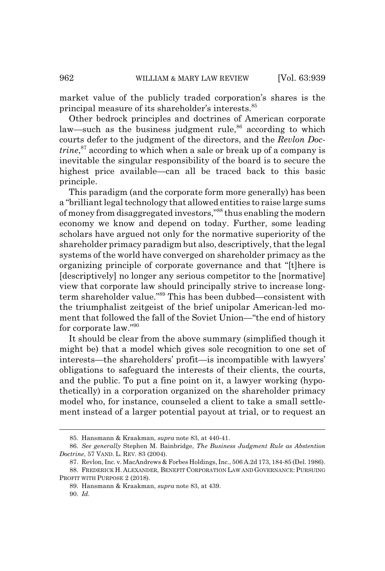market value of the publicly traded corporation's shares is the principal measure of its shareholder's interests.85

Other bedrock principles and doctrines of American corporate law—such as the business judgment rule, $86$  according to which courts defer to the judgment of the directors, and the *Revlon Doctrine*, 87 according to which when a sale or break up of a company is inevitable the singular responsibility of the board is to secure the highest price available—can all be traced back to this basic principle.

This paradigm (and the corporate form more generally) has been a "brilliant legal technology that allowed entities to raise large sums of money from disaggregated investors,"88 thus enabling the modern economy we know and depend on today. Further, some leading scholars have argued not only for the normative superiority of the shareholder primacy paradigm but also, descriptively, that the legal systems of the world have converged on shareholder primacy as the organizing principle of corporate governance and that "[t]here is [descriptively] no longer any serious competitor to the [normative] view that corporate law should principally strive to increase longterm shareholder value."89 This has been dubbed—consistent with the triumphalist zeitgeist of the brief unipolar American-led moment that followed the fall of the Soviet Union—"the end of history for corporate law."90

It should be clear from the above summary (simplified though it might be) that a model which gives sole recognition to one set of interests—the shareholders' profit—is incompatible with lawyers' obligations to safeguard the interests of their clients, the courts, and the public. To put a fine point on it, a lawyer working (hypothetically) in a corporation organized on the shareholder primacy model who, for instance, counseled a client to take a small settlement instead of a larger potential payout at trial, or to request an

<sup>85.</sup> Hansmann & Kraakman, *supra* note 83, at 440-41.

<sup>86.</sup> *See generally* Stephen M. Bainbridge, *The Business Judgment Rule as Abstention Doctrine*, 57 VAND. L. REV. 83 (2004).

<sup>87.</sup> Revlon, Inc. v. MacAndrews & Forbes Holdings, Inc., 506 A.2d 173, 184-85 (Del. 1986). 88. FREDERICK H. ALEXANDER, BENEFIT CORPORATION LAW AND GOVERNANCE: PURSUING

PROFIT WITH PURPOSE 2 (2018).

<sup>89.</sup> Hansmann & Kraakman, *supra* note 83, at 439.

<sup>90.</sup> *Id.*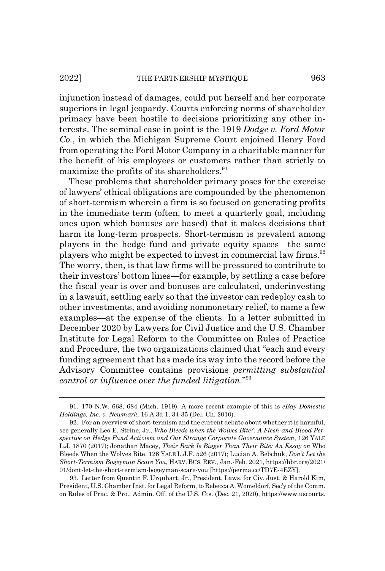#### 2022] THE PARTNERSHIP MYSTIQUE 963

injunction instead of damages, could put herself and her corporate superiors in legal jeopardy. Courts enforcing norms of shareholder primacy have been hostile to decisions prioritizing any other interests. The seminal case in point is the 1919 *Dodge v. Ford Motor Co.*, in which the Michigan Supreme Court enjoined Henry Ford from operating the Ford Motor Company in a charitable manner for the benefit of his employees or customers rather than strictly to maximize the profits of its shareholders.<sup>91</sup>

These problems that shareholder primacy poses for the exercise of lawyers' ethical obligations are compounded by the phenomenon of short-termism wherein a firm is so focused on generating profits in the immediate term (often, to meet a quarterly goal, including ones upon which bonuses are based) that it makes decisions that harm its long-term prospects. Short-termism is prevalent among players in the hedge fund and private equity spaces—the same players who might be expected to invest in commercial law firms.<sup>92</sup> The worry, then, is that law firms will be pressured to contribute to their investors' bottom lines—for example, by settling a case before the fiscal year is over and bonuses are calculated, underinvesting in a lawsuit, settling early so that the investor can redeploy cash to other investments, and avoiding nonmonetary relief, to name a few examples—at the expense of the clients. In a letter submitted in December 2020 by Lawyers for Civil Justice and the U.S. Chamber Institute for Legal Reform to the Committee on Rules of Practice and Procedure, the two organizations claimed that "each and every funding agreement that has made its way into the record before the Advisory Committee contains provisions *permitting substantial control or influence over the funded litigation*."93

93. Letter from Quentin F. Urquhart, Jr., President, Laws. for Civ. Just. & Harold Kim, President, U.S. Chamber Inst. for Legal Reform, to Rebecca A. Womeldorf, Sec'y of the Comm. on Rules of Prac. & Pro., Admin. Off. of the U.S. Cts. (Dec. 21, 2020), https://www.uscourts.

<sup>91. 170</sup> N.W. 668, 684 (Mich. 1919). A more recent example of this is *eBay Domestic Holdings, Inc. v. Newmark*, 16 A.3d 1, 34-35 (Del. Ch. 2010).

<sup>92.</sup> For an overview of short-termism and the current debate about whether it is harmful, see generally Leo E. Strine, Jr., *Who Bleeds when the Wolves Bite?: A Flesh-and-Blood Perspective on Hedge Fund Activism and Our Strange Corporate Governance System*, 126 YALE L.J. 1870 (2017); Jonathan Macey, *Their Bark Is Bigger Than Their Bite: An Essay on* Who Bleeds When the Wolves Bite, 126 YALE L.J.F. 526 (2017); Lucian A. Bebchuk, *Don't Let the Short-Termism Bogeyman Scare You*, HARV. BUS. REV., Jan.-Feb. 2021, https://hbr.org/2021/ 01/dont-let-the-short-termism-bogeyman-scare-you [https://perma.cc/TD7E-4EZY].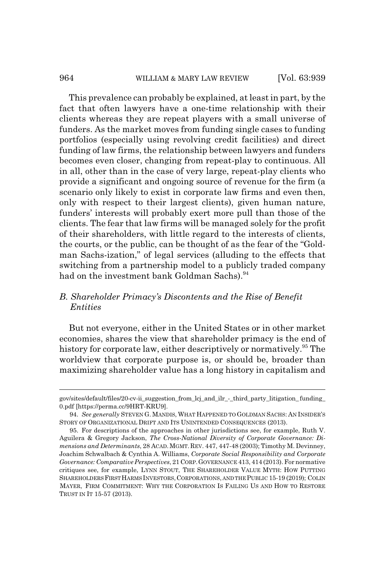This prevalence can probably be explained, at least in part, by the fact that often lawyers have a one-time relationship with their clients whereas they are repeat players with a small universe of funders. As the market moves from funding single cases to funding portfolios (especially using revolving credit facilities) and direct funding of law firms, the relationship between lawyers and funders becomes even closer, changing from repeat-play to continuous. All in all, other than in the case of very large, repeat-play clients who provide a significant and ongoing source of revenue for the firm (a scenario only likely to exist in corporate law firms and even then, only with respect to their largest clients), given human nature, funders' interests will probably exert more pull than those of the clients. The fear that law firms will be managed solely for the profit of their shareholders, with little regard to the interests of clients, the courts, or the public, can be thought of as the fear of the "Goldman Sachs-ization," of legal services (alluding to the effects that switching from a partnership model to a publicly traded company had on the investment bank Goldman Sachs).<sup>94</sup>

# *B. Shareholder Primacy's Discontents and the Rise of Benefit Entities*

But not everyone, either in the United States or in other market economies, shares the view that shareholder primacy is the end of history for corporate law, either descriptively or normatively.<sup>95</sup> The worldview that corporate purpose is, or should be, broader than maximizing shareholder value has a long history in capitalism and

gov/sites/default/files/20-cv-ii\_suggestion\_from\_lcj\_and\_ilr\_-\_third\_party\_litigation\_ funding\_ 0.pdf [https://perma.cc/9HRT-KRU9].

<sup>94.</sup> *See generally* STEVEN G. MANDIS, WHAT HAPPENED TO GOLDMAN SACHS: AN INSIDER'S STORY OF ORGANIZATIONAL DRIFT AND ITS UNINTENDED CONSEQUENCES (2013).

<sup>95.</sup> For descriptions of the approaches in other jurisdictions see, for example, Ruth V. Aguilera & Gregory Jackson, *The Cross-National Diversity of Corporate Governance: Dimensions and Determinants*, 28 ACAD. MGMT. REV. 447, 447-48 (2003); Timothy M. Devinney, Joachim Schwalbach & Cynthia A. Williams, *Corporate Social Responsibility and Corporate Governance: Comparative Perspectives*, 21 CORP.GOVERNANCE 413, 414 (2013). For normative critiques see, for example, LYNN STOUT, THE SHAREHOLDER VALUE MYTH: HOW PUTTING SHAREHOLDERS FIRSTHARMSINVESTORS,CORPORATIONS, AND THE PUBLIC 15-19 (2019); COLIN MAYER, FIRM COMMITMENT: WHY THE CORPORATION IS FAILING US AND HOW TO RESTORE TRUST IN IT 15-57 (2013).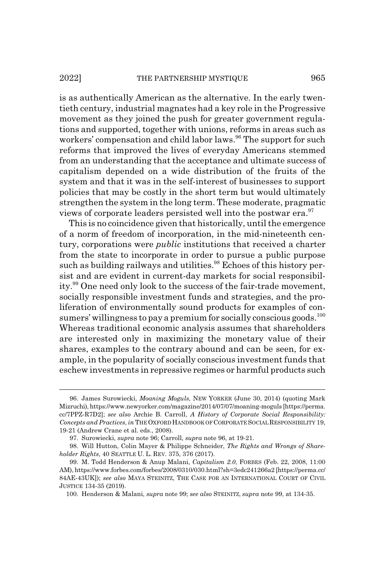#### 2022] THE PARTNERSHIP MYSTIQUE 965

is as authentically American as the alternative. In the early twentieth century, industrial magnates had a key role in the Progressive movement as they joined the push for greater government regulations and supported, together with unions, reforms in areas such as workers' compensation and child labor laws.<sup>96</sup> The support for such reforms that improved the lives of everyday Americans stemmed from an understanding that the acceptance and ultimate success of capitalism depended on a wide distribution of the fruits of the system and that it was in the self-interest of businesses to support policies that may be costly in the short term but would ultimately strengthen the system in the long term. These moderate, pragmatic views of corporate leaders persisted well into the postwar era.<sup>97</sup>

This is no coincidence given that historically, until the emergence of a norm of freedom of incorporation, in the mid-nineteenth century, corporations were *public* institutions that received a charter from the state to incorporate in order to pursue a public purpose such as building railways and utilities.<sup>98</sup> Echoes of this history persist and are evident in current-day markets for social responsibility.99 One need only look to the success of the fair-trade movement, socially responsible investment funds and strategies, and the proliferation of environmentally sound products for examples of consumers' willingness to pay a premium for socially conscious goods.<sup>100</sup> Whereas traditional economic analysis assumes that shareholders are interested only in maximizing the monetary value of their shares, examples to the contrary abound and can be seen, for example, in the popularity of socially conscious investment funds that eschew investments in repressive regimes or harmful products such

<sup>96.</sup> James Surowiecki, *Moaning Moguls*, NEW YORKER (June 30, 2014) (quoting Mark Mizruchi), https://www.newyorker.com/magazine/2014/07/07/moaning-moguls [https://perma. cc/7PPZ-R7D2]; *see also* Archie B. Carroll, *A History of Corporate Social Responsibility: Concepts and Practices*, *in* THE OXFORD HANDBOOK OF CORPORATE SOCIAL RESPONSIBILITY 19, 19-21 (Andrew Crane et al. eds., 2008).

<sup>97.</sup> Surowiecki, *supra* note 96; Carroll, *supra* note 96, at 19-21.

<sup>98.</sup> Will Hutton, Colin Mayer & Philippe Schneider, *The Rights and Wrongs of Shareholder Rights*, 40 SEATTLE U. L. REV. 375, 376 (2017).

<sup>99.</sup> M. Todd Henderson & Anup Malani, *Capitalism 2.0*, FORBES (Feb. 22, 2008, 11:00 AM), https://www.forbes.com/forbes/2008/0310/030.html?sh=3edc241266a2 [https://perma.cc/ 84AE-43UK]); *see also* MAYA STEINITZ, THE CASE FOR AN INTERNATIONAL COURT OF CIVIL JUSTICE 134-35 (2019).

<sup>100.</sup> Henderson & Malani, *supra* note 99; *see also* STEINITZ, *supra* note 99, at 134-35.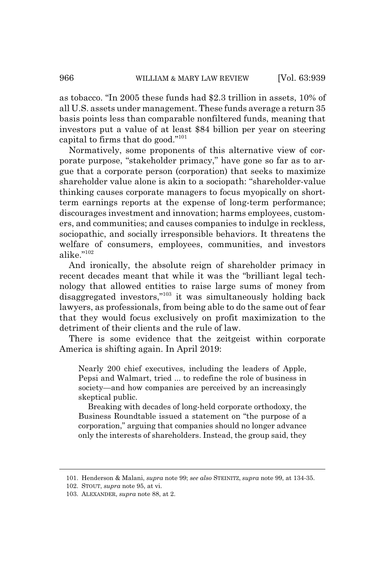as tobacco. "In 2005 these funds had \$2.3 trillion in assets, 10% of all U.S. assets under management. These funds average a return 35 basis points less than comparable nonfiltered funds, meaning that investors put a value of at least \$84 billion per year on steering capital to firms that do good."101

Normatively, some proponents of this alternative view of corporate purpose, "stakeholder primacy," have gone so far as to argue that a corporate person (corporation) that seeks to maximize shareholder value alone is akin to a sociopath: "shareholder-value thinking causes corporate managers to focus myopically on shortterm earnings reports at the expense of long-term performance; discourages investment and innovation; harms employees, customers, and communities; and causes companies to indulge in reckless, sociopathic, and socially irresponsible behaviors. It threatens the welfare of consumers, employees, communities, and investors alike." $102$ 

And ironically, the absolute reign of shareholder primacy in recent decades meant that while it was the "brilliant legal technology that allowed entities to raise large sums of money from disaggregated investors,"103 it was simultaneously holding back lawyers, as professionals, from being able to do the same out of fear that they would focus exclusively on profit maximization to the detriment of their clients and the rule of law.

There is some evidence that the zeitgeist within corporate America is shifting again. In April 2019:

Nearly 200 chief executives, including the leaders of Apple, Pepsi and Walmart, tried ... to redefine the role of business in society—and how companies are perceived by an increasingly skeptical public.

Breaking with decades of long-held corporate orthodoxy, the Business Roundtable issued a statement on "the purpose of a corporation," arguing that companies should no longer advance only the interests of shareholders. Instead, the group said, they

<sup>101.</sup> Henderson & Malani, *supra* note 99; *see also* STEINITZ, *supra* note 99, at 134-35.

<sup>102.</sup> STOUT, *supra* note 95, at vi.

<sup>103.</sup> ALEXANDER, *supra* note 88, at 2.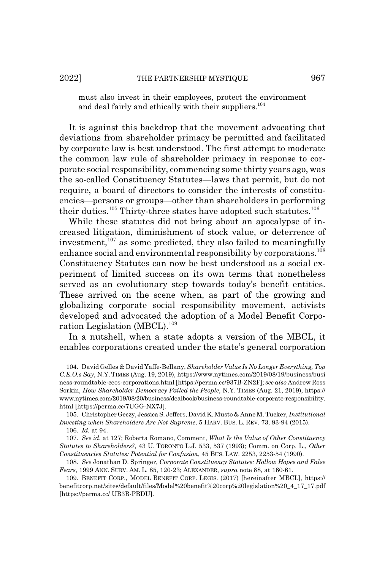must also invest in their employees, protect the environment and deal fairly and ethically with their suppliers.<sup>104</sup>

It is against this backdrop that the movement advocating that deviations from shareholder primacy be permitted and facilitated by corporate law is best understood. The first attempt to moderate the common law rule of shareholder primacy in response to corporate social responsibility, commencing some thirty years ago, was the so-called Constituency Statutes—laws that permit, but do not require, a board of directors to consider the interests of constituencies—persons or groups—other than shareholders in performing their duties.<sup>105</sup> Thirty-three states have adopted such statutes.<sup>106</sup>

While these statutes did not bring about an apocalypse of increased litigation, diminishment of stock value, or deterrence of investment, $107$  as some predicted, they also failed to meaningfully enhance social and environmental responsibility by corporations.<sup>108</sup> Constituency Statutes can now be best understood as a social experiment of limited success on its own terms that nonetheless served as an evolutionary step towards today's benefit entities. These arrived on the scene when, as part of the growing and globalizing corporate social responsibility movement, activists developed and advocated the adoption of a Model Benefit Corporation Legislation (MBCL).<sup>109</sup>

In a nutshell, when a state adopts a version of the MBCL, it enables corporations created under the state's general corporation

<sup>104.</sup> David Gelles & David Yaffe-Bellany, *Shareholder Value Is No Longer Everything, Top C.E.O.s Say*, N.Y. TIMES (Aug. 19, 2019), https://www.nytimes.com/2019/08/19/business/busi ness-roundtable-ceos-corporations.html [https://perma.cc/937B-ZN2F]; *see also* Andrew Ross Sorkin, *How Shareholder Democracy Failed the People*, N.Y. TIMES (Aug. 21, 2019), https:// www.nytimes.com/2019/08/20/business/dealbook/business-roundtable-corporate-responsibility. html [https://perma.cc/7UGG-NX7J].

<sup>105.</sup> Christopher Geczy, Jessica S. Jeffers, David K. Musto & Anne M. Tucker, *Institutional Investing when Shareholders Are Not Supreme*, 5 HARV. BUS. L. REV. 73, 93-94 (2015).

<sup>106.</sup> *Id.* at 94.

<sup>107.</sup> *See id.* at 127; Roberta Romano, Comment, *What Is the Value of Other Constituency Statutes to Shareholders?*, 43 U. TORONTO L.J. 533, 537 (1993); Comm. on Corp. L., *Other Constituencies Statutes: Potential for Confusion*, 45 BUS. LAW. 2253, 2253-54 (1990).

<sup>108.</sup> *See* Jonathan D. Springer, *Corporate Constituency Statutes: Hollow Hopes and False Fears*, 1999 ANN. SURV. AM. L. 85, 120-23; ALEXANDER, *supra* note 88, at 160-61.

<sup>109.</sup> BENEFIT CORP., MODEL BENEFIT CORP. LEGIS. (2017) [hereinafter MBCL], https:// benefitcorp.net/sites/default/files/Model%20benefit%20corp%20legislation%20\_4\_17\_17.pdf [https://perma.cc/ UB3B-PBDU].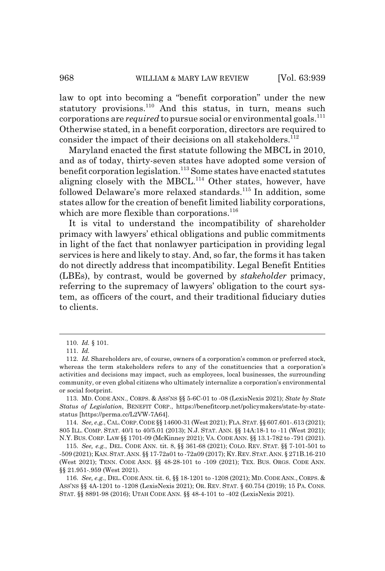law to opt into becoming a "benefit corporation" under the new statutory provisions.<sup>110</sup> And this status, in turn, means such corporations are *required* to pursue social or environmental goals.<sup>111</sup> Otherwise stated, in a benefit corporation, directors are required to consider the impact of their decisions on all stakeholders. $112$ 

Maryland enacted the first statute following the MBCL in 2010, and as of today, thirty-seven states have adopted some version of benefit corporation legislation.<sup>113</sup> Some states have enacted statutes aligning closely with the MBCL.<sup>114</sup> Other states, however, have followed Delaware's more relaxed standards.<sup>115</sup> In addition, some states allow for the creation of benefit limited liability corporations, which are more flexible than corporations.<sup>116</sup>

It is vital to understand the incompatibility of shareholder primacy with lawyers' ethical obligations and public commitments in light of the fact that nonlawyer participation in providing legal services is here and likely to stay. And, so far, the forms it has taken do not directly address that incompatibility. Legal Benefit Entities (LBEs), by contrast, would be governed by *stakeholder* primacy, referring to the supremacy of lawyers' obligation to the court system, as officers of the court, and their traditional fiduciary duties to clients.

114. *See, e.g.*, CAL.CORP.CODE §§ 14600-31 (West 2021); FLA.STAT. §§ 607.601-.613 (2021); 805 ILL. COMP. STAT. 40/1 to 40/5.01 (2013); N.J. STAT. ANN. §§ 14A:18-1 to -11 (West 2021); N.Y. BUS. CORP. LAW §§ 1701-09 (McKinney 2021); VA. CODE ANN. §§ 13.1-782 to -791 (2021).

115. *See, e.g.*, DEL. CODE ANN. tit. 8, §§ 361-68 (2021); COLO. REV. STAT. §§ 7-101-501 to -509 (2021); KAN.STAT.ANN. §§ 17-72a01 to -72a09 (2017); KY.REV.STAT.ANN. § 271B.16-210 (West 2021); TENN. CODE ANN. §§ 48-28-101 to -109 (2021); TEX. BUS. ORGS. CODE ANN. §§ 21.951-.959 (West 2021).

116. *See, e.g.*, DEL. CODE ANN. tit. 6, §§ 18-1201 to -1208 (2021); MD. CODE ANN., CORPS. & ASS'NS §§ 4A-1201 to -1208 (LexisNexis 2021); OR. REV. STAT. § 60.754 (2019); 15 PA. CONS. STAT. §§ 8891-98 (2016); UTAH CODE ANN. §§ 48-4-101 to -402 (LexisNexis 2021).

<sup>110.</sup> *Id.* § 101.

<sup>111.</sup> *Id.*

<sup>112.</sup> *Id.* Shareholders are, of course, owners of a corporation's common or preferred stock, whereas the term stakeholders refers to any of the constituencies that a corporation's activities and decisions may impact, such as employees, local businesses, the surrounding community, or even global citizens who ultimately internalize a corporation's environmental or social footprint.

<sup>113.</sup> MD. CODE ANN., CORPS.&ASS'NS §§ 5-6C-01 to -08 (LexisNexis 2021); *State by State Status of Legislation*, BENEFIT CORP., https://benefitcorp.net/policymakers/state-by-statestatus [https://perma.cc/L2VW-7A64].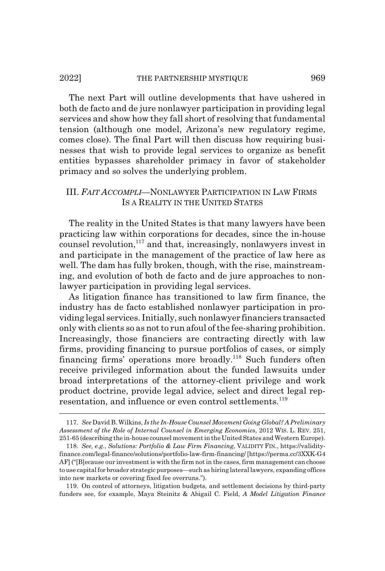#### 2022] THE PARTNERSHIP MYSTIQUE 969

The next Part will outline developments that have ushered in both de facto and de jure nonlawyer participation in providing legal services and show how they fall short of resolving that fundamental tension (although one model, Arizona's new regulatory regime, comes close). The final Part will then discuss how requiring businesses that wish to provide legal services to organize as benefit entities bypasses shareholder primacy in favor of stakeholder primacy and so solves the underlying problem.

# III. *FAIT ACCOMPLI*—NONLAWYER PARTICIPATION IN LAW FIRMS IS A REALITY IN THE UNITED STATES

The reality in the United States is that many lawyers have been practicing law within corporations for decades, since the in-house counsel revolution, $117$  and that, increasingly, nonlawyers invest in and participate in the management of the practice of law here as well. The dam has fully broken, though, with the rise, mainstreaming, and evolution of both de facto and de jure approaches to nonlawyer participation in providing legal services.

As litigation finance has transitioned to law firm finance, the industry has de facto established nonlawyer participation in providing legal services. Initially, such nonlawyer financiers transacted only with clients so as not to run afoul of the fee-sharing prohibition. Increasingly, those financiers are contracting directly with law firms, providing financing to pursue portfolios of cases, or simply financing firms' operations more broadly.<sup>118</sup> Such funders often receive privileged information about the funded lawsuits under broad interpretations of the attorney-client privilege and work product doctrine, provide legal advice, select and direct legal representation, and influence or even control settlements.<sup>119</sup>

<sup>117.</sup> *See* David B. Wilkins, *Is the In-House Counsel Movement Going Global? A Preliminary Assessment of the Role of Internal Counsel in Emerging Economies*, 2012 WIS. L. REV. 251, 251-65 (describing the in-house counsel movement in the United States and Western Europe).

<sup>118.</sup> *See, e.g.*, *Solutions: Portfolio & Law Firm Financing*, VALIDITY FIN., https://validityfinance.com/legal-finance/solutions/portfolio-law-firm-financing/ [https://perma.cc/3XXK-G4 AF] ("[B]ecause our investment is with the firm not in the cases, firm management can choose to use capital for broader strategic purposes—such as hiring lateral lawyers, expanding offices into new markets or covering fixed fee overruns.").

<sup>119.</sup> On control of attorneys, litigation budgets, and settlement decisions by third-party funders see, for example, Maya Steinitz & Abigail C. Field, *A Model Litigation Finance*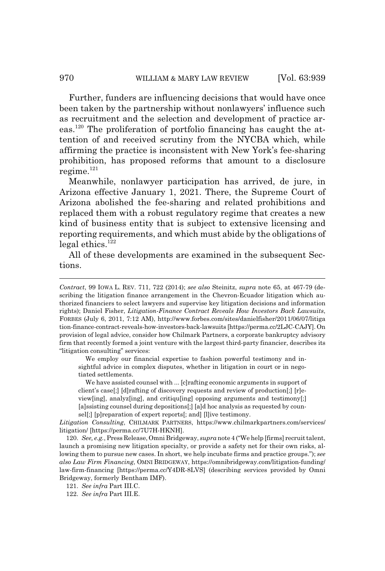Further, funders are influencing decisions that would have once been taken by the partnership without nonlawyers' influence such as recruitment and the selection and development of practice areas.120 The proliferation of portfolio financing has caught the attention of and received scrutiny from the NYCBA which, while affirming the practice is inconsistent with New York's fee-sharing prohibition, has proposed reforms that amount to a disclosure regime. $121$ 

Meanwhile, nonlawyer participation has arrived, de jure, in Arizona effective January 1, 2021. There, the Supreme Court of Arizona abolished the fee-sharing and related prohibitions and replaced them with a robust regulatory regime that creates a new kind of business entity that is subject to extensive licensing and reporting requirements, and which must abide by the obligations of legal ethics. $122$ 

All of these developments are examined in the subsequent Sections.

We employ our financial expertise to fashion powerful testimony and insightful advice in complex disputes, whether in litigation in court or in negotiated settlements.

We have assisted counsel with ... [c]rafting economic arguments in support of client's case[;] [d]rafting of discovery requests and review of production[;] [r]eview[ing], analyz[ing], and critiqu[ing] opposing arguments and testimony[;] [a]ssisting counsel during depositions[;] [a]d hoc analysis as requested by counsel[;] [p]reparation of expert reports[; and] [l]ive testimony.

*Litigation Consulting*, CHILMARK PARTNERS, https://www.chilmarkpartners.com/services/ litigation/ [https://perma.cc/7U7H-HKNH].

120. *See, e.g.*, Press Release, Omni Bridgeway, *supra* note 4 ("We help [firms] recruit talent, launch a promising new litigation specialty, or provide a safety net for their own risks, allowing them to pursue new cases. In short, we help incubate firms and practice groups."); *see also Law Firm Financing*, OMNI BRIDGEWAY, https://omnibridgeway.com/litigation-funding/ law-firm-financing [https://perma.cc/Y4DR-8LVS] (describing services provided by Omni Bridgeway, formerly Bentham IMF).

121. *See infra* Part III.C.

122. *See infra* Part III.E.

*Contract*, 99 IOWA L. REV. 711, 722 (2014); *see also* Steinitz, *supra* note 65, at 467-79 (describing the litigation finance arrangement in the Chevron-Ecuador litigation which authorized financiers to select lawyers and supervise key litigation decisions and information rights); Daniel Fisher, *Litigation-Finance Contract Reveals How Investors Back Lawsuits*, FORBES (July 6, 2011, 7:12 AM), http://www.forbes.com/sites/danielfisher/2011/06/07/litiga tion-finance-contract-reveals-how-investors-back-lawsuits [https://perma.cc/2LJC-CAJY]. On provision of legal advice, consider how Chilmark Partners, a corporate bankruptcy advisory firm that recently formed a joint venture with the largest third-party financier, describes its "litigation consulting" services: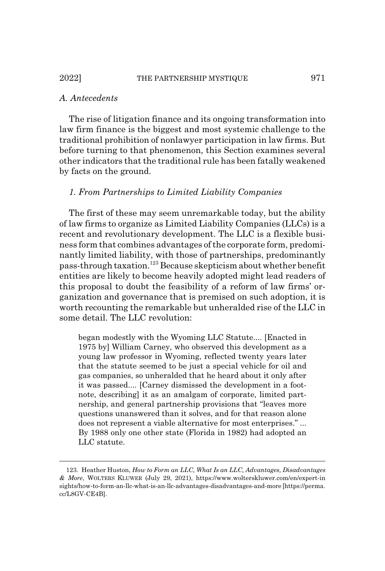#### *A. Antecedents*

The rise of litigation finance and its ongoing transformation into law firm finance is the biggest and most systemic challenge to the traditional prohibition of nonlawyer participation in law firms. But before turning to that phenomenon, this Section examines several other indicators that the traditional rule has been fatally weakened by facts on the ground.

#### *1. From Partnerships to Limited Liability Companies*

The first of these may seem unremarkable today, but the ability of law firms to organize as Limited Liability Companies (LLCs) is a recent and revolutionary development. The LLC is a flexible business form that combines advantages of the corporate form, predominantly limited liability, with those of partnerships, predominantly pass-through taxation.123 Because skepticism about whether benefit entities are likely to become heavily adopted might lead readers of this proposal to doubt the feasibility of a reform of law firms' organization and governance that is premised on such adoption, it is worth recounting the remarkable but unheralded rise of the LLC in some detail. The LLC revolution:

began modestly with the Wyoming LLC Statute.... [Enacted in 1975 by] William Carney, who observed this development as a young law professor in Wyoming, reflected twenty years later that the statute seemed to be just a special vehicle for oil and gas companies, so unheralded that he heard about it only after it was passed.... [Carney dismissed the development in a footnote, describing] it as an amalgam of corporate, limited partnership, and general partnership provisions that "leaves more questions unanswered than it solves, and for that reason alone does not represent a viable alternative for most enterprises." ... By 1988 only one other state (Florida in 1982) had adopted an LLC statute.

<sup>123.</sup> Heather Huston, *How to Form an LLC, What Is an LLC, Advantages, Disadvantages & More*, WOLTERS KLUWER (July 29, 2021), https://www.wolterskluwer.com/en/expert-in sights/how-to-form-an-llc-what-is-an-llc-advantages-disadvantages-and-more [https://perma. cc/L8GV-CE4B].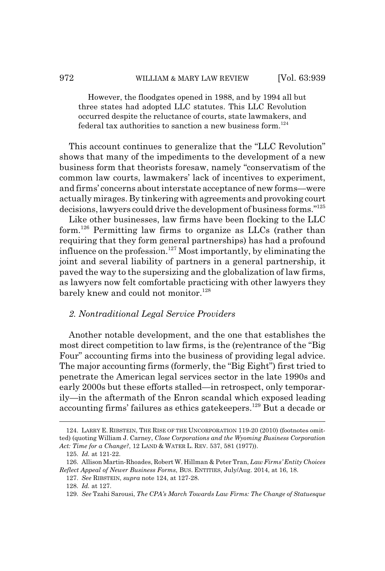However, the floodgates opened in 1988, and by 1994 all but three states had adopted LLC statutes. This LLC Revolution occurred despite the reluctance of courts, state lawmakers, and federal tax authorities to sanction a new business form.<sup>124</sup>

This account continues to generalize that the "LLC Revolution" shows that many of the impediments to the development of a new business form that theorists foresaw, namely "conservatism of the common law courts, lawmakers' lack of incentives to experiment, and firms' concerns about interstate acceptance of new forms—were actually mirages. By tinkering with agreements and provoking court decisions, lawyers could drive the development of business forms."125

Like other businesses, law firms have been flocking to the LLC form.<sup>126</sup> Permitting law firms to organize as LLCs (rather than requiring that they form general partnerships) has had a profound influence on the profession.<sup>127</sup> Most importantly, by eliminating the joint and several liability of partners in a general partnership, it paved the way to the supersizing and the globalization of law firms, as lawyers now felt comfortable practicing with other lawyers they barely knew and could not monitor.<sup>128</sup>

### *2. Nontraditional Legal Service Providers*

Another notable development, and the one that establishes the most direct competition to law firms, is the (re)entrance of the "Big Four" accounting firms into the business of providing legal advice. The major accounting firms (formerly, the "Big Eight") first tried to penetrate the American legal services sector in the late 1990s and early 2000s but these efforts stalled—in retrospect, only temporarily—in the aftermath of the Enron scandal which exposed leading accounting firms' failures as ethics gatekeepers.129 But a decade or

<sup>124.</sup> LARRY E. RIBSTEIN, THE RISE OF THE UNCORPORATION 119-20 (2010) (footnotes omitted) (quoting William J. Carney, *Close Corporations and the Wyoming Business Corporation Act: Time for a Change?*, 12 LAND & WATER L. REV. 537, 581 (1977)).

<sup>125.</sup> *Id.* at 121-22.

<sup>126.</sup> Allison Martin-Rhoades, Robert W. Hillman & Peter Tran, *Law Firms' Entity Choices Reflect Appeal of Newer Business Forms*, BUS. ENTITIES, July/Aug. 2014, at 16, 18.

<sup>127.</sup> *See* RIBSTEIN, *supra* note 124, at 127-28.

<sup>128.</sup> *Id.* at 127.

<sup>129.</sup> *See* Tzahi Sarousi, *The CPA's March Towards Law Firms: The Change of Statuesque*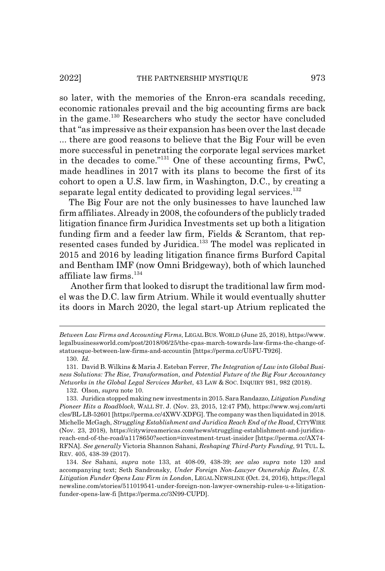so later, with the memories of the Enron-era scandals receding, economic rationales prevail and the big accounting firms are back in the game.130 Researchers who study the sector have concluded that "as impressive as their expansion has been over the last decade ... there are good reasons to believe that the Big Four will be even more successful in penetrating the corporate legal services market in the decades to come."131 One of these accounting firms, PwC, made headlines in 2017 with its plans to become the first of its cohort to open a U.S. law firm, in Washington, D.C., by creating a separate legal entity dedicated to providing legal services.<sup>132</sup>

The Big Four are not the only businesses to have launched law firm affiliates. Already in 2008, the cofounders of the publicly traded litigation finance firm Juridica Investments set up both a litigation funding firm and a feeder law firm, Fields & Scrantom, that represented cases funded by Juridica.<sup>133</sup> The model was replicated in 2015 and 2016 by leading litigation finance firms Burford Capital and Bentham IMF (now Omni Bridgeway), both of which launched affiliate law firms.<sup>134</sup>

 Another firm that looked to disrupt the traditional law firm model was the D.C. law firm Atrium. While it would eventually shutter its doors in March 2020, the legal start-up Atrium replicated the

*Between Law Firms and Accounting Firms*, LEGAL BUS. WORLD (June 25, 2018), https://www. legalbusinessworld.com/post/2018/06/25/the-cpas-march-towards-law-firms-the-change-ofstatuesque-between-law-firms-and-accountin [https://perma.cc/U5FU-T926].

<sup>130.</sup> *Id.*

<sup>131.</sup> David B. Wilkins & Maria J. Esteban Ferrer, *The Integration of Law into Global Business Solutions: The Rise, Transformation, and Potential Future of the Big Four Accountancy Networks in the Global Legal Services Market*, 43 LAW & SOC. INQUIRY 981, 982 (2018).

<sup>132.</sup> Olson, *supra* note 10.

<sup>133.</sup> Juridica stopped making new investments in 2015. Sara Randazzo, *Litigation Funding Pioneer Hits a Roadblock*, WALL ST. J. (Nov. 23, 2015, 12:47 PM), https://www.wsj.com/arti cles/BL-LB-52601 [https://perma.cc/4XWV-XDFG]. The company was then liquidated in 2018. Michelle McGagh, *Struggling Establishment and Juridica Reach End of the Road*, CITYWIRE (Nov. 23, 2018), https://citywireamericas.com/news/struggling-establishment-and-juridicareach-end-of-the-road/a1178650?section=investment-trust-insider [https://perma.cc/AX74- RFNA]. *See generally* Victoria Shannon Sahani, *Reshaping Third-Party Funding*, 91 TUL. L. REV. 405, 438-39 (2017).

<sup>134.</sup> *See* Sahani, *supra* note 133, at 408-09, 438-39; *see also supra* note 120 and accompanying text; Seth Sandronsky, *Under Foreign Non-Lawyer Ownership Rules, U.S. Litigation Funder Opens Law Firm in London*, LEGAL NEWSLINE (Oct. 24, 2016), https://legal newsline.com/stories/511019541-under-foreign-non-lawyer-ownership-rules-u-s-litigationfunder-opens-law-fi [https://perma.cc/3N99-CUPD].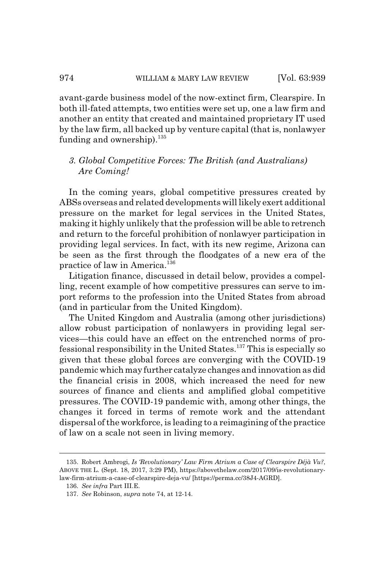avant-garde business model of the now-extinct firm, Clearspire. In both ill-fated attempts, two entities were set up, one a law firm and another an entity that created and maintained proprietary IT used by the law firm, all backed up by venture capital (that is, nonlawyer funding and ownership). $^{135}$ 

# *3. Global Competitive Forces: The British (and Australians) Are Coming!*

In the coming years, global competitive pressures created by ABSs overseas and related developments will likely exert additional pressure on the market for legal services in the United States, making it highly unlikely that the profession will be able to retrench and return to the forceful prohibition of nonlawyer participation in providing legal services. In fact, with its new regime, Arizona can be seen as the first through the floodgates of a new era of the practice of law in America.136

Litigation finance, discussed in detail below, provides a compelling, recent example of how competitive pressures can serve to import reforms to the profession into the United States from abroad (and in particular from the United Kingdom).

The United Kingdom and Australia (among other jurisdictions) allow robust participation of nonlawyers in providing legal services—this could have an effect on the entrenched norms of professional responsibility in the United States.137 This is especially so given that these global forces are converging with the COVID-19 pandemic which may further catalyze changes and innovation as did the financial crisis in 2008, which increased the need for new sources of finance and clients and amplified global competitive pressures. The COVID-19 pandemic with, among other things, the changes it forced in terms of remote work and the attendant dispersal of the workforce, is leading to a reimagining of the practice of law on a scale not seen in living memory.

<sup>135.</sup> Robert Ambrogi, *Is 'Revolutionary' Law Firm Atrium a Case of Clearspire Déjà Vu?*, ABOVE THE L. (Sept. 18, 2017, 3:29 PM), https://abovethelaw.com/2017/09/is-revolutionarylaw-firm-atrium-a-case-of-clearspire-deja-vu/ [https://perma.cc/38J4-AGRD].

<sup>136.</sup> *See infra* Part III.E.

<sup>137.</sup> *See* Robinson, *supra* note 74, at 12-14.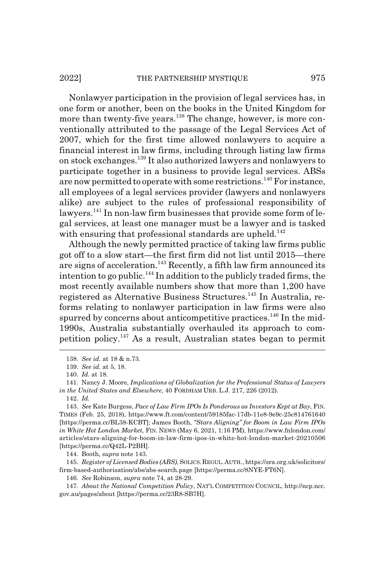Nonlawyer participation in the provision of legal services has, in one form or another, been on the books in the United Kingdom for more than twenty-five years.<sup>138</sup> The change, however, is more conventionally attributed to the passage of the Legal Services Act of 2007, which for the first time allowed nonlawyers to acquire a financial interest in law firms, including through listing law firms on stock exchanges.139 It also authorized lawyers and nonlawyers to participate together in a business to provide legal services. ABSs are now permitted to operate with some restrictions.<sup>140</sup> For instance, all employees of a legal services provider (lawyers and nonlawyers alike) are subject to the rules of professional responsibility of lawyers.<sup>141</sup> In non-law firm businesses that provide some form of legal services, at least one manager must be a lawyer and is tasked with ensuring that professional standards are upheld.<sup>142</sup>

Although the newly permitted practice of taking law firms public got off to a slow start—the first firm did not list until 2015—there are signs of acceleration.<sup>143</sup> Recently, a fifth law firm announced its intention to go public.<sup>144</sup> In addition to the publicly traded firms, the most recently available numbers show that more than 1,200 have registered as Alternative Business Structures.<sup>145</sup> In Australia, reforms relating to nonlawyer participation in law firms were also spurred by concerns about anticompetitive practices.<sup>146</sup> In the mid-1990s, Australia substantially overhauled its approach to competition policy.147 As a result, Australian states began to permit

144. Booth, *supra* note 143.

145. *Register of Licensed Bodies (ABS)*, SOLICS.REGUL.AUTH., https://sra.org.uk/solicitors/ firm-based-authorisation/abs/abs-search.page [https://perma.cc/8NYE-FT6N].

146. *See* Robinson, *supra* note 74, at 28-29.

<sup>138.</sup> *See id.* at 18 & n.73.

<sup>139.</sup> *See id.* at 5, 18.

<sup>140.</sup> *Id.* at 18.

<sup>141.</sup> Nancy J. Moore, *Implications of Globalization for the Professional Status of Lawyers in the United States and Elsewhere*, 40 FORDHAM URB. L.J. 217, 226 (2012).

<sup>142.</sup> *Id.*

<sup>143.</sup> *See* Kate Burgess, *Pace of Law Firm IPOs Is Ponderous as Investors Kept at Bay*, FIN. TIMES (Feb. 25, 2018), https://www.ft.com/content/59185fac-17db-11e8-9e9c-25c814761640 [https://perma.cc/BL38-KCBT]; James Booth, *"Stars Aligning" for Boom in Law Firm IPOs in White Hot London Market*, FIN. NEWS (May 6, 2021, 1:16 PM), https://www.fnlondon.com/ articles/stars-aligning-for-boom-in-law-firm-ipos-in-white-hot-london-market-20210506 [https://perma.cc/Q42L-P2BH].

<sup>147.</sup> *About the National Competition Policy*, NAT'L COMPETITION COUNCIL, http://ncp.ncc. gov.au/pages/about [https://perma.cc/23R8-SB7H].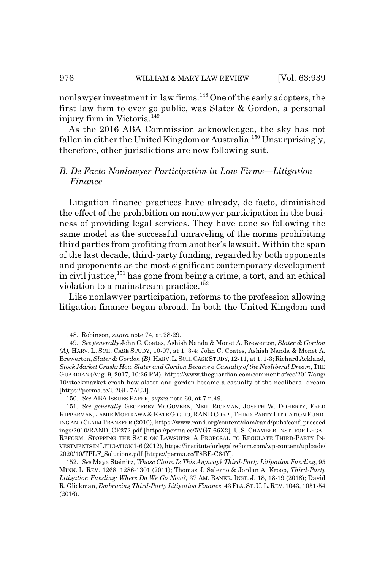nonlawyer investment in law firms.<sup>148</sup> One of the early adopters, the first law firm to ever go public, was Slater & Gordon, a personal injury firm in Victoria.<sup>149</sup>

As the 2016 ABA Commission acknowledged, the sky has not fallen in either the United Kingdom or Australia.<sup>150</sup> Unsurprisingly, therefore, other jurisdictions are now following suit.

## *B. De Facto Nonlawyer Participation in Law Firms—Litigation Finance*

Litigation finance practices have already, de facto, diminished the effect of the prohibition on nonlawyer participation in the business of providing legal services. They have done so following the same model as the successful unraveling of the norms prohibiting third parties from profiting from another's lawsuit. Within the span of the last decade, third-party funding, regarded by both opponents and proponents as the most significant contemporary development in civil justice,<sup>151</sup> has gone from being a crime, a tort, and an ethical violation to a mainstream practice.<sup>152</sup>

Like nonlawyer participation, reforms to the profession allowing litigation finance began abroad. In both the United Kingdom and

<sup>148.</sup> Robinson, *supra* note 74, at 28-29.

<sup>149.</sup> *See generally* John C. Coates, Ashish Nanda & Monet A. Brewerton, *Slater & Gordon (A)*, HARV. L. SCH. CASE STUDY, 10-07, at 1, 3-4; John C. Coates, Ashish Nanda & Monet A. Brewerton, *Slater & Gordon (B)*, HARV.L.SCH. CASE STUDY, 12-11, at 1, 1-3; Richard Ackland, *Stock Market Crash: How Slater and Gordon Became a Casualty of the Neoliberal Dream*, THE GUARDIAN (Aug. 9, 2017, 10:26 PM), https://www.theguardian.com/commentisfree/2017/aug/ 10/stockmarket-crash-how-slater-and-gordon-became-a-casualty-of-the-neoliberal-dream [https://perma.cc/U2GL-7AUJ].

<sup>150.</sup> *See* ABA ISSUES PAPER, *supra* note 60, at 7 n.49.

<sup>151.</sup> *See generally* GEOFFREY MCGOVERN, NEIL RICKMAN, JOSEPH W. DOHERTY, FRED KIPPERMAN, JAMIE MORIKAWA & KATE GIGLIO, RAND CORP., THIRD-PARTY LITIGATION FUND-ING AND CLAIM TRANSFER (2010), https://www.rand.org/content/dam/rand/pubs/conf\_proceed ings/2010/RAND\_CF272.pdf [https://perma.cc/5VG7-66X2]; U.S. CHAMBER INST. FOR LEGAL REFORM, STOPPING THE SALE ON LAWSUITS: A PROPOSAL TO REGULATE THIRD-PARTY IN-VESTMENTS IN LITIGATION 1-6 (2012), https://instituteforlegalreform.com/wp-content/uploads/ 2020/10/TPLF\_Solutions.pdf [https://perma.cc/T8BE-C64Y].

<sup>152.</sup> *See* Maya Steinitz, *Whose Claim Is This Anyway? Third-Party Litigation Funding*, 95 MINN. L. REV. 1268, 1286-1301 (2011); Thomas J. Salerno & Jordan A. Kroop, *Third-Party Litigation Funding: Where Do We Go Now?*, 37 AM. BANKR. INST. J. 18, 18-19 (2018); David R. Glickman, *Embracing Third-Party Litigation Finance*, 43 FLA.ST.U.L.REV. 1043, 1051-54 (2016).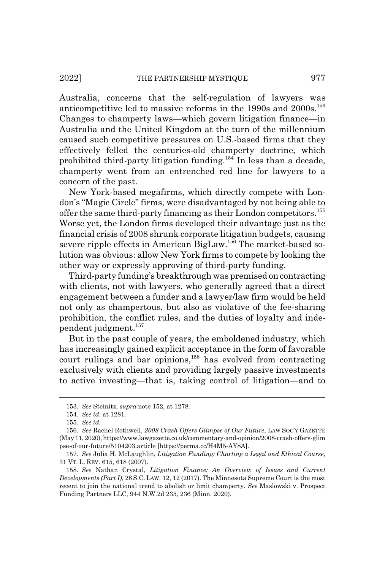Australia, concerns that the self-regulation of lawyers was anticompetitive led to massive reforms in the 1990s and 2000s.<sup>153</sup> Changes to champerty laws—which govern litigation finance—in Australia and the United Kingdom at the turn of the millennium caused such competitive pressures on U.S.-based firms that they effectively felled the centuries-old champerty doctrine, which prohibited third-party litigation funding.154 In less than a decade, champerty went from an entrenched red line for lawyers to a concern of the past.

New York-based megafirms, which directly compete with London's "Magic Circle" firms, were disadvantaged by not being able to offer the same third-party financing as their London competitors.<sup>155</sup> Worse yet, the London firms developed their advantage just as the financial crisis of 2008 shrunk corporate litigation budgets, causing severe ripple effects in American BigLaw.<sup>156</sup> The market-based solution was obvious: allow New York firms to compete by looking the other way or expressly approving of third-party funding.

Third-party funding's breakthrough was premised on contracting with clients, not with lawyers, who generally agreed that a direct engagement between a funder and a lawyer/law firm would be held not only as champertous, but also as violative of the fee-sharing prohibition, the conflict rules, and the duties of loyalty and independent judgment.<sup>157</sup>

But in the past couple of years, the emboldened industry, which has increasingly gained explicit acceptance in the form of favorable court rulings and bar opinions,<sup>158</sup> has evolved from contracting exclusively with clients and providing largely passive investments to active investing—that is, taking control of litigation—and to

<sup>153.</sup> *See* Steinitz, *supra* note 152, at 1278.

<sup>154.</sup> *See id.* at 1281.

<sup>155.</sup> *See id.*

<sup>156.</sup> *See* Rachel Rothwell, *2008 Crash Offers Glimpse of Our Future*, LAW SOC'Y GAZETTE (May 11, 2020), https://www.lawgazette.co.uk/commentary-and-opinion/2008-crash-offers-glim pse-of-our-future/5104203.article [https://perma.cc/H4M5-AY8A].

<sup>157.</sup> *See* Julia H. McLaughlin, *Litigation Funding: Charting a Legal and Ethical Course*, 31 VT. L. REV. 615, 618 (2007).

<sup>158.</sup> *See* Nathan Crystal, *Litigation Finance: An Overview of Issues and Current Developments (Part I)*, 28 S.C. LAW. 12, 12 (2017). The Minnesota Supreme Court is the most recent to join the national trend to abolish or limit champerty. *See* Maslowski v. Prospect Funding Partners LLC, 944 N.W.2d 235, 236 (Minn. 2020).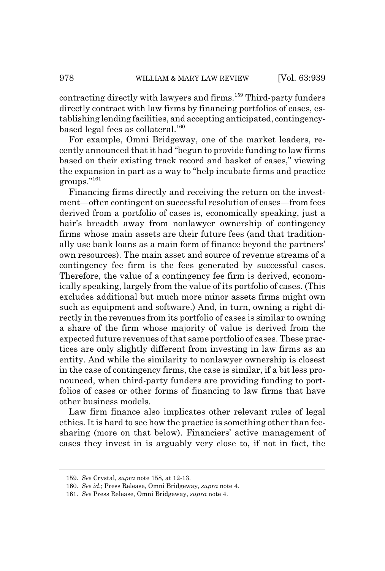contracting directly with lawyers and firms.<sup>159</sup> Third-party funders directly contract with law firms by financing portfolios of cases, establishing lending facilities, and accepting anticipated, contingencybased legal fees as collateral. $160$ 

For example, Omni Bridgeway, one of the market leaders, recently announced that it had "begun to provide funding to law firms based on their existing track record and basket of cases," viewing the expansion in part as a way to "help incubate firms and practice groups."161

Financing firms directly and receiving the return on the investment—often contingent on successful resolution of cases—from fees derived from a portfolio of cases is, economically speaking, just a hair's breadth away from nonlawyer ownership of contingency firms whose main assets are their future fees (and that traditionally use bank loans as a main form of finance beyond the partners' own resources). The main asset and source of revenue streams of a contingency fee firm is the fees generated by successful cases. Therefore, the value of a contingency fee firm is derived, economically speaking, largely from the value of its portfolio of cases. (This excludes additional but much more minor assets firms might own such as equipment and software.) And, in turn, owning a right directly in the revenues from its portfolio of cases is similar to owning a share of the firm whose majority of value is derived from the expected future revenues of that same portfolio of cases. These practices are only slightly different from investing in law firms as an entity. And while the similarity to nonlawyer ownership is closest in the case of contingency firms, the case is similar, if a bit less pronounced, when third-party funders are providing funding to portfolios of cases or other forms of financing to law firms that have other business models.

Law firm finance also implicates other relevant rules of legal ethics. It is hard to see how the practice is something other than feesharing (more on that below). Financiers' active management of cases they invest in is arguably very close to, if not in fact, the

<sup>159.</sup> *See* Crystal, *supra* note 158, at 12-13.

<sup>160.</sup> *See id.*; Press Release, Omni Bridgeway, *supra* note 4.

<sup>161.</sup> *See* Press Release, Omni Bridgeway, *supra* note 4.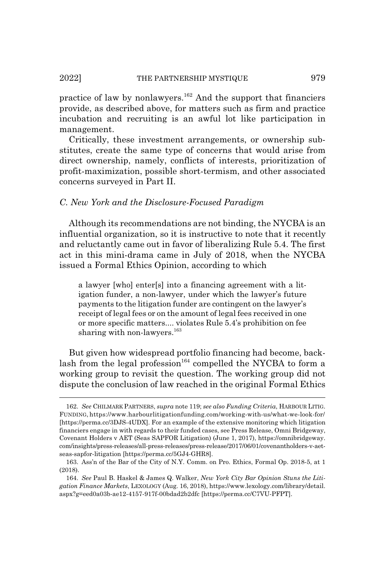practice of law by nonlawyers.<sup>162</sup> And the support that financiers provide, as described above, for matters such as firm and practice incubation and recruiting is an awful lot like participation in management.

Critically, these investment arrangements, or ownership substitutes, create the same type of concerns that would arise from direct ownership, namely, conflicts of interests, prioritization of profit-maximization, possible short-termism, and other associated concerns surveyed in Part II.

## *C. New York and the Disclosure-Focused Paradigm*

Although its recommendations are not binding, the NYCBA is an influential organization, so it is instructive to note that it recently and reluctantly came out in favor of liberalizing Rule 5.4. The first act in this mini-drama came in July of 2018, when the NYCBA issued a Formal Ethics Opinion, according to which

a lawyer [who] enter[s] into a financing agreement with a litigation funder, a non-lawyer, under which the lawyer's future payments to the litigation funder are contingent on the lawyer's receipt of legal fees or on the amount of legal fees received in one or more specific matters.... violates Rule 5.4's prohibition on fee sharing with non-lawyers. $163$ 

But given how widespread portfolio financing had become, backlash from the legal profession<sup>164</sup> compelled the NYCBA to form a working group to revisit the question. The working group did not dispute the conclusion of law reached in the original Formal Ethics

<sup>162.</sup> *See* CHILMARK PARTNERS, *supra* note 119; *see also Funding Criteria*, HARBOUR LITIG. FUNDING, https://www.harbourlitigationfunding.com/working-with-us/what-we-look-for/ [https://perma.cc/3DJS-4UDX]. For an example of the extensive monitoring which litigation financiers engage in with regards to their funded cases, see Press Release, Omni Bridgeway, Covenant Holders v AET (Seas SAPFOR Litigation) (June 1, 2017), https://omnibridgeway. com/insights/press-releases/all-press-releases/press-release/2017/06/01/covenantholders-v-aetseas-sapfor-litigation [https://perma.cc/5GJ4-GHR8].

<sup>163.</sup> Ass'n of the Bar of the City of N.Y. Comm. on Pro. Ethics, Formal Op. 2018-5, at 1 (2018).

<sup>164.</sup> *See* Paul B. Haskel & James Q. Walker, *New York City Bar Opinion Stuns the Litigation Finance Markets*, LEXOLOGY (Aug. 16, 2018), https://www.lexology.com/library/detail. aspx?g=eed0a03b-ae12-4157-917f-00bdad2b2dfc [https://perma.cc/C7VU-PFPT].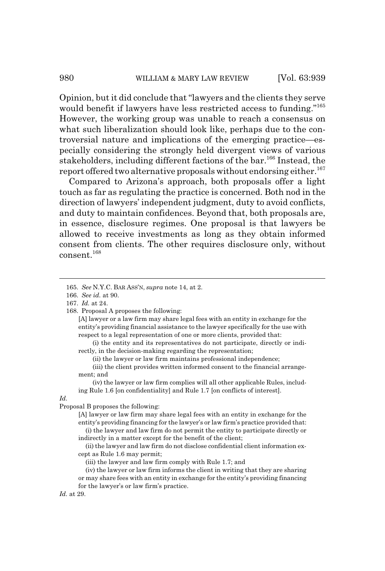Opinion, but it did conclude that "lawyers and the clients they serve would benefit if lawyers have less restricted access to funding."<sup>165</sup> However, the working group was unable to reach a consensus on what such liberalization should look like, perhaps due to the controversial nature and implications of the emerging practice—especially considering the strongly held divergent views of various stakeholders, including different factions of the bar.<sup>166</sup> Instead, the report offered two alternative proposals without endorsing either.<sup>167</sup>

Compared to Arizona's approach, both proposals offer a light touch as far as regulating the practice is concerned. Both nod in the direction of lawyers' independent judgment, duty to avoid conflicts, and duty to maintain confidences. Beyond that, both proposals are, in essence, disclosure regimes. One proposal is that lawyers be allowed to receive investments as long as they obtain informed consent from clients. The other requires disclosure only, without consent.<sup>168</sup>

[A] lawyer or a law firm may share legal fees with an entity in exchange for the entity's providing financial assistance to the lawyer specifically for the use with respect to a legal representation of one or more clients, provided that:

(i) the entity and its representatives do not participate, directly or indirectly, in the decision-making regarding the representation;

(ii) the lawyer or law firm maintains professional independence;

(iii) the client provides written informed consent to the financial arrangement; and

(iv) the lawyer or law firm complies will all other applicable Rules, including Rule 1.6 [on confidentiality] and Rule 1.7 [on conflicts of interest].

*Id.*

Proposal B proposes the following:

[A] lawyer or law firm may share legal fees with an entity in exchange for the entity's providing financing for the lawyer's or law firm's practice provided that: (i) the lawyer and law firm do not permit the entity to participate directly or indirectly in a matter except for the benefit of the client;

(ii) the lawyer and law firm do not disclose confidential client information except as Rule 1.6 may permit;

(iii) the lawyer and law firm comply with Rule 1.7; and

(iv) the lawyer or law firm informs the client in writing that they are sharing or may share fees with an entity in exchange for the entity's providing financing for the lawyer's or law firm's practice.

<sup>165.</sup> *See* N.Y.C. BAR ASS'N, *supra* note 14, at 2.

<sup>166.</sup> *See id.* at 90.

<sup>167.</sup> *Id.* at 24.

<sup>168.</sup> Proposal A proposes the following: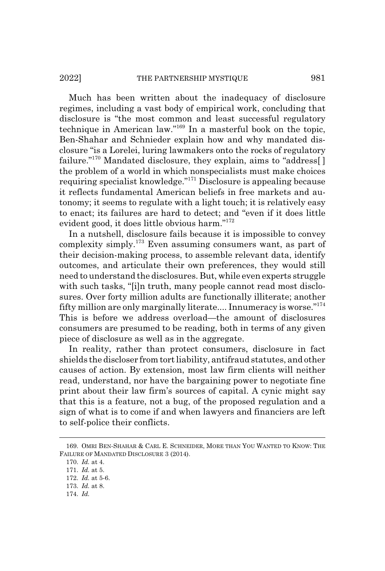Much has been written about the inadequacy of disclosure regimes, including a vast body of empirical work, concluding that disclosure is "the most common and least successful regulatory technique in American law."169 In a masterful book on the topic, Ben-Shahar and Schnieder explain how and why mandated disclosure "is a Lorelei, luring lawmakers onto the rocks of regulatory failure."<sup>170</sup> Mandated disclosure, they explain, aims to "address[] the problem of a world in which nonspecialists must make choices requiring specialist knowledge."171 Disclosure is appealing because it reflects fundamental American beliefs in free markets and autonomy; it seems to regulate with a light touch; it is relatively easy to enact; its failures are hard to detect; and "even if it does little evident good, it does little obvious harm."172

In a nutshell, disclosure fails because it is impossible to convey complexity simply.173 Even assuming consumers want, as part of their decision-making process, to assemble relevant data, identify outcomes, and articulate their own preferences, they would still need to understand the disclosures. But, while even experts struggle with such tasks, "[i]n truth, many people cannot read most disclosures. Over forty million adults are functionally illiterate; another fifty million are only marginally literate.... Innumeracy is worse."174 This is before we address overload—the amount of disclosures consumers are presumed to be reading, both in terms of any given piece of disclosure as well as in the aggregate.

In reality, rather than protect consumers, disclosure in fact shields the discloser from tort liability, antifraud statutes, and other causes of action. By extension, most law firm clients will neither read, understand, nor have the bargaining power to negotiate fine print about their law firm's sources of capital. A cynic might say that this is a feature, not a bug, of the proposed regulation and a sign of what is to come if and when lawyers and financiers are left to self-police their conflicts.

<sup>169.</sup> OMRI BEN-SHAHAR & CARL E. SCHNEIDER, MORE THAN YOU WANTED TO KNOW: THE FAILURE OF MANDATED DISCLOSURE 3 (2014).

<sup>170.</sup> *Id.* at 4.

<sup>171.</sup> *Id.* at 5.

<sup>172.</sup> *Id.* at 5-6.

<sup>173.</sup> *Id.* at 8.

<sup>174.</sup> *Id.*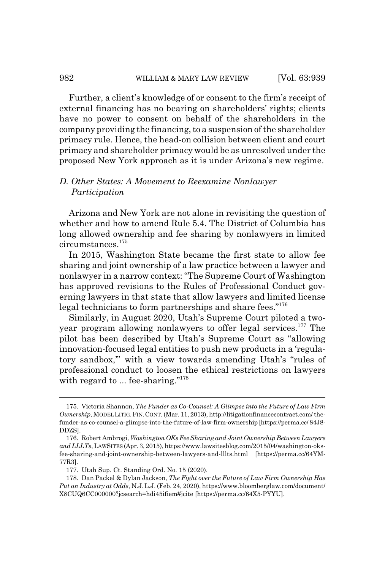### 982 WILLIAM & MARY LAW REVIEW [Vol. 63:939

Further, a client's knowledge of or consent to the firm's receipt of external financing has no bearing on shareholders' rights; clients have no power to consent on behalf of the shareholders in the company providing the financing, to a suspension of the shareholder primacy rule. Hence, the head-on collision between client and court primacy and shareholder primacy would be as unresolved under the proposed New York approach as it is under Arizona's new regime.

## *D. Other States: A Movement to Reexamine Nonlawyer Participation*

Arizona and New York are not alone in revisiting the question of whether and how to amend Rule 5.4. The District of Columbia has long allowed ownership and fee sharing by nonlawyers in limited circumstances.175

In 2015, Washington State became the first state to allow fee sharing and joint ownership of a law practice between a lawyer and nonlawyer in a narrow context: "The Supreme Court of Washington has approved revisions to the Rules of Professional Conduct governing lawyers in that state that allow lawyers and limited license legal technicians to form partnerships and share fees."<sup>176</sup>

Similarly, in August 2020, Utah's Supreme Court piloted a twoyear program allowing nonlawyers to offer legal services.<sup>177</sup> The pilot has been described by Utah's Supreme Court as "allowing innovation-focused legal entities to push new products in a 'regulatory sandbox,'" with a view towards amending Utah's "rules of professional conduct to loosen the ethical restrictions on lawyers with regard to ... fee-sharing."<sup>178</sup>

<sup>175.</sup> Victoria Shannon, *The Funder as Co-Counsel: A Glimpse into the Future of Law Firm Ownership*, MODEL LITIG.FIN.CONT. (Mar. 11, 2013), http://litigationfinancecontract.com/ thefunder-as-co-counsel-a-glimpse-into-the-future-of-law-firm-ownership [https://perma.cc/ 84J8- DDZS].

<sup>176.</sup> Robert Ambrogi, *Washington OKs Fee Sharing and Joint Ownership Between Lawyers and LLLTs*, LAWSITES (Apr. 3, 2015), https://www.lawsitesblog.com/2015/04/washington-oksfee-sharing-and-joint-ownership-between-lawyers-and-lllts.html [https://perma.cc/64YM-77R3].

<sup>177.</sup> Utah Sup. Ct. Standing Ord. No. 15 (2020).

<sup>178.</sup> Dan Packel & Dylan Jackson, *The Fight over the Future of Law Firm Ownership Has Put an Industry at Odds*, N.J.L.J. (Feb. 24, 2020), https://www.bloomberglaw.com/document/ X8CUQ6CC000000?jcsearch=hdi45ifiem#jcite [https://perma.cc/64X5-PYYU].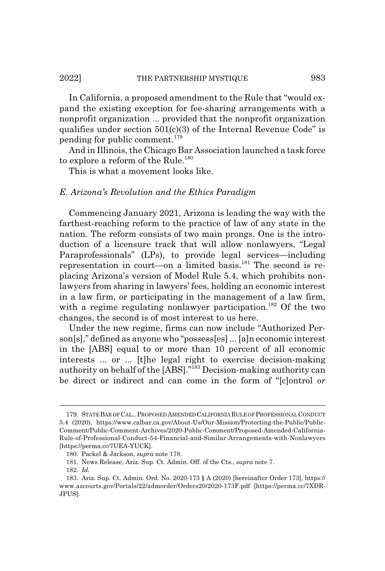In California, a proposed amendment to the Rule that "would expand the existing exception for fee-sharing arrangements with a nonprofit organization ... provided that the nonprofit organization qualifies under section  $501(c)(3)$  of the Internal Revenue Code" is pending for public comment.<sup>179</sup>

And in Illinois, the Chicago Bar Association launched a task force to explore a reform of the Rule.<sup>180</sup>

This is what a movement looks like.

# *E. Arizona's Revolution and the Ethics Paradigm*

Commencing January 2021, Arizona is leading the way with the farthest-reaching reform to the practice of law of any state in the nation. The reform consists of two main prongs. One is the introduction of a licensure track that will allow nonlawyers, "Legal Paraprofessionals" (LPs), to provide legal services—including representation in court—on a limited basis. $^{181}$  The second is replacing Arizona's version of Model Rule 5.4, which prohibits nonlawyers from sharing in lawyers' fees, holding an economic interest in a law firm, or participating in the management of a law firm, with a regime regulating nonlawyer participation.<sup>182</sup> Of the two changes, the second is of most interest to us here.

Under the new regime, firms can now include "Authorized Person[s]," defined as anyone who "possess[es] ... [a]n economic interest in the [ABS] equal to or more than 10 percent of all economic interests ... or ... [t]he legal right to exercise decision-making authority on behalf of the [ABS]."183 Decision-making authority can be direct or indirect and can come in the form of "[c]ontrol *or*

<sup>179.</sup> STATE BAR OF CAL., PROPOSED AMENDED CALIFORNIA RULE OF PROFESSIONAL CONDUCT 5.4 (2020), https://www.calbar.ca.gov/About-Us/Our-Mission/Protecting-the-Public/Public-Comment/Public-Comment-Archives/2020-Public-Comment/Proposed-Amended-California-Rule-of-Professional-Conduct-54-Financial-and-Similar-Arrangements-with-Nonlawyers [https://perma.cc/7UEA-YUCK].

<sup>180.</sup> Packel & Jackson, *supra* note 178.

<sup>181.</sup> News Release, Ariz. Sup. Ct. Admin. Off. of the Cts., *supra* note 7.

<sup>182.</sup> *Id.*

<sup>183.</sup> Ariz. Sup. Ct. Admin. Ord. No. 2020-173 § A (2020) [hereinafter Order 173], https:// www.azcourts.gov/Portals/22/admorder/Orders20/2020-173F.pdf [https://perma.cc/7XDR-JPUS].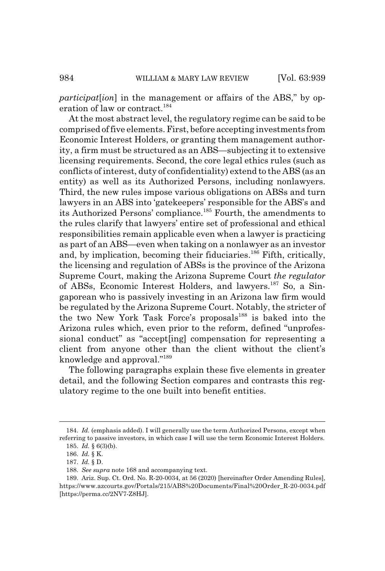*participat*[*ion*] in the management or affairs of the ABS," by operation of law or contract.<sup>184</sup>

At the most abstract level, the regulatory regime can be said to be comprised of five elements. First, before accepting investments from Economic Interest Holders, or granting them management authority, a firm must be structured as an ABS—subjecting it to extensive licensing requirements. Second, the core legal ethics rules (such as conflicts of interest, duty of confidentiality) extend to the ABS (as an entity) as well as its Authorized Persons, including nonlawyers. Third, the new rules impose various obligations on ABSs and turn lawyers in an ABS into 'gatekeepers' responsible for the ABS's and its Authorized Persons' compliance.<sup>185</sup> Fourth, the amendments to the rules clarify that lawyers' entire set of professional and ethical responsibilities remain applicable even when a lawyer is practicing as part of an ABS—even when taking on a nonlawyer as an investor and, by implication, becoming their fiduciaries.<sup>186</sup> Fifth, critically, the licensing and regulation of ABSs is the province of the Arizona Supreme Court, making the Arizona Supreme Court *the regulator* of ABSs, Economic Interest Holders, and lawyers.187 So, a Singaporean who is passively investing in an Arizona law firm would be regulated by the Arizona Supreme Court. Notably, the stricter of the two New York Task Force's proposals<sup>188</sup> is baked into the Arizona rules which, even prior to the reform, defined "unprofessional conduct" as "accept[ing] compensation for representing a client from anyone other than the client without the client's knowledge and approval."189

The following paragraphs explain these five elements in greater detail, and the following Section compares and contrasts this regulatory regime to the one built into benefit entities.

<sup>184.</sup> *Id.* (emphasis added). I will generally use the term Authorized Persons, except when referring to passive investors, in which case I will use the term Economic Interest Holders. 185. *Id.* § 6(3)(b).

<sup>186.</sup> *Id.* § K.

<sup>187.</sup> *Id.* § D.

<sup>188.</sup> *See supra* note 168 and accompanying text.

<sup>189.</sup> Ariz. Sup. Ct. Ord. No. R-20-0034, at 56 (2020) [hereinafter Order Amending Rules], https://www.azcourts.gov/Portals/215/ABS%20Documents/Final%20Order\_R-20-0034.pdf [https://perma.cc/2NV7-Z8HJ].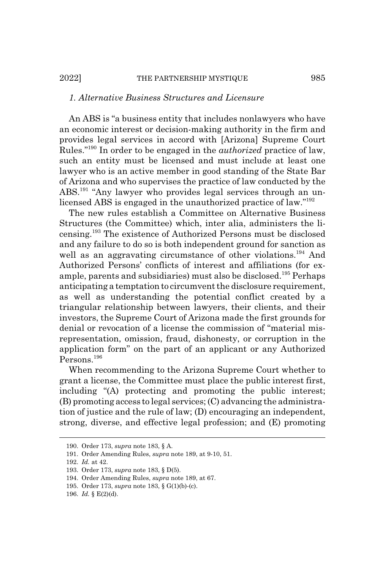## *1. Alternative Business Structures and Licensure*

An ABS is "a business entity that includes nonlawyers who have an economic interest or decision-making authority in the firm and provides legal services in accord with [Arizona] Supreme Court Rules."190 In order to be engaged in the *authorized* practice of law, such an entity must be licensed and must include at least one lawyer who is an active member in good standing of the State Bar of Arizona and who supervises the practice of law conducted by the ABS.191 "Any lawyer who provides legal services through an unlicensed ABS is engaged in the unauthorized practice of law."192

The new rules establish a Committee on Alternative Business Structures (the Committee) which, inter alia, administers the licensing.193 The existence of Authorized Persons must be disclosed and any failure to do so is both independent ground for sanction as well as an aggravating circumstance of other violations.<sup>194</sup> And Authorized Persons' conflicts of interest and affiliations (for example, parents and subsidiaries) must also be disclosed.<sup>195</sup> Perhaps anticipating a temptation to circumvent the disclosure requirement, as well as understanding the potential conflict created by a triangular relationship between lawyers, their clients, and their investors, the Supreme Court of Arizona made the first grounds for denial or revocation of a license the commission of "material misrepresentation, omission, fraud, dishonesty, or corruption in the application form" on the part of an applicant or any Authorized Persons.196

When recommending to the Arizona Supreme Court whether to grant a license, the Committee must place the public interest first, including "(A) protecting and promoting the public interest; (B) promoting access to legal services; (C) advancing the administration of justice and the rule of law; (D) encouraging an independent, strong, diverse, and effective legal profession; and (E) promoting

<sup>190.</sup> Order 173, *supra* note 183, § A.

<sup>191.</sup> Order Amending Rules, *supra* note 189, at 9-10, 51.

<sup>192.</sup> *Id.* at 42.

<sup>193.</sup> Order 173, *supra* note 183, § D(5).

<sup>194.</sup> Order Amending Rules, *supra* note 189, at 67.

<sup>195.</sup> Order 173, *supra* note 183, § G(1)(b)-(c).

<sup>196.</sup> *Id.* § E(2)(d).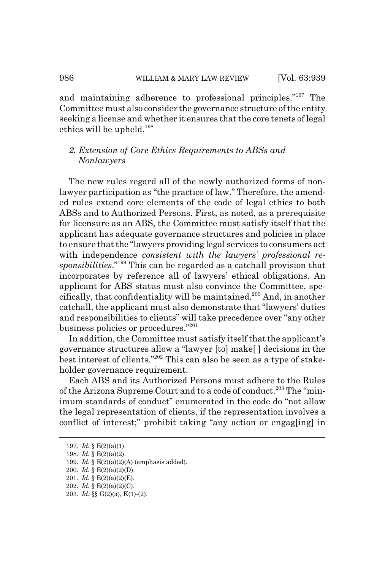and maintaining adherence to professional principles."197 The Committee must also consider the governance structure of the entity seeking a license and whether it ensures that the core tenets of legal ethics will be upheld.198

# *2. Extension of Core Ethics Requirements to ABSs and Nonlawyers*

The new rules regard all of the newly authorized forms of nonlawyer participation as "the practice of law." Therefore, the amended rules extend core elements of the code of legal ethics to both ABSs and to Authorized Persons. First, as noted, as a prerequisite for licensure as an ABS, the Committee must satisfy itself that the applicant has adequate governance structures and policies in place to ensure that the "lawyers providing legal services to consumers act with independence *consistent with the lawyers' professional responsibilities*."199 This can be regarded as a catchall provision that incorporates by reference all of lawyers' ethical obligations. An applicant for ABS status must also convince the Committee, specifically, that confidentiality will be maintained.<sup>200</sup> And, in another catchall, the applicant must also demonstrate that "lawyers' duties and responsibilities to clients" will take precedence over "any other business policies or procedures."201

In addition, the Committee must satisfy itself that the applicant's governance structures allow a "lawyer [to] make[ ] decisions in the best interest of clients."202 This can also be seen as a type of stakeholder governance requirement.

Each ABS and its Authorized Persons must adhere to the Rules of the Arizona Supreme Court and to a code of conduct.<sup>203</sup> The "minimum standards of conduct" enumerated in the code do "not allow the legal representation of clients, if the representation involves a conflict of interest;" prohibit taking "any action or engag[ing] in

<sup>197.</sup> *Id.* § E(2)(a)(1).

<sup>198.</sup> *Id.* § E(2)(a)(2).

<sup>199.</sup> *Id.* § E(2)(a)(2)(A) (emphasis added).

<sup>200.</sup> *Id.* § E(2)(a)(2)(D).

<sup>201.</sup> *Id.* § E(2)(a)(2)(E).

<sup>202.</sup> *Id.* § E(2)(a)(2)(C).

<sup>203.</sup> *Id.* §§ G(2)(a), K(1)-(2).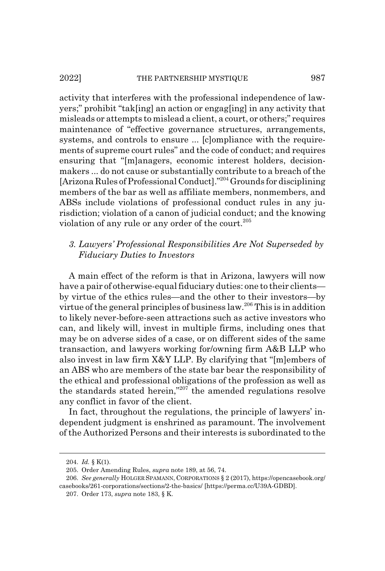activity that interferes with the professional independence of lawyers;" prohibit "tak[ing] an action or engag[ing] in any activity that misleads or attempts to mislead a client, a court, or others;" requires maintenance of "effective governance structures, arrangements, systems, and controls to ensure ... [c]ompliance with the requirements of supreme court rules" and the code of conduct; and requires ensuring that "[m]anagers, economic interest holders, decisionmakers ... do not cause or substantially contribute to a breach of the [Arizona Rules of Professional Conduct]."204 Grounds for disciplining members of the bar as well as affiliate members, nonmembers, and ABSs include violations of professional conduct rules in any jurisdiction; violation of a canon of judicial conduct; and the knowing violation of any rule or any order of the court.<sup>205</sup>

# *3. Lawyers' Professional Responsibilities Are Not Superseded by Fiduciary Duties to Investors*

A main effect of the reform is that in Arizona, lawyers will now have a pair of otherwise-equal fiduciary duties: one to their clients by virtue of the ethics rules—and the other to their investors—by virtue of the general principles of business law.206 This is in addition to likely never-before-seen attractions such as active investors who can, and likely will, invest in multiple firms, including ones that may be on adverse sides of a case, or on different sides of the same transaction, and lawyers working for/owning firm A&B LLP who also invest in law firm X&Y LLP. By clarifying that "[m]embers of an ABS who are members of the state bar bear the responsibility of the ethical and professional obligations of the profession as well as the standards stated herein,"207 the amended regulations resolve any conflict in favor of the client.

In fact, throughout the regulations, the principle of lawyers' independent judgment is enshrined as paramount. The involvement of the Authorized Persons and their interests is subordinated to the

<sup>204.</sup> *Id.* § K(1).

<sup>205.</sup> Order Amending Rules, *supra* note 189, at 56, 74.

<sup>206.</sup> *See generally* HOLGER SPAMANN, CORPORATIONS § 2 (2017), https://opencasebook.org/ casebooks/261-corporations/sections/2-the-basics/ [https://perma.cc/U39A-GDBD].

<sup>207.</sup> Order 173, *supra* note 183, § K.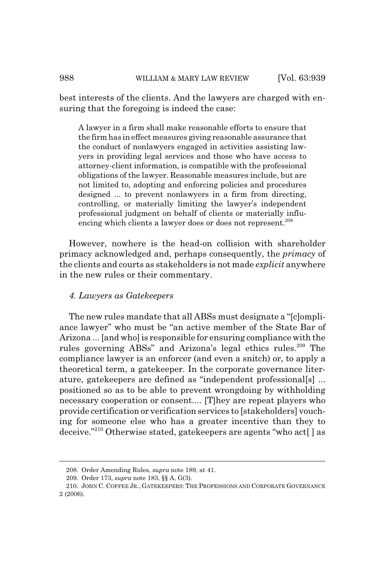best interests of the clients. And the lawyers are charged with ensuring that the foregoing is indeed the case:

A lawyer in a firm shall make reasonable efforts to ensure that the firm has in effect measures giving reasonable assurance that the conduct of nonlawyers engaged in activities assisting lawyers in providing legal services and those who have access to attorney-client information, is compatible with the professional obligations of the lawyer. Reasonable measures include, but are not limited to, adopting and enforcing policies and procedures designed ... to prevent nonlawyers in a firm from directing, controlling, or materially limiting the lawyer's independent professional judgment on behalf of clients or materially influencing which clients a lawyer does or does not represent.<sup>208</sup>

However, nowhere is the head-on collision with shareholder primacy acknowledged and, perhaps consequently, the *primacy* of the clients and courts as stakeholders is not made *explicit* anywhere in the new rules or their commentary.

## *4. Lawyers as Gatekeepers*

The new rules mandate that all ABSs must designate a "[c]ompliance lawyer" who must be "an active member of the State Bar of Arizona ... [and who] is responsible for ensuring compliance with the rules governing ABSs" and Arizona's legal ethics rules.<sup>209</sup> The compliance lawyer is an enforcer (and even a snitch) or, to apply a theoretical term, a gatekeeper. In the corporate governance literature, gatekeepers are defined as "independent professional[s] ... positioned so as to be able to prevent wrongdoing by withholding necessary cooperation or consent.... [T]hey are repeat players who provide certification or verification services to [stakeholders] vouching for someone else who has a greater incentive than they to deceive."210 Otherwise stated, gatekeepers are agents "who act[ ] as

<sup>208.</sup> Order Amending Rules, *supra* note 189, at 41.

<sup>209.</sup> Order 173, *supra* note 183, §§ A, G(3).

<sup>210.</sup> JOHN C. COFFEE JR., GATEKEEPERS: THE PROFESSIONS AND CORPORATE GOVERNANCE 2 (2006).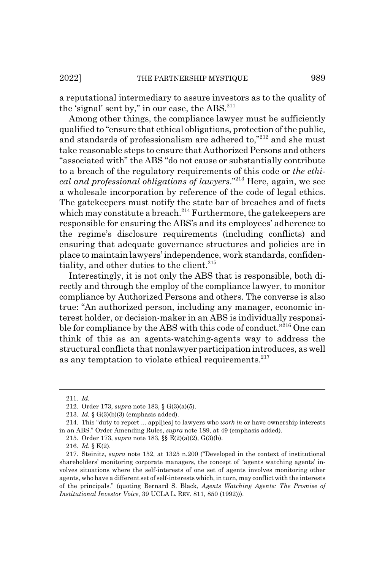a reputational intermediary to assure investors as to the quality of the 'signal' sent by," in our case, the  $\text{ABS.}^{211}$ 

Among other things, the compliance lawyer must be sufficiently qualified to "ensure that ethical obligations, protection of the public, and standards of professionalism are adhered to,"212 and she must take reasonable steps to ensure that Authorized Persons and others "associated with" the ABS "do not cause or substantially contribute to a breach of the regulatory requirements of this code or *the ethical and professional obligations of lawyers*."213 Here, again, we see a wholesale incorporation by reference of the code of legal ethics. The gatekeepers must notify the state bar of breaches and of facts which may constitute a breach.<sup>214</sup> Furthermore, the gatekeepers are responsible for ensuring the ABS's and its employees' adherence to the regime's disclosure requirements (including conflicts) and ensuring that adequate governance structures and policies are in place to maintain lawyers' independence, work standards, confidentiality, and other duties to the client. $215$ 

Interestingly, it is not only the ABS that is responsible, both directly and through the employ of the compliance lawyer, to monitor compliance by Authorized Persons and others. The converse is also true: "An authorized person, including any manager, economic interest holder, or decision-maker in an ABS is individually responsible for compliance by the ABS with this code of conduct."216 One can think of this as an agents-watching-agents way to address the structural conflicts that nonlawyer participation introduces, as well as any temptation to violate ethical requirements. $2^{17}$ 

<sup>211.</sup> *Id.*

<sup>212.</sup> Order 173, *supra* note 183, § G(3)(a)(5).

<sup>213.</sup> *Id.* § G(3)(b)(3) (emphasis added).

<sup>214.</sup> This "duty to report ... appl[ies] to lawyers who *work in* or have ownership interests in an ABS." Order Amending Rules, *supra* note 189, at 49 (emphasis added).

<sup>215.</sup> Order 173, *supra* note 183, §§ E(2)(a)(2), G(3)(b).

<sup>216.</sup> *Id.* § K(2).

<sup>217.</sup> Steinitz, *supra* note 152, at 1325 n.200 ("Developed in the context of institutional shareholders' monitoring corporate managers, the concept of 'agents watching agents' involves situations where the self-interests of one set of agents involves monitoring other agents, who have a different set of self-interests which, in turn, may conflict with the interests of the principals." (quoting Bernard S. Black, *Agents Watching Agents: The Promise of Institutional Investor Voice*, 39 UCLA L. REV. 811, 850 (1992))).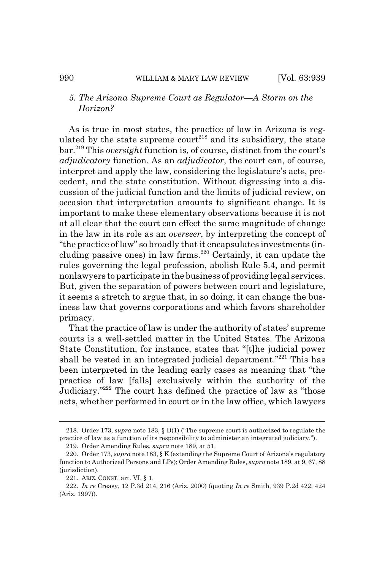## *5. The Arizona Supreme Court as Regulator—A Storm on the Horizon?*

As is true in most states, the practice of law in Arizona is regulated by the state supreme court<sup>218</sup> and its subsidiary, the state bar.219 This *oversight* function is, of course, distinct from the court's *adjudicatory* function. As an *adjudicator*, the court can, of course, interpret and apply the law, considering the legislature's acts, precedent, and the state constitution. Without digressing into a discussion of the judicial function and the limits of judicial review, on occasion that interpretation amounts to significant change. It is important to make these elementary observations because it is not at all clear that the court can effect the same magnitude of change in the law in its role as an *overseer*, by interpreting the concept of "the practice of law" so broadly that it encapsulates investments (including passive ones) in law firms.<sup>220</sup> Certainly, it can update the rules governing the legal profession, abolish Rule 5.4, and permit nonlawyers to participate in the business of providing legal services. But, given the separation of powers between court and legislature, it seems a stretch to argue that, in so doing, it can change the business law that governs corporations and which favors shareholder primacy.

That the practice of law is under the authority of states' supreme courts is a well-settled matter in the United States. The Arizona State Constitution, for instance, states that "[t]he judicial power shall be vested in an integrated judicial department."<sup>221</sup> This has been interpreted in the leading early cases as meaning that "the practice of law [falls] exclusively within the authority of the Judiciary."222 The court has defined the practice of law as "those acts, whether performed in court or in the law office, which lawyers

<sup>218.</sup> Order 173, *supra* note 183, § D(1) ("The supreme court is authorized to regulate the practice of law as a function of its responsibility to administer an integrated judiciary.").

<sup>219.</sup> Order Amending Rules, *supra* note 189, at 51.

<sup>220.</sup> Order 173, *supra* note 183, § K (extending the Supreme Court of Arizona's regulatory function to Authorized Persons and LPs); Order Amending Rules, *supra* note 189, at 9, 67, 88 (jurisdiction).

<sup>221.</sup> ARIZ. CONST. art. VI, § 1.

<sup>222.</sup> *In re* Creasy, 12 P.3d 214, 216 (Ariz. 2000) (quoting *In re* Smith, 939 P.2d 422, 424 (Ariz. 1997)).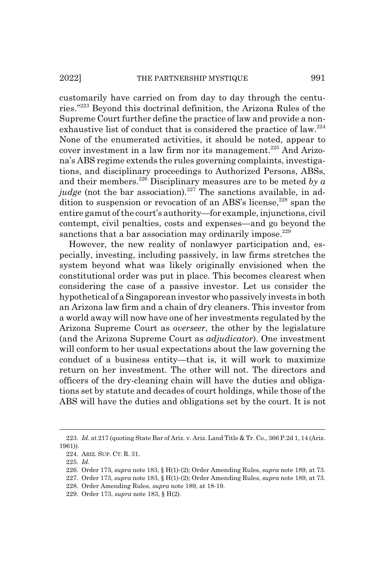customarily have carried on from day to day through the centuries."223 Beyond this doctrinal definition, the Arizona Rules of the Supreme Court further define the practice of law and provide a nonexhaustive list of conduct that is considered the practice of law.<sup>224</sup> None of the enumerated activities, it should be noted, appear to cover investment in a law firm nor its management.<sup>225</sup> And Arizona's ABS regime extends the rules governing complaints, investigations, and disciplinary proceedings to Authorized Persons, ABSs, and their members.226 Disciplinary measures are to be meted *by a judge* (not the bar association).<sup>227</sup> The sanctions available, in addition to suspension or revocation of an ABS's license, $228$  span the entire gamut of the court's authority—for example, injunctions, civil contempt, civil penalties, costs and expenses—and go beyond the sanctions that a bar association may ordinarily impose. $229$ 

However, the new reality of nonlawyer participation and, especially, investing, including passively, in law firms stretches the system beyond what was likely originally envisioned when the constitutional order was put in place. This becomes clearest when considering the case of a passive investor. Let us consider the hypothetical of a Singaporean investor who passively invests in both an Arizona law firm and a chain of dry cleaners. This investor from a world away will now have one of her investments regulated by the Arizona Supreme Court as *overseer*, the other by the legislature (and the Arizona Supreme Court as *adjudicator*). One investment will conform to her usual expectations about the law governing the conduct of a business entity—that is, it will work to maximize return on her investment. The other will not. The directors and officers of the dry-cleaning chain will have the duties and obligations set by statute and decades of court holdings, while those of the ABS will have the duties and obligations set by the court. It is not

<sup>223.</sup> *Id.* at 217 (quoting State Bar of Ariz. v. Ariz. Land Title & Tr. Co., 366 P.2d 1, 14 (Ariz. 1961)).

<sup>224.</sup> ARIZ. SUP. CT. R. 31.

<sup>225.</sup> *Id.*

<sup>226.</sup> Order 173, *supra* note 183, § H(1)-(2); Order Amending Rules, *supra* note 189, at 73.

<sup>227.</sup> Order 173, *supra* note 183, § H(1)-(2); Order Amending Rules, *supra* note 189, at 73.

<sup>228.</sup> Order Amending Rules, *supra* note 189, at 18-19.

<sup>229.</sup> Order 173, *supra* note 183, § H(2).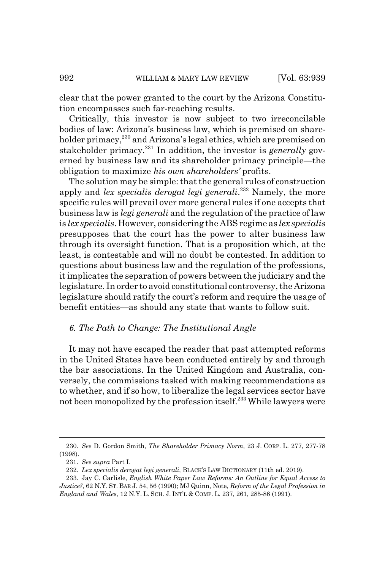clear that the power granted to the court by the Arizona Constitution encompasses such far-reaching results.

Critically, this investor is now subject to two irreconcilable bodies of law: Arizona's business law, which is premised on shareholder primacy,<sup>230</sup> and Arizona's legal ethics, which are premised on stakeholder primacy.<sup>231</sup> In addition, the investor is *generally* governed by business law and its shareholder primacy principle—the obligation to maximize *his own shareholders'* profits.

The solution may be simple: that the general rules of construction apply and *lex specialis derogat legi generali*. 232 Namely, the more specific rules will prevail over more general rules if one accepts that business law is *legi generali* and the regulation of the practice of law is *lex specialis*. However, considering the ABS regime as *lex specialis* presupposes that the court has the power to alter business law through its oversight function. That is a proposition which, at the least, is contestable and will no doubt be contested. In addition to questions about business law and the regulation of the professions, it implicates the separation of powers between the judiciary and the legislature. In order to avoid constitutional controversy, the Arizona legislature should ratify the court's reform and require the usage of benefit entities—as should any state that wants to follow suit.

## *6. The Path to Change: The Institutional Angle*

It may not have escaped the reader that past attempted reforms in the United States have been conducted entirely by and through the bar associations. In the United Kingdom and Australia, conversely, the commissions tasked with making recommendations as to whether, and if so how, to liberalize the legal services sector have not been monopolized by the profession itself.<sup>233</sup> While lawyers were

<sup>230.</sup> *See* D. Gordon Smith, *The Shareholder Primacy Norm*, 23 J. CORP. L. 277, 277-78 (1998).

<sup>231.</sup> *See supra* Part I.

<sup>232.</sup> *Lex specialis derogat legi generali*, BLACK'S LAW DICTIONARY (11th ed. 2019).

<sup>233.</sup> Jay C. Carlisle, *English White Paper Law Reforms: An Outline for Equal Access to Justice?*, 62 N.Y. ST. BAR J. 54, 56 (1990); MJ Quinn, Note, *Reform of the Legal Profession in England and Wales*, 12 N.Y. L. SCH. J. INT'L & COMP. L. 237, 261, 285-86 (1991).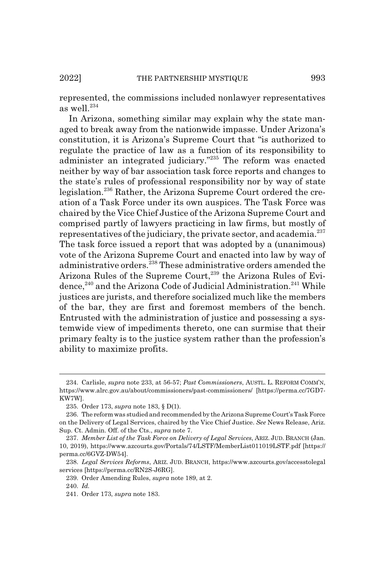represented, the commissions included nonlawyer representatives as well. $^{234}$ 

In Arizona, something similar may explain why the state managed to break away from the nationwide impasse. Under Arizona's constitution, it is Arizona's Supreme Court that "is authorized to regulate the practice of law as a function of its responsibility to administer an integrated judiciary."235 The reform was enacted neither by way of bar association task force reports and changes to the state's rules of professional responsibility nor by way of state legislation.236 Rather, the Arizona Supreme Court ordered the creation of a Task Force under its own auspices. The Task Force was chaired by the Vice Chief Justice of the Arizona Supreme Court and comprised partly of lawyers practicing in law firms, but mostly of representatives of the judiciary, the private sector, and academia.<sup>237</sup> The task force issued a report that was adopted by a (unanimous) vote of the Arizona Supreme Court and enacted into law by way of administrative orders.<sup>238</sup> These administrative orders amended the Arizona Rules of the Supreme Court,<sup>239</sup> the Arizona Rules of Evidence,<sup>240</sup> and the Arizona Code of Judicial Administration.<sup>241</sup> While justices are jurists, and therefore socialized much like the members of the bar, they are first and foremost members of the bench. Entrusted with the administration of justice and possessing a systemwide view of impediments thereto, one can surmise that their primary fealty is to the justice system rather than the profession's ability to maximize profits.

<sup>234.</sup> Carlisle, *supra* note 233, at 56-57; *Past Commissioners*, AUSTL. L. REFORM COMM'N, https://www.alrc.gov.au/about/commissioners/past-commissioners/ [https://perma.cc/7GD7- KW7W].

<sup>235.</sup> Order 173, *supra* note 183, § D(1).

<sup>236.</sup> The reform was studied and recommended by the Arizona Supreme Court's Task Force on the Delivery of Legal Services, chaired by the Vice Chief Justice. *See* News Release, Ariz. Sup. Ct. Admin. Off. of the Cts., *supra* note 7.

<sup>237.</sup> *Member List of the Task Force on Delivery of Legal Services*, ARIZ. JUD. BRANCH (Jan. 10, 2019), https://www.azcourts.gov/Portals/74/LSTF/MemberList011019LSTF.pdf [https:// perma.cc/6GVZ-DW54].

<sup>238.</sup> *Legal Services Reforms*, ARIZ. JUD. BRANCH, https://www.azcourts.gov/accesstolegal services [https://perma.cc/RN2S-J6RG].

<sup>239.</sup> Order Amending Rules, *supra* note 189, at 2.

<sup>240.</sup> *Id.*

<sup>241.</sup> Order 173, *supra* note 183.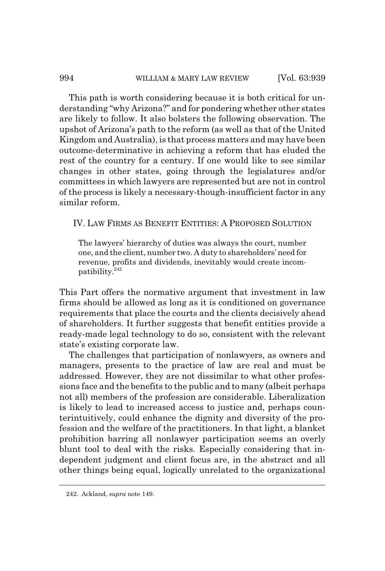### 994 WILLIAM & MARY LAW REVIEW [Vol. 63:939]

This path is worth considering because it is both critical for understanding "why Arizona?" and for pondering whether other states are likely to follow. It also bolsters the following observation. The upshot of Arizona's path to the reform (as well as that of the United Kingdom and Australia), is that process matters and may have been outcome-determinative in achieving a reform that has eluded the rest of the country for a century. If one would like to see similar changes in other states, going through the legislatures and/or committees in which lawyers are represented but are not in control of the process is likely a necessary-though-insufficient factor in any similar reform.

## IV. LAW FIRMS AS BENEFIT ENTITIES:APROPOSED SOLUTION

The lawyers' hierarchy of duties was always the court, number one, and the client, number two. A duty to shareholders' need for revenue, profits and dividends, inevitably would create incompatibility.<sup>242</sup>

This Part offers the normative argument that investment in law firms should be allowed as long as it is conditioned on governance requirements that place the courts and the clients decisively ahead of shareholders. It further suggests that benefit entities provide a ready-made legal technology to do so, consistent with the relevant state's existing corporate law.

The challenges that participation of nonlawyers, as owners and managers, presents to the practice of law are real and must be addressed. However, they are not dissimilar to what other professions face and the benefits to the public and to many (albeit perhaps not all) members of the profession are considerable. Liberalization is likely to lead to increased access to justice and, perhaps counterintuitively, could enhance the dignity and diversity of the profession and the welfare of the practitioners. In that light, a blanket prohibition barring all nonlawyer participation seems an overly blunt tool to deal with the risks. Especially considering that independent judgment and client focus are, in the abstract and all other things being equal, logically unrelated to the organizational

<sup>242.</sup> Ackland, *supra* note 149.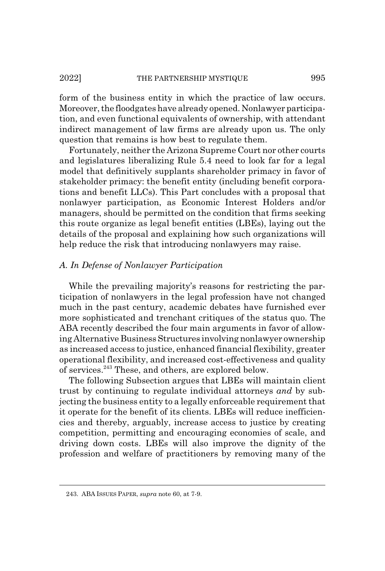form of the business entity in which the practice of law occurs. Moreover, the floodgates have already opened. Nonlawyer participation, and even functional equivalents of ownership, with attendant indirect management of law firms are already upon us. The only question that remains is how best to regulate them.

Fortunately, neither the Arizona Supreme Court nor other courts and legislatures liberalizing Rule 5.4 need to look far for a legal model that definitively supplants shareholder primacy in favor of stakeholder primacy: the benefit entity (including benefit corporations and benefit LLCs). This Part concludes with a proposal that nonlawyer participation, as Economic Interest Holders and/or managers, should be permitted on the condition that firms seeking this route organize as legal benefit entities (LBEs), laying out the details of the proposal and explaining how such organizations will help reduce the risk that introducing nonlawyers may raise.

## *A. In Defense of Nonlawyer Participation*

While the prevailing majority's reasons for restricting the participation of nonlawyers in the legal profession have not changed much in the past century, academic debates have furnished ever more sophisticated and trenchant critiques of the status quo. The ABA recently described the four main arguments in favor of allowing Alternative Business Structures involving nonlawyer ownership as increased access to justice, enhanced financial flexibility, greater operational flexibility, and increased cost-effectiveness and quality of services.243 These, and others, are explored below.

The following Subsection argues that LBEs will maintain client trust by continuing to regulate individual attorneys *and* by subjecting the business entity to a legally enforceable requirement that it operate for the benefit of its clients. LBEs will reduce inefficiencies and thereby, arguably, increase access to justice by creating competition, permitting and encouraging economies of scale, and driving down costs. LBEs will also improve the dignity of the profession and welfare of practitioners by removing many of the

<sup>243.</sup> ABA ISSUES PAPER, *supra* note 60, at 7-9.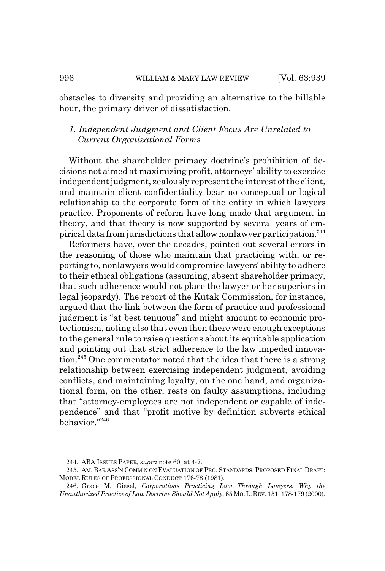obstacles to diversity and providing an alternative to the billable hour, the primary driver of dissatisfaction.

# *1. Independent Judgment and Client Focus Are Unrelated to Current Organizational Forms*

Without the shareholder primacy doctrine's prohibition of decisions not aimed at maximizing profit, attorneys' ability to exercise independent judgment, zealously represent the interest of the client, and maintain client confidentiality bear no conceptual or logical relationship to the corporate form of the entity in which lawyers practice. Proponents of reform have long made that argument in theory, and that theory is now supported by several years of empirical data from jurisdictions that allow nonlawyer participation.244

Reformers have, over the decades, pointed out several errors in the reasoning of those who maintain that practicing with, or reporting to, nonlawyers would compromise lawyers' ability to adhere to their ethical obligations (assuming, absent shareholder primacy, that such adherence would not place the lawyer or her superiors in legal jeopardy). The report of the Kutak Commission, for instance, argued that the link between the form of practice and professional judgment is "at best tenuous" and might amount to economic protectionism, noting also that even then there were enough exceptions to the general rule to raise questions about its equitable application and pointing out that strict adherence to the law impeded innovation.<sup>245</sup> One commentator noted that the idea that there is a strong relationship between exercising independent judgment, avoiding conflicts, and maintaining loyalty, on the one hand, and organizational form, on the other, rests on faulty assumptions, including that "attorney-employees are not independent or capable of independence" and that "profit motive by definition subverts ethical behavior."246

<sup>244.</sup> ABA ISSUES PAPER, *supra* note 60, at 4-7.

<sup>245.</sup> AM. BAR ASS'N COMM'N ON EVALUATION OF PRO. STANDARDS, PROPOSED FINAL DRAFT: MODEL RULES OF PROFESSIONAL CONDUCT 176-78 (1981).

<sup>246.</sup> Grace M. Giesel, *Corporations Practicing Law Through Lawyers: Why the Unauthorized Practice of Law Doctrine Should Not Apply*, 65 MO.L.REV. 151, 178-179 (2000).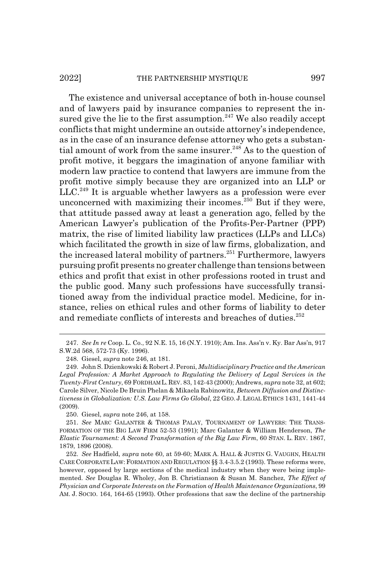The existence and universal acceptance of both in-house counsel and of lawyers paid by insurance companies to represent the insured give the lie to the first assumption.<sup>247</sup> We also readily accept conflicts that might undermine an outside attorney's independence, as in the case of an insurance defense attorney who gets a substantial amount of work from the same insurer.<sup>248</sup> As to the question of profit motive, it beggars the imagination of anyone familiar with modern law practice to contend that lawyers are immune from the profit motive simply because they are organized into an LLP or  $LLC<sup>249</sup>$  It is arguable whether lawyers as a profession were ever unconcerned with maximizing their incomes. $^{250}$  But if they were, that attitude passed away at least a generation ago, felled by the American Lawyer's publication of the Profits-Per-Partner (PPP) matrix, the rise of limited liability law practices (LLPs and LLCs) which facilitated the growth in size of law firms, globalization, and the increased lateral mobility of partners.<sup>251</sup> Furthermore, lawyers pursuing profit presents no greater challenge than tensions between ethics and profit that exist in other professions rooted in trust and the public good. Many such professions have successfully transitioned away from the individual practice model. Medicine, for instance, relies on ethical rules and other forms of liability to deter and remediate conflicts of interests and breaches of duties.<sup>252</sup>

250. Giesel, *supra* note 246, at 158.

<sup>247.</sup> *See In re* Coop. L. Co., 92 N.E. 15, 16 (N.Y. 1910); Am. Ins. Ass'n v. Ky. Bar Ass'n, 917 S.W.2d 568, 572-73 (Ky. 1996).

<sup>248.</sup> Giesel, *supra* note 246, at 181.

<sup>249.</sup> John S. Dzienkowski & Robert J. Peroni, *Multidisciplinary Practice and the American Legal Profession: A Market Approach to Regulating the Delivery of Legal Services in the Twenty-First Century*, 69 FORDHAM L.REV. 83, 142-43 (2000); Andrews, *supra* note 32, at 602; Carole Silver, Nicole De Bruin Phelan & Mikaela Rabinowitz, *Between Diffusion and Distinctiveness in Globalization: U.S. Law Firms Go Global*, 22 GEO. J. LEGAL ETHICS 1431, 1441-44 (2009).

<sup>251.</sup> *See* MARC GALANTER & THOMAS PALAY, TOURNAMENT OF LAWYERS: THE TRANS-FORMATION OF THE BIG LAW FIRM 52-53 (1991); Marc Galanter & William Henderson, *The Elastic Tournament: A Second Transformation of the Big Law Firm*, 60 STAN. L. REV. 1867, 1879, 1896 (2008).

<sup>252.</sup> *See* Hadfield, *supra* note 60, at 59-60; MARK A. HALL & JUSTIN G. VAUGHN, HEALTH CARE CORPORATE LAW: FORMATION AND REGULATION §§ 3.4-3.5.2 (1993). These reforms were, however, opposed by large sections of the medical industry when they were being implemented. *See* Douglas R. Wholey, Jon B. Christianson & Susan M. Sanchez, *The Effect of Physician and Corporate Interests on the Formation of Health Maintenance Organizations*, 99 AM. J. SOCIO. 164, 164-65 (1993). Other professions that saw the decline of the partnership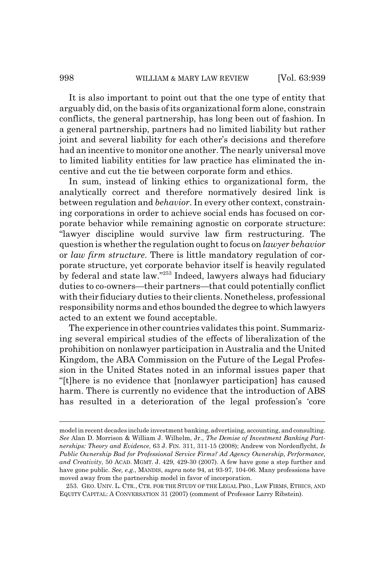It is also important to point out that the one type of entity that arguably did, on the basis of its organizational form alone, constrain conflicts, the general partnership, has long been out of fashion. In a general partnership, partners had no limited liability but rather joint and several liability for each other's decisions and therefore had an incentive to monitor one another. The nearly universal move to limited liability entities for law practice has eliminated the incentive and cut the tie between corporate form and ethics.

In sum, instead of linking ethics to organizational form, the analytically correct and therefore normatively desired link is between regulation and *behavior*. In every other context, constraining corporations in order to achieve social ends has focused on corporate behavior while remaining agnostic on corporate structure: "lawyer discipline would survive law firm restructuring. The question is whether the regulation ought to focus on *lawyer behavior* or *law firm structure*. There is little mandatory regulation of corporate structure, yet corporate behavior itself is heavily regulated by federal and state law."253 Indeed, lawyers always had fiduciary duties to co-owners—their partners—that could potentially conflict with their fiduciary duties to their clients. Nonetheless, professional responsibility norms and ethos bounded the degree to which lawyers acted to an extent we found acceptable.

The experience in other countries validates this point. Summarizing several empirical studies of the effects of liberalization of the prohibition on nonlawyer participation in Australia and the United Kingdom, the ABA Commission on the Future of the Legal Profession in the United States noted in an informal issues paper that "[t]here is no evidence that [nonlawyer participation] has caused harm. There is currently no evidence that the introduction of ABS has resulted in a deterioration of the legal profession's 'core

model in recent decades include investment banking, advertising, accounting, and consulting. *See* Alan D. Morrison & William J. Wilhelm, Jr., *The Demise of Investment Banking Partnerships: Theory and Evidence*, 63 J. FIN. 311, 311-15 (2008); Andrew von Nordenflycht, *Is Public Ownership Bad for Professional Service Firms? Ad Agency Ownership, Performance, and Creativity*, 50 ACAD. MGMT. J. 429, 429-30 (2007). A few have gone a step further and have gone public. *See, e.g.*, MANDIS, *supra* note 94, at 93-97, 104-06. Many professions have moved away from the partnership model in favor of incorporation.

<sup>253.</sup> GEO. UNIV. L. CTR., CTR. FOR THE STUDY OF THE LEGAL PRO., LAW FIRMS, ETHICS, AND EQUITY CAPITAL:ACONVERSATION 31 (2007) (comment of Professor Larry Ribstein).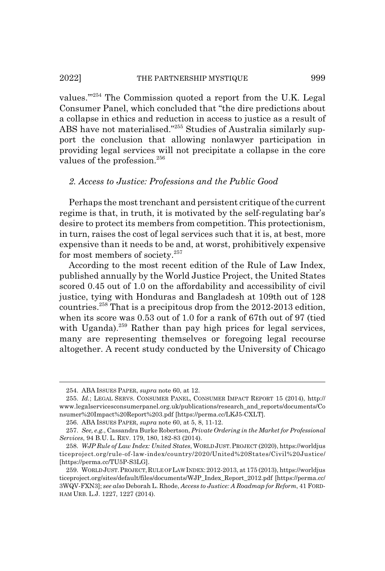values.'"254 The Commission quoted a report from the U.K. Legal Consumer Panel, which concluded that "the dire predictions about a collapse in ethics and reduction in access to justice as a result of ABS have not materialised."255 Studies of Australia similarly support the conclusion that allowing nonlawyer participation in providing legal services will not precipitate a collapse in the core values of the profession.<sup>256</sup>

### *2. Access to Justice: Professions and the Public Good*

Perhaps the most trenchant and persistent critique of the current regime is that, in truth, it is motivated by the self-regulating bar's desire to protect its members from competition. This protectionism, in turn, raises the cost of legal services such that it is, at best, more expensive than it needs to be and, at worst, prohibitively expensive for most members of society. $257$ 

According to the most recent edition of the Rule of Law Index, published annually by the World Justice Project, the United States scored 0.45 out of 1.0 on the affordability and accessibility of civil justice, tying with Honduras and Bangladesh at 109th out of 128 countries.<sup>258</sup> That is a precipitous drop from the  $2012$ -2013 edition, when its score was 0.53 out of 1.0 for a rank of 67th out of 97 (tied with Uganda).<sup>259</sup> Rather than pay high prices for legal services, many are representing themselves or foregoing legal recourse altogether. A recent study conducted by the University of Chicago

<sup>254.</sup> ABA ISSUES PAPER, *supra* note 60, at 12.

<sup>255.</sup> *Id.*; LEGAL SERVS. CONSUMER PANEL, CONSUMER IMPACT REPORT 15 (2014), http:// www.legalservicesconsumerpanel.org.uk/publications/research\_and\_reports/documents/Co nsumer%20Impact%20Report%203.pdf [https://perma.cc/LKJ5-CXLT].

<sup>256.</sup> ABA ISSUES PAPER, *supra* note 60, at 5, 8, 11-12.

<sup>257.</sup> *See, e.g.*, Cassandra Burke Robertson, *Private Ordering in the Market for Professional Services*, 94 B.U. L. REV. 179, 180, 182-83 (2014).

<sup>258.</sup> *WJP Rule of Law Index: United States*, WORLD JUST.PROJECT (2020), https://worldjus ticeproject.org/rule-of-law-index/country/2020/United%20States/Civil%20Justice/ [https://perma.cc/TU5P-S3LG].

<sup>259.</sup> WORLD JUST.PROJECT,RULE OF LAWINDEX:2012-2013, at 175 (2013), https://worldjus ticeproject.org/sites/default/files/documents/WJP\_Index\_Report\_2012.pdf [https://perma.cc/ 3WQV-FXN3]; *see also* Deborah L. Rhode, *Access to Justice: A Roadmap for Reform*, 41 FORD-HAM URB. L.J. 1227, 1227 (2014).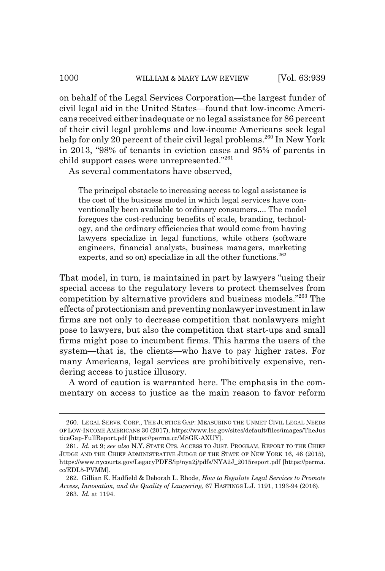on behalf of the Legal Services Corporation—the largest funder of civil legal aid in the United States—found that low-income Americans received either inadequate or no legal assistance for 86 percent of their civil legal problems and low-income Americans seek legal help for only 20 percent of their civil legal problems.<sup>260</sup> In New York in 2013, "98% of tenants in eviction cases and 95% of parents in child support cases were unrepresented."<sup>261</sup>

As several commentators have observed,

The principal obstacle to increasing access to legal assistance is the cost of the business model in which legal services have conventionally been available to ordinary consumers.... The model foregoes the cost-reducing benefits of scale, branding, technology, and the ordinary efficiencies that would come from having lawyers specialize in legal functions, while others (software engineers, financial analysts, business managers, marketing experts, and so on) specialize in all the other functions.<sup>262</sup>

That model, in turn, is maintained in part by lawyers "using their special access to the regulatory levers to protect themselves from competition by alternative providers and business models."263 The effects of protectionism and preventing nonlawyer investment in law firms are not only to decrease competition that nonlawyers might pose to lawyers, but also the competition that start-ups and small firms might pose to incumbent firms. This harms the users of the system—that is, the clients—who have to pay higher rates. For many Americans, legal services are prohibitively expensive, rendering access to justice illusory.

A word of caution is warranted here. The emphasis in the commentary on access to justice as the main reason to favor reform

<sup>260.</sup> LEGAL SERVS. CORP., THE JUSTICE GAP: MEASURING THE UNMET CIVIL LEGAL NEEDS OF LOW-INCOME AMERICANS 30 (2017), https://www.lsc.gov/sites/default/files/images/TheJus ticeGap-FullReport.pdf [https://perma.cc/M8GK-AXUY].

<sup>261.</sup> *Id.* at 9; *see also* N.Y. STATE CTS. ACCESS TO JUST. PROGRAM, REPORT TO THE CHIEF JUDGE AND THE CHIEF ADMINISTRATIVE JUDGE OF THE STATE OF NEW YORK 16, 46 (2015), https://www.nycourts.gov/LegacyPDFS/ip/nya2j/pdfs/NYA2J\_2015report.pdf [https://perma. cc/EDL5-PVMM].

<sup>262.</sup> Gillian K. Hadfield & Deborah L. Rhode, *How to Regulate Legal Services to Promote Access, Innovation, and the Quality of Lawyering*, 67 HASTINGS L.J. 1191, 1193-94 (2016). 263. *Id.* at 1194.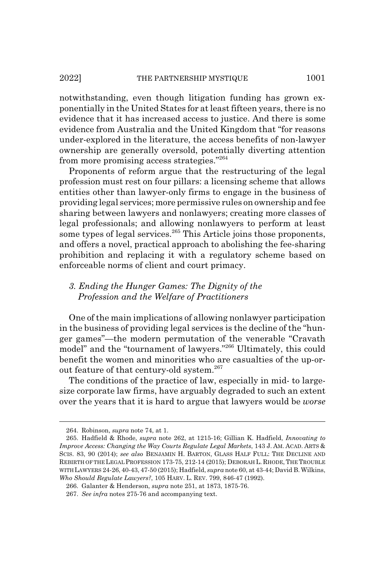notwithstanding, even though litigation funding has grown exponentially in the United States for at least fifteen years, there is no evidence that it has increased access to justice. And there is some evidence from Australia and the United Kingdom that "for reasons under-explored in the literature, the access benefits of non-lawyer ownership are generally oversold, potentially diverting attention from more promising access strategies."264

Proponents of reform argue that the restructuring of the legal profession must rest on four pillars: a licensing scheme that allows entities other than lawyer-only firms to engage in the business of providing legal services; more permissive rules on ownership and fee sharing between lawyers and nonlawyers; creating more classes of legal professionals; and allowing nonlawyers to perform at least some types of legal services.<sup>265</sup> This Article joins those proponents, and offers a novel, practical approach to abolishing the fee-sharing prohibition and replacing it with a regulatory scheme based on enforceable norms of client and court primacy.

# *3. Ending the Hunger Games: The Dignity of the Profession and the Welfare of Practitioners*

One of the main implications of allowing nonlawyer participation in the business of providing legal services is the decline of the "hunger games"—the modern permutation of the venerable "Cravath model" and the "tournament of lawyers."266 Ultimately, this could benefit the women and minorities who are casualties of the up-orout feature of that century-old system.<sup>267</sup>

The conditions of the practice of law, especially in mid- to largesize corporate law firms, have arguably degraded to such an extent over the years that it is hard to argue that lawyers would be *worse*

<sup>264.</sup> Robinson, *supra* note 74, at 1.

<sup>265.</sup> Hadfield & Rhode, *supra* note 262, at 1215-16; Gillian K. Hadfield, *Innovating to Improve Access: Changing the Way Courts Regulate Legal Markets*, 143 J. AM. ACAD. ARTS & SCIS. 83, 90 (2014); *see also* BENJAMIN H. BARTON, GLASS HALF FULL: THE DECLINE AND REBIRTH OF THE LEGAL PROFESSION 173-75, 212-14 (2015); DEBORAH L. RHODE, THE TROUBLE WITH LAWYERS 24-26, 40-43, 47-50 (2015); Hadfield, *supra* note 60, at 43-44; David B. Wilkins, *Who Should Regulate Lawyers?*, 105 HARV. L. REV. 799, 846-47 (1992).

<sup>266.</sup> Galanter & Henderson, *supra* note 251, at 1873, 1875-76.

<sup>267.</sup> *See infra* notes 275-76 and accompanying text.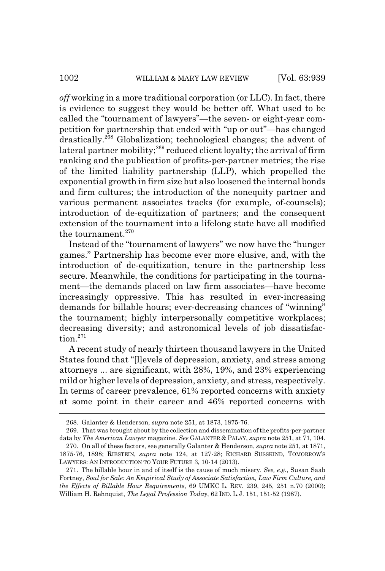*off* working in a more traditional corporation (or LLC). In fact, there is evidence to suggest they would be better off. What used to be called the "tournament of lawyers"—the seven- or eight-year competition for partnership that ended with "up or out"—has changed drastically.268 Globalization; technological changes; the advent of lateral partner mobility;<sup>269</sup> reduced client loyalty; the arrival of firm ranking and the publication of profits-per-partner metrics; the rise of the limited liability partnership (LLP), which propelled the exponential growth in firm size but also loosened the internal bonds and firm cultures; the introduction of the nonequity partner and various permanent associates tracks (for example, of-counsels); introduction of de-equitization of partners; and the consequent extension of the tournament into a lifelong state have all modified the tournament. $270$ 

Instead of the "tournament of lawyers" we now have the "hunger games." Partnership has become ever more elusive, and, with the introduction of de-equitization, tenure in the partnership less secure. Meanwhile, the conditions for participating in the tournament—the demands placed on law firm associates—have become increasingly oppressive. This has resulted in ever-increasing demands for billable hours; ever-decreasing chances of "winning" the tournament; highly interpersonally competitive workplaces; decreasing diversity; and astronomical levels of job dissatisfaction.<sup>271</sup>

A recent study of nearly thirteen thousand lawyers in the United States found that "[l]evels of depression, anxiety, and stress among attorneys ... are significant, with 28%, 19%, and 23% experiencing mild or higher levels of depression, anxiety, and stress, respectively. In terms of career prevalence, 61% reported concerns with anxiety at some point in their career and 46% reported concerns with

<sup>268.</sup> Galanter & Henderson, *supra* note 251, at 1873, 1875-76.

<sup>269.</sup> That was brought about by the collection and dissemination of the profits-per-partner data by *The American Lawyer* magazine. *See* GALANTER & PALAY, *supra* note 251, at 71, 104.

<sup>270.</sup> On all of these factors, see generally Galanter & Henderson, *supra* note 251, at 1871, 1875-76, 1898; RIBSTEIN, *supra* note 124, at 127-28; RICHARD SUSSKIND, TOMORROW'S LAWYERS: AN INTRODUCTION TO YOUR FUTURE 3, 10-14 (2013).

<sup>271.</sup> The billable hour in and of itself is the cause of much misery. *See, e.g.*, Susan Saab Fortney, *Soul for Sale: An Empirical Study of Associate Satisfaction, Law Firm Culture, and the Effects of Billable Hour Requirements*, 69 UMKC L. REV*.* 239, 245, 251 n.70 (2000); William H. Rehnquist, *The Legal Profession Today*, 62 IND. L.J. 151, 151-52 (1987).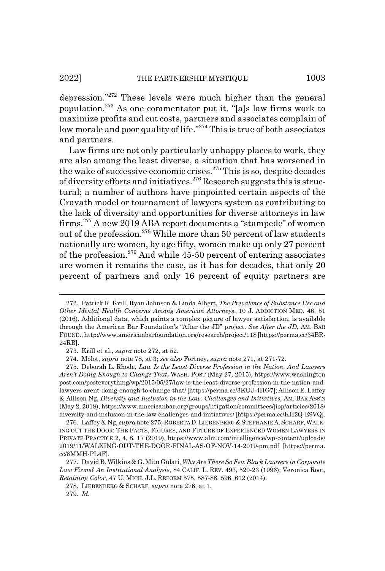depression."272 These levels were much higher than the general population.<sup>273</sup> As one commentator put it, "[a]s law firms work to maximize profits and cut costs, partners and associates complain of low morale and poor quality of life."<sup>274</sup> This is true of both associates and partners.

Law firms are not only particularly unhappy places to work, they are also among the least diverse, a situation that has worsened in the wake of successive economic crises.<sup>275</sup> This is so, despite decades of diversity efforts and initiatives.276 Research suggests this is structural; a number of authors have pinpointed certain aspects of the Cravath model or tournament of lawyers system as contributing to the lack of diversity and opportunities for diverse attorneys in law firms.277 A new 2019 ABA report documents a "stampede" of women out of the profession.<sup>278</sup> While more than 50 percent of law students nationally are women, by age fifty, women make up only 27 percent of the profession.<sup>279</sup> And while  $45-50$  percent of entering associates are women it remains the case, as it has for decades, that only 20 percent of partners and only 16 percent of equity partners are

<sup>272.</sup> Patrick R. Krill, Ryan Johnson & Linda Albert, *The Prevalence of Substance Use and Other Mental Health Concerns Among American Attorneys*, 10 J. ADDICTION MED. 46, 51 (2016). Additional data, which paints a complex picture of lawyer satisfaction, is available through the American Bar Foundation's "After the JD" project. *See After the JD*, AM. BAR FOUND., http://www.americanbarfoundation.org/research/project/118 [https://perma.cc/34BR-24RB].

<sup>273.</sup> Krill et al., *supra* note 272, at 52.

<sup>274.</sup> Molot, *supra* note 78, at 3; *see also* Fortney, *supra* note 271, at 271-72.

<sup>275.</sup> Deborah L. Rhode, *Law Is the Least Diverse Profession in the Nation. And Lawyers Aren't Doing Enough to Change That*, WASH. POST (May 27, 2015), https://www.washington post.com/posteverything/wp/2015/05/27/law-is-the-least-diverse-profession-in-the-nation-andlawyers-arent-doing-enough-to-change-that/ [https://perma.cc/3KUJ-4HG7]; Allison E. Laffey & Allison Ng, *Diversity and Inclusion in the Law: Challenges and Initiatives*, AM. BAR ASS'N (May 2, 2018), https://www.americanbar.org/groups/litigation/committees/jiop/articles/2018/ diversity-and-inclusion-in-the-law-challenges-and-initiatives/ [https://perma.cc/KH2Q-E9VQ].

<sup>276.</sup> Laffey & Ng, *supra* note 275; ROBERTA D.LIEBENBERG &STEPHANIE A.SCHARF,WALK-ING OUT THE DOOR: THE FACTS, FIGURES, AND FUTURE OF EXPERIENCED WOMEN LAWYERS IN PRIVATE PRACTICE 2, 4, 8, 17 (2019), https://www.alm.com/intelligence/wp-content/uploads/ 2019/11/WALKING-OUT-THE-DOOR-FINAL-AS-OF-NOV-14-2019-pm.pdf [https://perma. cc/8MMH-PL4F].

<sup>277.</sup> David B. Wilkins & G. Mitu Gulati, *Why Are There So Few Black Lawyers in Corporate Law Firms? An Institutional Analysis*, 84 CALIF. L. REV. 493, 520-23 (1996); Veronica Root, *Retaining Color*, 47 U. MICH. J.L. REFORM 575, 587-88, 596, 612 (2014).

<sup>278.</sup> LIEBENBERG & SCHARF, *supra* note 276, at 1.

<sup>279.</sup> *Id.*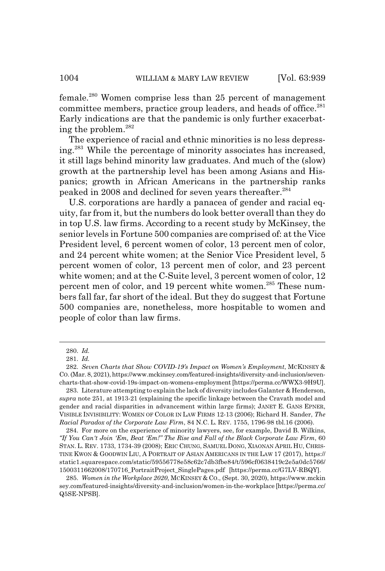female.<sup>280</sup> Women comprise less than 25 percent of management committee members, practice group leaders, and heads of office.<sup>281</sup> Early indications are that the pandemic is only further exacerbating the problem.282

The experience of racial and ethnic minorities is no less depressing.283 While the percentage of minority associates has increased, it still lags behind minority law graduates. And much of the (slow) growth at the partnership level has been among Asians and Hispanics; growth in African Americans in the partnership ranks peaked in 2008 and declined for seven years thereafter.<sup>284</sup>

U.S. corporations are hardly a panacea of gender and racial equity, far from it, but the numbers do look better overall than they do in top U.S. law firms. According to a recent study by McKinsey, the senior levels in Fortune 500 companies are comprised of: at the Vice President level, 6 percent women of color, 13 percent men of color, and 24 percent white women; at the Senior Vice President level, 5 percent women of color, 13 percent men of color, and 23 percent white women; and at the C-Suite level, 3 percent women of color, 12 percent men of color, and 19 percent white women.<sup>285</sup> These numbers fall far, far short of the ideal. But they do suggest that Fortune 500 companies are, nonetheless, more hospitable to women and people of color than law firms.

<sup>280.</sup> *Id.*

<sup>281.</sup> *Id.*

<sup>282.</sup> *Seven Charts that Show COVID-19's Impact on Women's Employment*, MCKINSEY & CO. (Mar. 8, 2021), https://www.mckinsey.com/featured-insights/diversity-and-inclusion/sevencharts-that-show-covid-19s-impact-on-womens-employment [https://perma.cc/WWX3-9H9U].

<sup>283.</sup> Literature attempting to explain the lack of diversity includes Galanter & Henderson, *supra* note 251, at 1913-21 (explaining the specific linkage between the Cravath model and gender and racial disparities in advancement within large firms); JANET E. GANS EPNER, VISIBLE INVISIBILITY: WOMEN OF COLOR IN LAW FIRMS 12-13 (2006); Richard H. Sander, *The Racial Paradox of the Corporate Law Firm*, 84 N.C. L. REV. 1755, 1796-98 tbl.16 (2006).

<sup>284.</sup> For more on the experience of minority lawyers, see, for example, David B. Wilkins, *"If You Can't Join 'Em, Beat 'Em!" The Rise and Fall of the Black Corporate Law Firm*, 60 STAN. L. REV. 1733, 1734-39 (2008); ERIC CHUNG, SAMUEL DONG, XIAONAN APRIL HU, CHRIS-TINE KWON & GOODWIN LIU, A PORTRAIT OF ASIAN AMERICANS IN THE LAW 17 (2017), https:// static1.squarespace.com/static/59556778e58c62c7db3fbe84/t/596cf0638419c2e5a0dc5766/ 1500311662008/170716\_PortraitProject\_SinglePages.pdf [https://perma.cc/G7LV-RBQY].

<sup>285.</sup> *Women in the Workplace 2020*, MCKINSEY & CO., (Sept. 30, 2020), https://www.mckin sey.com/featured-insights/diversity-and-inclusion/women-in-the-workplace [https://perma.cc/ Q5SE-NPSB].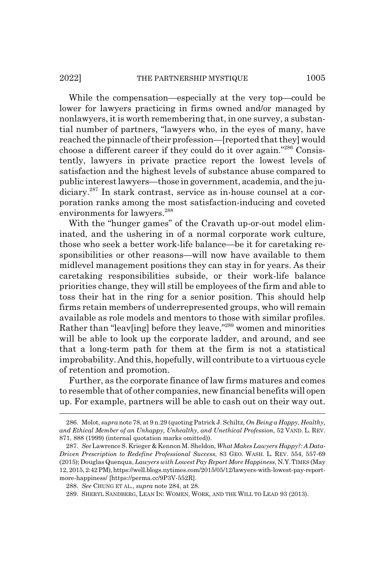While the compensation—especially at the very top—could be lower for lawyers practicing in firms owned and/or managed by nonlawyers, it is worth remembering that, in one survey, a substantial number of partners, "lawyers who, in the eyes of many, have reached the pinnacle of their profession—[reported that they] would choose a different career if they could do it over again."286 Consistently, lawyers in private practice report the lowest levels of satisfaction and the highest levels of substance abuse compared to public interest lawyers—those in government, academia, and the judiciary.<sup>287</sup> In stark contrast, service as in-house counsel at a corporation ranks among the most satisfaction-inducing and coveted environments for lawyers.<sup>288</sup>

With the "hunger games" of the Cravath up-or-out model eliminated, and the ushering in of a normal corporate work culture, those who seek a better work-life balance—be it for caretaking responsibilities or other reasons—will now have available to them midlevel management positions they can stay in for years. As their caretaking responsibilities subside, or their work-life balance priorities change, they will still be employees of the firm and able to toss their hat in the ring for a senior position. This should help firms retain members of underrepresented groups, who will remain available as role models and mentors to those with similar profiles. Rather than "leav[ing] before they leave,"<sup>289</sup> women and minorities will be able to look up the corporate ladder, and around, and see that a long-term path for them at the firm is not a statistical improbability. And this, hopefully, will contribute to a virtuous cycle of retention and promotion.

Further, as the corporate finance of law firms matures and comes to resemble that of other companies, new financial benefits will open up. For example, partners will be able to cash out on their way out.

<sup>286.</sup> Molot, *supra* note 78, at 9 n.29 (quoting Patrick J. Schiltz, *On Being a Happy, Healthy, and Ethical Member of an Unhappy, Unhealthy, and Unethical Profession*, 52 VAND. L. REV. 871, 888 (1999) (internal quotation marks omitted)).

<sup>287.</sup> *See* Lawrence S. Krieger & Kennon M. Sheldon, *What Makes Lawyers Happy?: A Data-Driven Prescription to Redefine Professional Success*, 83 GEO. WASH. L. REV. 554, 557-69 (2015); Douglas Quenqua, *Lawyers with Lowest Pay Report More Happiness*, N.Y.TIMES (May 12, 2015, 2:42 PM), https://well.blogs.nytimes.com/2015/05/12/lawyers-with-lowest-pay-reportmore-happiness/ [https://perma.cc/9P3V-552R].

<sup>288.</sup> *See* CHUNG ET AL., *supra* note 284, at 28.

<sup>289.</sup> SHERYL SANDBERG, LEAN IN: WOMEN, WORK, AND THE WILL TO LEAD 93 (2013).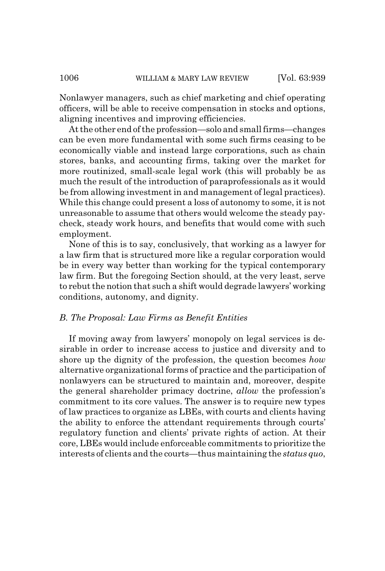Nonlawyer managers, such as chief marketing and chief operating officers, will be able to receive compensation in stocks and options, aligning incentives and improving efficiencies.

At the other end of the profession—solo and small firms—changes can be even more fundamental with some such firms ceasing to be economically viable and instead large corporations, such as chain stores, banks, and accounting firms, taking over the market for more routinized, small-scale legal work (this will probably be as much the result of the introduction of paraprofessionals as it would be from allowing investment in and management of legal practices). While this change could present a loss of autonomy to some, it is not unreasonable to assume that others would welcome the steady paycheck, steady work hours, and benefits that would come with such employment.

None of this is to say, conclusively, that working as a lawyer for a law firm that is structured more like a regular corporation would be in every way better than working for the typical contemporary law firm. But the foregoing Section should, at the very least, serve to rebut the notion that such a shift would degrade lawyers' working conditions, autonomy, and dignity.

### *B. The Proposal: Law Firms as Benefit Entities*

If moving away from lawyers' monopoly on legal services is desirable in order to increase access to justice and diversity and to shore up the dignity of the profession, the question becomes *how* alternative organizational forms of practice and the participation of nonlawyers can be structured to maintain and, moreover, despite the general shareholder primacy doctrine, *allow* the profession's commitment to its core values. The answer is to require new types of law practices to organize as LBEs, with courts and clients having the ability to enforce the attendant requirements through courts' regulatory function and clients' private rights of action. At their core, LBEs would include enforceable commitments to prioritize the interests of clients and the courts—thus maintaining the *status quo*,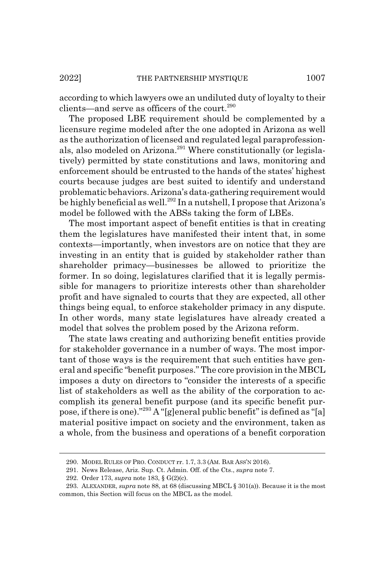according to which lawyers owe an undiluted duty of loyalty to their clients—and serve as officers of the court.<sup>290</sup>

The proposed LBE requirement should be complemented by a licensure regime modeled after the one adopted in Arizona as well as the authorization of licensed and regulated legal paraprofessionals, also modeled on Arizona.<sup>291</sup> Where constitutionally (or legislatively) permitted by state constitutions and laws, monitoring and enforcement should be entrusted to the hands of the states' highest courts because judges are best suited to identify and understand problematic behaviors. Arizona's data-gathering requirement would be highly beneficial as well.<sup>292</sup> In a nutshell, I propose that Arizona's model be followed with the ABSs taking the form of LBEs.

The most important aspect of benefit entities is that in creating them the legislatures have manifested their intent that, in some contexts—importantly, when investors are on notice that they are investing in an entity that is guided by stakeholder rather than shareholder primacy—businesses be allowed to prioritize the former. In so doing, legislatures clarified that it is legally permissible for managers to prioritize interests other than shareholder profit and have signaled to courts that they are expected, all other things being equal, to enforce stakeholder primacy in any dispute. In other words, many state legislatures have already created a model that solves the problem posed by the Arizona reform.

The state laws creating and authorizing benefit entities provide for stakeholder governance in a number of ways. The most important of those ways is the requirement that such entities have general and specific "benefit purposes." The core provision in the MBCL imposes a duty on directors to "consider the interests of a specific list of stakeholders as well as the ability of the corporation to accomplish its general benefit purpose (and its specific benefit purpose, if there is one)."293 A "[g]eneral public benefit" is defined as "[a] material positive impact on society and the environment, taken as a whole, from the business and operations of a benefit corporation

<sup>290.</sup> MODEL RULES OF PRO. CONDUCT rr. 1.7, 3.3 (AM. BAR ASS'N 2016).

<sup>291.</sup> News Release, Ariz. Sup. Ct. Admin. Off. of the Cts., *supra* note 7.

<sup>292.</sup> Order 173, *supra* note 183, § G(2)(c).

<sup>293.</sup> ALEXANDER, *supra* note 88, at 68 (discussing MBCL § 301(a)). Because it is the most common, this Section will focus on the MBCL as the model.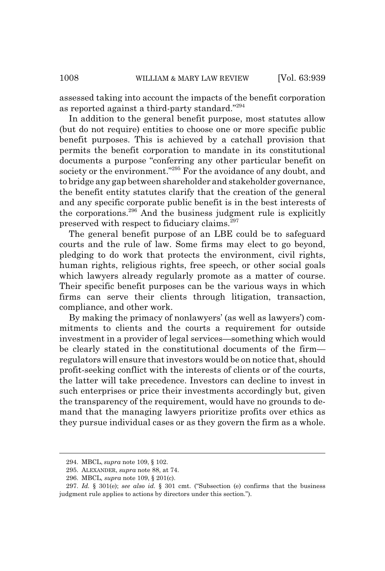assessed taking into account the impacts of the benefit corporation as reported against a third-party standard."294

In addition to the general benefit purpose, most statutes allow (but do not require) entities to choose one or more specific public benefit purposes. This is achieved by a catchall provision that permits the benefit corporation to mandate in its constitutional documents a purpose "conferring any other particular benefit on society or the environment."<sup>295</sup> For the avoidance of any doubt, and to bridge any gap between shareholder and stakeholder governance, the benefit entity statutes clarify that the creation of the general and any specific corporate public benefit is in the best interests of the corporations.296 And the business judgment rule is explicitly preserved with respect to fiduciary claims.<sup>297</sup>

The general benefit purpose of an LBE could be to safeguard courts and the rule of law. Some firms may elect to go beyond, pledging to do work that protects the environment, civil rights, human rights, religious rights, free speech, or other social goals which lawyers already regularly promote as a matter of course. Their specific benefit purposes can be the various ways in which firms can serve their clients through litigation, transaction, compliance, and other work.

By making the primacy of nonlawyers' (as well as lawyers') commitments to clients and the courts a requirement for outside investment in a provider of legal services—something which would be clearly stated in the constitutional documents of the firm regulators will ensure that investors would be on notice that, should profit-seeking conflict with the interests of clients or of the courts, the latter will take precedence. Investors can decline to invest in such enterprises or price their investments accordingly but, given the transparency of the requirement, would have no grounds to demand that the managing lawyers prioritize profits over ethics as they pursue individual cases or as they govern the firm as a whole.

<sup>294.</sup> MBCL, *supra* note 109, § 102.

<sup>295.</sup> ALEXANDER, *supra* note 88, at 74.

<sup>296.</sup> MBCL*, supra* note 109, § 201(c).

<sup>297.</sup> *Id.* § 301(e); *see also id.* § 301 cmt. ("Subsection (e) confirms that the business judgment rule applies to actions by directors under this section.").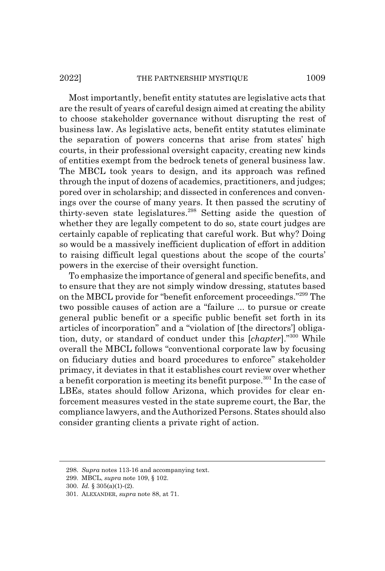Most importantly, benefit entity statutes are legislative acts that are the result of years of careful design aimed at creating the ability to choose stakeholder governance without disrupting the rest of business law. As legislative acts, benefit entity statutes eliminate the separation of powers concerns that arise from states' high courts, in their professional oversight capacity, creating new kinds of entities exempt from the bedrock tenets of general business law. The MBCL took years to design, and its approach was refined through the input of dozens of academics, practitioners, and judges; pored over in scholarship; and dissected in conferences and convenings over the course of many years. It then passed the scrutiny of thirty-seven state legislatures.298 Setting aside the question of whether they are legally competent to do so, state court judges are certainly capable of replicating that careful work. But why? Doing so would be a massively inefficient duplication of effort in addition to raising difficult legal questions about the scope of the courts' powers in the exercise of their oversight function.

To emphasize the importance of general and specific benefits, and to ensure that they are not simply window dressing, statutes based on the MBCL provide for "benefit enforcement proceedings."299 The two possible causes of action are a "failure ... to pursue or create general public benefit or a specific public benefit set forth in its articles of incorporation" and a "violation of [the directors'] obligation, duty, or standard of conduct under this [*chapter*]."300 While overall the MBCL follows "conventional corporate law by focusing on fiduciary duties and board procedures to enforce" stakeholder primacy, it deviates in that it establishes court review over whether a benefit corporation is meeting its benefit purpose.<sup>301</sup> In the case of LBEs, states should follow Arizona, which provides for clear enforcement measures vested in the state supreme court, the Bar, the compliance lawyers, and the Authorized Persons. States should also consider granting clients a private right of action.

<sup>298.</sup> *Supra* notes 113-16 and accompanying text.

<sup>299.</sup> MBCL, *supra* note 109, § 102.

<sup>300.</sup> *Id.* § 305(a)(1)-(2).

<sup>301.</sup> ALEXANDER, *supra* note 88, at 71.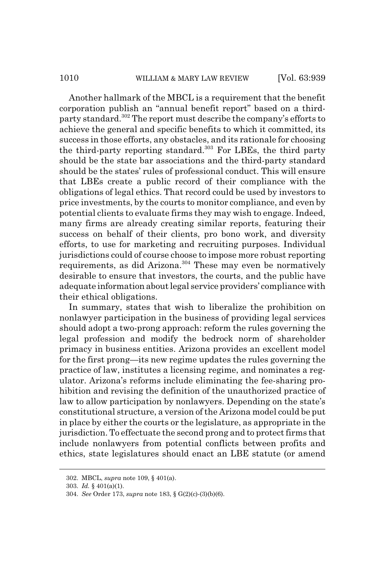### 1010 WILLIAM & MARY LAW REVIEW [Vol. 63:939]

Another hallmark of the MBCL is a requirement that the benefit corporation publish an "annual benefit report" based on a thirdparty standard.302 The report must describe the company's efforts to achieve the general and specific benefits to which it committed, its success in those efforts, any obstacles, and its rationale for choosing the third-party reporting standard.<sup>303</sup> For LBEs, the third party should be the state bar associations and the third-party standard should be the states' rules of professional conduct. This will ensure that LBEs create a public record of their compliance with the obligations of legal ethics. That record could be used by investors to price investments, by the courts to monitor compliance, and even by potential clients to evaluate firms they may wish to engage. Indeed, many firms are already creating similar reports, featuring their success on behalf of their clients, pro bono work, and diversity efforts, to use for marketing and recruiting purposes. Individual jurisdictions could of course choose to impose more robust reporting requirements, as did Arizona. $304$  These may even be normatively desirable to ensure that investors, the courts, and the public have adequate information about legal service providers' compliance with their ethical obligations.

In summary, states that wish to liberalize the prohibition on nonlawyer participation in the business of providing legal services should adopt a two-prong approach: reform the rules governing the legal profession and modify the bedrock norm of shareholder primacy in business entities. Arizona provides an excellent model for the first prong—its new regime updates the rules governing the practice of law, institutes a licensing regime, and nominates a regulator. Arizona's reforms include eliminating the fee-sharing prohibition and revising the definition of the unauthorized practice of law to allow participation by nonlawyers. Depending on the state's constitutional structure, a version of the Arizona model could be put in place by either the courts or the legislature, as appropriate in the jurisdiction. To effectuate the second prong and to protect firms that include nonlawyers from potential conflicts between profits and ethics, state legislatures should enact an LBE statute (or amend

<sup>302.</sup> MBCL, *supra* note 109, § 401(a).

<sup>303.</sup> *Id.* § 401(a)(1).

<sup>304.</sup> *See* Order 173, *supra* note 183, § G(2)(c)-(3)(b)(6).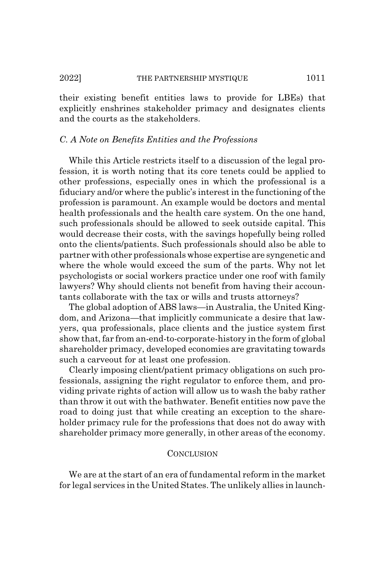### 2022] THE PARTNERSHIP MYSTIQUE 1011

their existing benefit entities laws to provide for LBEs) that explicitly enshrines stakeholder primacy and designates clients and the courts as the stakeholders.

# *C. A Note on Benefits Entities and the Professions*

While this Article restricts itself to a discussion of the legal profession, it is worth noting that its core tenets could be applied to other professions, especially ones in which the professional is a fiduciary and/or where the public's interest in the functioning of the profession is paramount. An example would be doctors and mental health professionals and the health care system. On the one hand, such professionals should be allowed to seek outside capital. This would decrease their costs, with the savings hopefully being rolled onto the clients/patients. Such professionals should also be able to partner with other professionals whose expertise are syngenetic and where the whole would exceed the sum of the parts. Why not let psychologists or social workers practice under one roof with family lawyers? Why should clients not benefit from having their accountants collaborate with the tax or wills and trusts attorneys?

The global adoption of ABS laws—in Australia, the United Kingdom, and Arizona—that implicitly communicate a desire that lawyers, qua professionals, place clients and the justice system first show that, far from an-end-to-corporate-history in the form of global shareholder primacy, developed economies are gravitating towards such a carveout for at least one profession.

Clearly imposing client/patient primacy obligations on such professionals, assigning the right regulator to enforce them, and providing private rights of action will allow us to wash the baby rather than throw it out with the bathwater. Benefit entities now pave the road to doing just that while creating an exception to the shareholder primacy rule for the professions that does not do away with shareholder primacy more generally, in other areas of the economy.

## **CONCLUSION**

We are at the start of an era of fundamental reform in the market for legal services in the United States. The unlikely allies in launch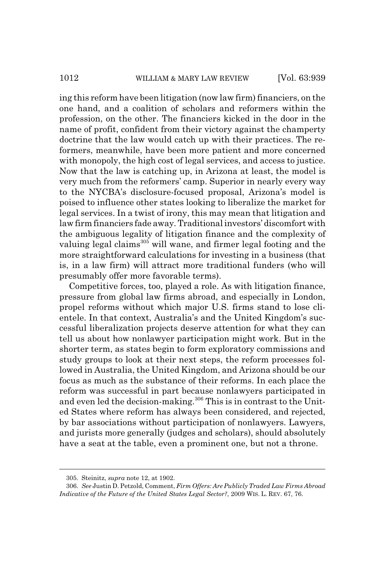ing this reform have been litigation (now law firm) financiers, on the one hand, and a coalition of scholars and reformers within the profession, on the other. The financiers kicked in the door in the name of profit, confident from their victory against the champerty doctrine that the law would catch up with their practices. The reformers, meanwhile, have been more patient and more concerned with monopoly, the high cost of legal services, and access to justice. Now that the law is catching up, in Arizona at least, the model is very much from the reformers' camp. Superior in nearly every way to the NYCBA's disclosure-focused proposal, Arizona's model is poised to influence other states looking to liberalize the market for legal services. In a twist of irony, this may mean that litigation and law firm financiers fade away. Traditional investors' discomfort with the ambiguous legality of litigation finance and the complexity of valuing legal claims<sup>305</sup> will wane, and firmer legal footing and the more straightforward calculations for investing in a business (that is, in a law firm) will attract more traditional funders (who will presumably offer more favorable terms).

Competitive forces, too, played a role. As with litigation finance, pressure from global law firms abroad, and especially in London, propel reforms without which major U.S. firms stand to lose clientele. In that context, Australia's and the United Kingdom's successful liberalization projects deserve attention for what they can tell us about how nonlawyer participation might work. But in the shorter term, as states begin to form exploratory commissions and study groups to look at their next steps, the reform processes followed in Australia, the United Kingdom, and Arizona should be our focus as much as the substance of their reforms. In each place the reform was successful in part because nonlawyers participated in and even led the decision-making.<sup>306</sup> This is in contrast to the United States where reform has always been considered, and rejected, by bar associations without participation of nonlawyers. Lawyers, and jurists more generally (judges and scholars), should absolutely have a seat at the table, even a prominent one, but not a throne.

<sup>305.</sup> Steinitz, *supra* note 12, at 1902.

<sup>306.</sup> *See* Justin D. Petzold, Comment, *Firm Offers: Are Publicly Traded Law Firms Abroad Indicative of the Future of the United States Legal Sector?*, 2009 WIS. L. REV. 67, 76.